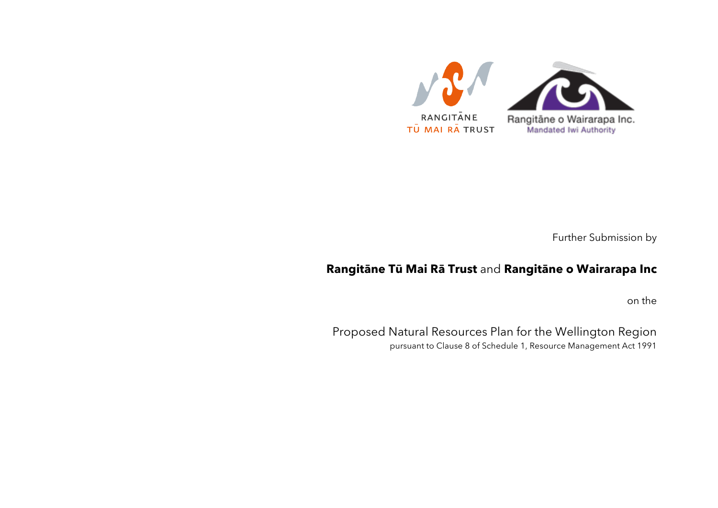

Further Submission by

## **Rangitāne Tū Mai Rā Trust** and **Rangitāne o Wairarapa Inc**

on the

Proposed Natural Resources Plan for the Wellington Region pursuant to Clause 8 of Schedule 1, Resource Management Act 1991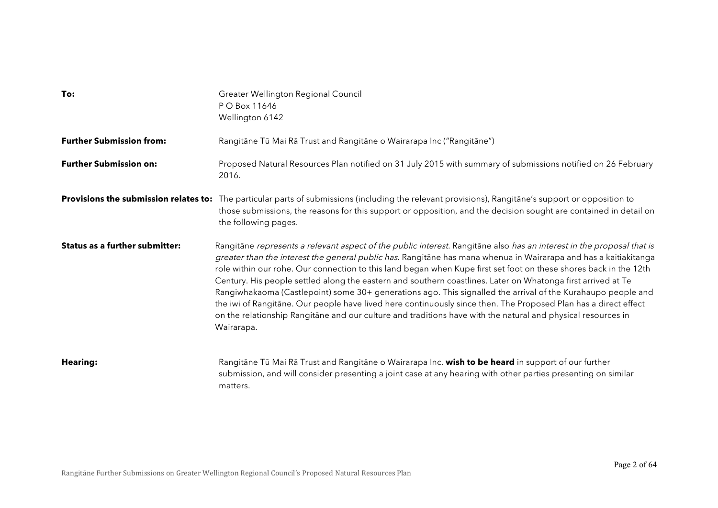| To:                                   | Greater Wellington Regional Council<br>P O Box 11646<br>Wellington 6142                                                                                                                                                                                                                                                                                                                                                                                                                                                                                                                                                                                                                                                                                                                                                                         |
|---------------------------------------|-------------------------------------------------------------------------------------------------------------------------------------------------------------------------------------------------------------------------------------------------------------------------------------------------------------------------------------------------------------------------------------------------------------------------------------------------------------------------------------------------------------------------------------------------------------------------------------------------------------------------------------------------------------------------------------------------------------------------------------------------------------------------------------------------------------------------------------------------|
| <b>Further Submission from:</b>       | Rangitāne Tū Mai Rā Trust and Rangitāne o Wairarapa Inc ("Rangitāne")                                                                                                                                                                                                                                                                                                                                                                                                                                                                                                                                                                                                                                                                                                                                                                           |
| <b>Further Submission on:</b>         | Proposed Natural Resources Plan notified on 31 July 2015 with summary of submissions notified on 26 February<br>2016.                                                                                                                                                                                                                                                                                                                                                                                                                                                                                                                                                                                                                                                                                                                           |
|                                       | Provisions the submission relates to: The particular parts of submissions (including the relevant provisions), Rangitane's support or opposition to<br>those submissions, the reasons for this support or opposition, and the decision sought are contained in detail on<br>the following pages.                                                                                                                                                                                                                                                                                                                                                                                                                                                                                                                                                |
| <b>Status as a further submitter:</b> | Rangitāne represents a relevant aspect of the public interest. Rangitāne also has an interest in the proposal that is<br>greater than the interest the general public has. Rangitane has mana whenua in Wairarapa and has a kaitiakitanga<br>role within our rohe. Our connection to this land began when Kupe first set foot on these shores back in the 12th<br>Century. His people settled along the eastern and southern coastlines. Later on Whatonga first arrived at Te<br>Rangiwhakaoma (Castlepoint) some 30+ generations ago. This signalled the arrival of the Kurahaupo people and<br>the iwi of Rangitane. Our people have lived here continuously since then. The Proposed Plan has a direct effect<br>on the relationship Rangitane and our culture and traditions have with the natural and physical resources in<br>Wairarapa. |
| <b>Hearing:</b>                       | Rangitāne Tū Mai Rā Trust and Rangitāne o Wairarapa Inc. wish to be heard in support of our further<br>submission, and will consider presenting a joint case at any hearing with other parties presenting on similar<br>matters.                                                                                                                                                                                                                                                                                                                                                                                                                                                                                                                                                                                                                |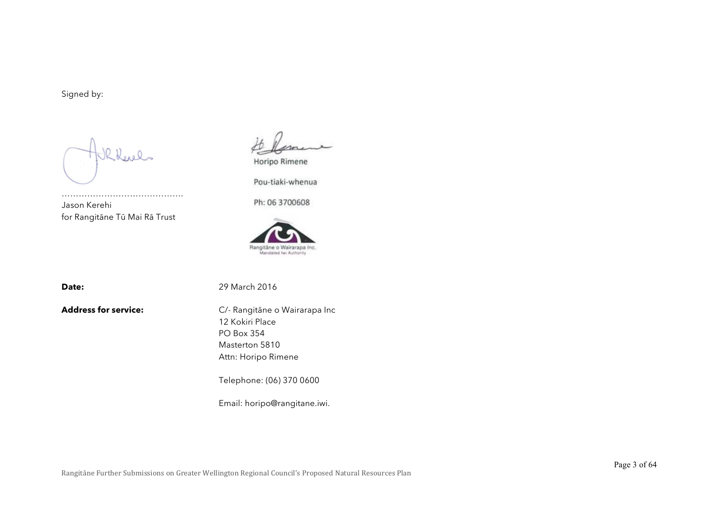Signed by:

Kkevels

……………………………………. Jason Kerehi for Rangitāne Tū Mai Rā Trust

Horipo Rimene

Pou-tiaki-whenua

Ph: 06 3700608



**Date:** 29 March 2016

**Address for service:** C/- Rangitāne o Wairarapa Inc 12 Kokiri Place PO Box 354 Masterton 5810 Attn: Horipo Rimene

Telephone: (06) 370 0600

Email: horipo@rangitane.iwi.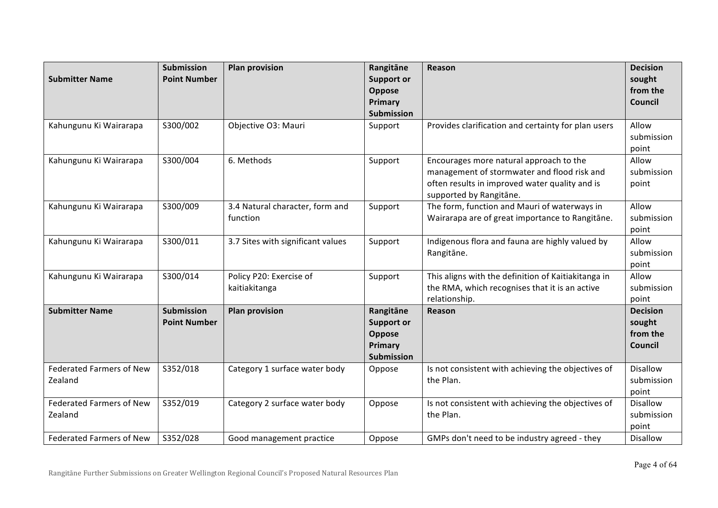| <b>Submitter Name</b>                      | <b>Submission</b><br><b>Point Number</b> | <b>Plan provision</b>                       | Rangitāne<br><b>Support or</b><br>Oppose<br>Primary<br><b>Submission</b> | Reason                                                                                                                                                              | <b>Decision</b><br>sought<br>from the<br><b>Council</b> |
|--------------------------------------------|------------------------------------------|---------------------------------------------|--------------------------------------------------------------------------|---------------------------------------------------------------------------------------------------------------------------------------------------------------------|---------------------------------------------------------|
| Kahungunu Ki Wairarapa                     | S300/002                                 | Objective O3: Mauri                         | Support                                                                  | Provides clarification and certainty for plan users                                                                                                                 | Allow<br>submission<br>point                            |
| Kahungunu Ki Wairarapa                     | S300/004                                 | 6. Methods                                  | Support                                                                  | Encourages more natural approach to the<br>management of stormwater and flood risk and<br>often results in improved water quality and is<br>supported by Rangitāne. | Allow<br>submission<br>point                            |
| Kahungunu Ki Wairarapa                     | S300/009                                 | 3.4 Natural character, form and<br>function | Support                                                                  | The form, function and Mauri of waterways in<br>Wairarapa are of great importance to Rangitāne.                                                                     | Allow<br>submission<br>point                            |
| Kahungunu Ki Wairarapa                     | S300/011                                 | 3.7 Sites with significant values           | Support                                                                  | Indigenous flora and fauna are highly valued by<br>Rangitāne.                                                                                                       | Allow<br>submission<br>point                            |
| Kahungunu Ki Wairarapa                     | S300/014                                 | Policy P20: Exercise of<br>kaitiakitanga    | Support                                                                  | This aligns with the definition of Kaitiakitanga in<br>the RMA, which recognises that it is an active<br>relationship.                                              | Allow<br>submission<br>point                            |
| <b>Submitter Name</b>                      | <b>Submission</b><br><b>Point Number</b> | <b>Plan provision</b>                       | Rangitāne<br><b>Support or</b><br>Oppose<br>Primary<br><b>Submission</b> | Reason                                                                                                                                                              | <b>Decision</b><br>sought<br>from the<br>Council        |
| <b>Federated Farmers of New</b><br>Zealand | S352/018                                 | Category 1 surface water body               | Oppose                                                                   | Is not consistent with achieving the objectives of<br>the Plan.                                                                                                     | <b>Disallow</b><br>submission<br>point                  |
| <b>Federated Farmers of New</b><br>Zealand | S352/019                                 | Category 2 surface water body               | Oppose                                                                   | Is not consistent with achieving the objectives of<br>the Plan.                                                                                                     | <b>Disallow</b><br>submission<br>point                  |
| <b>Federated Farmers of New</b>            | S352/028                                 | Good management practice                    | Oppose                                                                   | GMPs don't need to be industry agreed - they                                                                                                                        | <b>Disallow</b>                                         |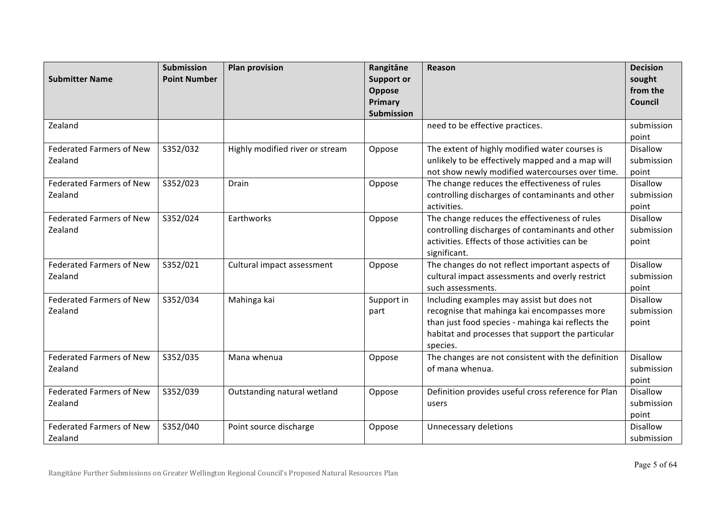| <b>Submitter Name</b>                                                                                                                                                                | <b>Submission</b><br><b>Point Number</b>     | <b>Plan provision</b>                                                               | Rangitāne<br><b>Support or</b><br>Oppose         | <b>Reason</b>                                                                                                                                                                                                                                                                                                                                                                                          | <b>Decision</b><br>sought<br>from the                                                                                                                  |
|--------------------------------------------------------------------------------------------------------------------------------------------------------------------------------------|----------------------------------------------|-------------------------------------------------------------------------------------|--------------------------------------------------|--------------------------------------------------------------------------------------------------------------------------------------------------------------------------------------------------------------------------------------------------------------------------------------------------------------------------------------------------------------------------------------------------------|--------------------------------------------------------------------------------------------------------------------------------------------------------|
|                                                                                                                                                                                      |                                              |                                                                                     | Primary                                          |                                                                                                                                                                                                                                                                                                                                                                                                        | <b>Council</b>                                                                                                                                         |
|                                                                                                                                                                                      |                                              |                                                                                     | Submission                                       |                                                                                                                                                                                                                                                                                                                                                                                                        |                                                                                                                                                        |
| Zealand                                                                                                                                                                              |                                              |                                                                                     |                                                  | need to be effective practices.                                                                                                                                                                                                                                                                                                                                                                        | submission<br>point                                                                                                                                    |
| <b>Federated Farmers of New</b>                                                                                                                                                      | S352/032                                     | Highly modified river or stream                                                     | Oppose                                           | The extent of highly modified water courses is                                                                                                                                                                                                                                                                                                                                                         | <b>Disallow</b>                                                                                                                                        |
| Zealand                                                                                                                                                                              |                                              |                                                                                     |                                                  | unlikely to be effectively mapped and a map will                                                                                                                                                                                                                                                                                                                                                       | submission                                                                                                                                             |
|                                                                                                                                                                                      |                                              |                                                                                     |                                                  | not show newly modified watercourses over time.                                                                                                                                                                                                                                                                                                                                                        | point                                                                                                                                                  |
| <b>Federated Farmers of New</b>                                                                                                                                                      | S352/023                                     | Drain                                                                               | Oppose                                           | The change reduces the effectiveness of rules                                                                                                                                                                                                                                                                                                                                                          | <b>Disallow</b>                                                                                                                                        |
| Zealand                                                                                                                                                                              |                                              |                                                                                     |                                                  | controlling discharges of contaminants and other                                                                                                                                                                                                                                                                                                                                                       | submission                                                                                                                                             |
|                                                                                                                                                                                      |                                              |                                                                                     |                                                  | activities.                                                                                                                                                                                                                                                                                                                                                                                            | point                                                                                                                                                  |
| <b>Federated Farmers of New</b>                                                                                                                                                      | S352/024                                     | Earthworks                                                                          | Oppose                                           | The change reduces the effectiveness of rules                                                                                                                                                                                                                                                                                                                                                          | <b>Disallow</b>                                                                                                                                        |
| Zealand                                                                                                                                                                              |                                              |                                                                                     |                                                  | controlling discharges of contaminants and other                                                                                                                                                                                                                                                                                                                                                       | submission                                                                                                                                             |
|                                                                                                                                                                                      |                                              |                                                                                     |                                                  | activities. Effects of those activities can be                                                                                                                                                                                                                                                                                                                                                         | point                                                                                                                                                  |
|                                                                                                                                                                                      |                                              |                                                                                     |                                                  | significant.                                                                                                                                                                                                                                                                                                                                                                                           |                                                                                                                                                        |
| <b>Federated Farmers of New</b>                                                                                                                                                      | S352/021                                     | Cultural impact assessment                                                          | Oppose                                           | The changes do not reflect important aspects of                                                                                                                                                                                                                                                                                                                                                        | Disallow                                                                                                                                               |
| Zealand                                                                                                                                                                              |                                              |                                                                                     |                                                  | cultural impact assessments and overly restrict                                                                                                                                                                                                                                                                                                                                                        | submission                                                                                                                                             |
|                                                                                                                                                                                      |                                              |                                                                                     |                                                  |                                                                                                                                                                                                                                                                                                                                                                                                        |                                                                                                                                                        |
|                                                                                                                                                                                      |                                              |                                                                                     |                                                  |                                                                                                                                                                                                                                                                                                                                                                                                        |                                                                                                                                                        |
|                                                                                                                                                                                      |                                              |                                                                                     |                                                  |                                                                                                                                                                                                                                                                                                                                                                                                        |                                                                                                                                                        |
|                                                                                                                                                                                      |                                              |                                                                                     |                                                  |                                                                                                                                                                                                                                                                                                                                                                                                        |                                                                                                                                                        |
|                                                                                                                                                                                      |                                              |                                                                                     |                                                  |                                                                                                                                                                                                                                                                                                                                                                                                        |                                                                                                                                                        |
|                                                                                                                                                                                      |                                              |                                                                                     |                                                  |                                                                                                                                                                                                                                                                                                                                                                                                        |                                                                                                                                                        |
|                                                                                                                                                                                      |                                              |                                                                                     |                                                  |                                                                                                                                                                                                                                                                                                                                                                                                        |                                                                                                                                                        |
|                                                                                                                                                                                      |                                              |                                                                                     |                                                  |                                                                                                                                                                                                                                                                                                                                                                                                        |                                                                                                                                                        |
|                                                                                                                                                                                      |                                              |                                                                                     |                                                  |                                                                                                                                                                                                                                                                                                                                                                                                        |                                                                                                                                                        |
|                                                                                                                                                                                      |                                              |                                                                                     |                                                  |                                                                                                                                                                                                                                                                                                                                                                                                        |                                                                                                                                                        |
|                                                                                                                                                                                      |                                              |                                                                                     |                                                  |                                                                                                                                                                                                                                                                                                                                                                                                        |                                                                                                                                                        |
|                                                                                                                                                                                      |                                              |                                                                                     |                                                  |                                                                                                                                                                                                                                                                                                                                                                                                        |                                                                                                                                                        |
|                                                                                                                                                                                      |                                              |                                                                                     |                                                  |                                                                                                                                                                                                                                                                                                                                                                                                        |                                                                                                                                                        |
| <b>Federated Farmers of New</b><br>Zealand<br><b>Federated Farmers of New</b><br>Zealand<br><b>Federated Farmers of New</b><br>Zealand<br><b>Federated Farmers of New</b><br>Zealand | S352/034<br>S352/035<br>S352/039<br>S352/040 | Mahinga kai<br>Mana whenua<br>Outstanding natural wetland<br>Point source discharge | Support in<br>part<br>Oppose<br>Oppose<br>Oppose | such assessments.<br>Including examples may assist but does not<br>recognise that mahinga kai encompasses more<br>than just food species - mahinga kai reflects the<br>habitat and processes that support the particular<br>species.<br>The changes are not consistent with the definition<br>of mana whenua.<br>Definition provides useful cross reference for Plan<br>users<br>Unnecessary deletions | point<br>Disallow<br>submission<br>point<br>Disallow<br>submission<br>point<br><b>Disallow</b><br>submission<br>point<br><b>Disallow</b><br>submission |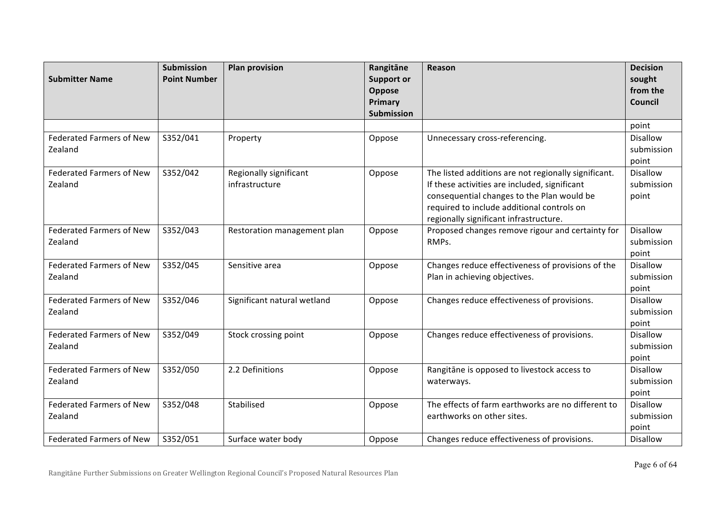| <b>Submitter Name</b>                      | <b>Submission</b><br><b>Point Number</b> | <b>Plan provision</b>                    | Rangitāne<br><b>Support or</b><br>Oppose<br>Primary<br><b>Submission</b> | Reason                                                                                                                                                                                                                                      | <b>Decision</b><br>sought<br>from the<br><b>Council</b> |
|--------------------------------------------|------------------------------------------|------------------------------------------|--------------------------------------------------------------------------|---------------------------------------------------------------------------------------------------------------------------------------------------------------------------------------------------------------------------------------------|---------------------------------------------------------|
|                                            |                                          |                                          |                                                                          |                                                                                                                                                                                                                                             | point                                                   |
| <b>Federated Farmers of New</b><br>Zealand | S352/041                                 | Property                                 | Oppose                                                                   | Unnecessary cross-referencing.                                                                                                                                                                                                              | <b>Disallow</b><br>submission<br>point                  |
| <b>Federated Farmers of New</b><br>Zealand | S352/042                                 | Regionally significant<br>infrastructure | Oppose                                                                   | The listed additions are not regionally significant.<br>If these activities are included, significant<br>consequential changes to the Plan would be<br>required to include additional controls on<br>regionally significant infrastructure. | Disallow<br>submission<br>point                         |
| <b>Federated Farmers of New</b><br>Zealand | S352/043                                 | Restoration management plan              | Oppose                                                                   | Proposed changes remove rigour and certainty for<br>RMPs.                                                                                                                                                                                   | <b>Disallow</b><br>submission<br>point                  |
| <b>Federated Farmers of New</b><br>Zealand | S352/045                                 | Sensitive area                           | Oppose                                                                   | Changes reduce effectiveness of provisions of the<br>Plan in achieving objectives.                                                                                                                                                          | Disallow<br>submission<br>point                         |
| <b>Federated Farmers of New</b><br>Zealand | S352/046                                 | Significant natural wetland              | Oppose                                                                   | Changes reduce effectiveness of provisions.                                                                                                                                                                                                 | <b>Disallow</b><br>submission<br>point                  |
| <b>Federated Farmers of New</b><br>Zealand | S352/049                                 | Stock crossing point                     | Oppose                                                                   | Changes reduce effectiveness of provisions.                                                                                                                                                                                                 | <b>Disallow</b><br>submission<br>point                  |
| <b>Federated Farmers of New</b><br>Zealand | S352/050                                 | 2.2 Definitions                          | Oppose                                                                   | Rangitāne is opposed to livestock access to<br>waterways.                                                                                                                                                                                   | <b>Disallow</b><br>submission<br>point                  |
| <b>Federated Farmers of New</b><br>Zealand | S352/048                                 | Stabilised                               | Oppose                                                                   | The effects of farm earthworks are no different to<br>earthworks on other sites.                                                                                                                                                            | <b>Disallow</b><br>submission<br>point                  |
| <b>Federated Farmers of New</b>            | S352/051                                 | Surface water body                       | Oppose                                                                   | Changes reduce effectiveness of provisions.                                                                                                                                                                                                 | <b>Disallow</b>                                         |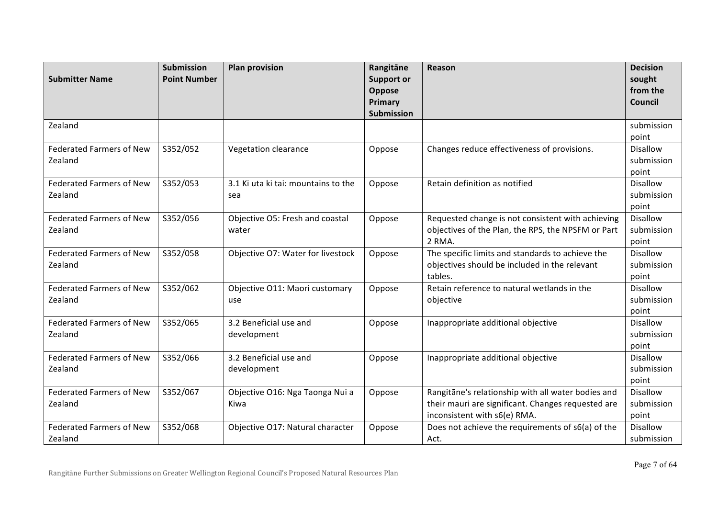| <b>Submitter Name</b>                      | <b>Submission</b><br><b>Point Number</b> | <b>Plan provision</b>                      | Rangitāne<br><b>Support or</b><br>Oppose | <b>Reason</b>                                                                                                                            | <b>Decision</b><br>sought<br>from the  |
|--------------------------------------------|------------------------------------------|--------------------------------------------|------------------------------------------|------------------------------------------------------------------------------------------------------------------------------------------|----------------------------------------|
|                                            |                                          |                                            | Primary<br><b>Submission</b>             |                                                                                                                                          | <b>Council</b>                         |
| Zealand                                    |                                          |                                            |                                          |                                                                                                                                          | submission<br>point                    |
| <b>Federated Farmers of New</b><br>Zealand | S352/052                                 | Vegetation clearance                       | Oppose                                   | Changes reduce effectiveness of provisions.                                                                                              | <b>Disallow</b><br>submission<br>point |
| <b>Federated Farmers of New</b><br>Zealand | S352/053                                 | 3.1 Ki uta ki tai: mountains to the<br>sea | Oppose                                   | Retain definition as notified                                                                                                            | <b>Disallow</b><br>submission<br>point |
| <b>Federated Farmers of New</b><br>Zealand | S352/056                                 | Objective O5: Fresh and coastal<br>water   | Oppose                                   | Requested change is not consistent with achieving<br>objectives of the Plan, the RPS, the NPSFM or Part<br>2 RMA.                        | Disallow<br>submission<br>point        |
| <b>Federated Farmers of New</b><br>Zealand | S352/058                                 | Objective O7: Water for livestock          | Oppose                                   | The specific limits and standards to achieve the<br>objectives should be included in the relevant<br>tables.                             | <b>Disallow</b><br>submission<br>point |
| <b>Federated Farmers of New</b><br>Zealand | S352/062                                 | Objective O11: Maori customary<br>use      | Oppose                                   | Retain reference to natural wetlands in the<br>objective                                                                                 | <b>Disallow</b><br>submission<br>point |
| <b>Federated Farmers of New</b><br>Zealand | S352/065                                 | 3.2 Beneficial use and<br>development      | Oppose                                   | Inappropriate additional objective                                                                                                       | Disallow<br>submission<br>point        |
| <b>Federated Farmers of New</b><br>Zealand | S352/066                                 | 3.2 Beneficial use and<br>development      | Oppose                                   | Inappropriate additional objective                                                                                                       | Disallow<br>submission<br>point        |
| <b>Federated Farmers of New</b><br>Zealand | S352/067                                 | Objective O16: Nga Taonga Nui a<br>Kiwa    | Oppose                                   | Rangitāne's relationship with all water bodies and<br>their mauri are significant. Changes requested are<br>inconsistent with s6(e) RMA. | <b>Disallow</b><br>submission<br>point |
| <b>Federated Farmers of New</b><br>Zealand | S352/068                                 | Objective O17: Natural character           | Oppose                                   | Does not achieve the requirements of s6(a) of the<br>Act.                                                                                | <b>Disallow</b><br>submission          |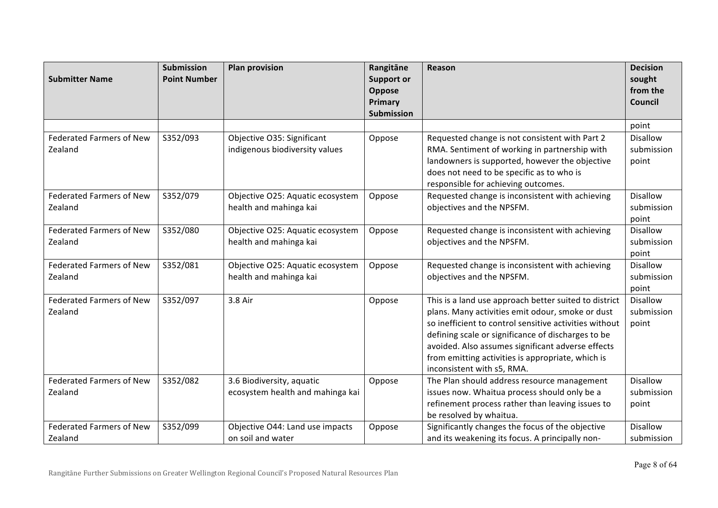| <b>Submitter Name</b>                      | <b>Submission</b><br><b>Point Number</b> | <b>Plan provision</b>                                         | Rangitāne<br><b>Support or</b><br>Oppose<br>Primary<br><b>Submission</b> | <b>Reason</b>                                                                                                                                                                                                                                                                                                                                                     | <b>Decision</b><br>sought<br>from the<br><b>Council</b> |
|--------------------------------------------|------------------------------------------|---------------------------------------------------------------|--------------------------------------------------------------------------|-------------------------------------------------------------------------------------------------------------------------------------------------------------------------------------------------------------------------------------------------------------------------------------------------------------------------------------------------------------------|---------------------------------------------------------|
|                                            |                                          |                                                               |                                                                          |                                                                                                                                                                                                                                                                                                                                                                   | point                                                   |
| <b>Federated Farmers of New</b><br>Zealand | S352/093                                 | Objective O35: Significant<br>indigenous biodiversity values  | Oppose                                                                   | Requested change is not consistent with Part 2<br>RMA. Sentiment of working in partnership with<br>landowners is supported, however the objective<br>does not need to be specific as to who is<br>responsible for achieving outcomes.                                                                                                                             | <b>Disallow</b><br>submission<br>point                  |
| <b>Federated Farmers of New</b><br>Zealand | S352/079                                 | Objective O25: Aquatic ecosystem<br>health and mahinga kai    | Oppose                                                                   | Requested change is inconsistent with achieving<br>objectives and the NPSFM.                                                                                                                                                                                                                                                                                      | <b>Disallow</b><br>submission<br>point                  |
| <b>Federated Farmers of New</b><br>Zealand | S352/080                                 | Objective O25: Aquatic ecosystem<br>health and mahinga kai    | Oppose                                                                   | Requested change is inconsistent with achieving<br>objectives and the NPSFM.                                                                                                                                                                                                                                                                                      | <b>Disallow</b><br>submission<br>point                  |
| <b>Federated Farmers of New</b><br>Zealand | S352/081                                 | Objective O25: Aquatic ecosystem<br>health and mahinga kai    | Oppose                                                                   | Requested change is inconsistent with achieving<br>objectives and the NPSFM.                                                                                                                                                                                                                                                                                      | <b>Disallow</b><br>submission<br>point                  |
| <b>Federated Farmers of New</b><br>Zealand | S352/097                                 | 3.8 Air                                                       | Oppose                                                                   | This is a land use approach better suited to district<br>plans. Many activities emit odour, smoke or dust<br>so inefficient to control sensitive activities without<br>defining scale or significance of discharges to be<br>avoided. Also assumes significant adverse effects<br>from emitting activities is appropriate, which is<br>inconsistent with s5, RMA. | <b>Disallow</b><br>submission<br>point                  |
| <b>Federated Farmers of New</b><br>Zealand | S352/082                                 | 3.6 Biodiversity, aquatic<br>ecosystem health and mahinga kai | Oppose                                                                   | The Plan should address resource management<br>issues now. Whaitua process should only be a<br>refinement process rather than leaving issues to<br>be resolved by whaitua.                                                                                                                                                                                        | <b>Disallow</b><br>submission<br>point                  |
| <b>Federated Farmers of New</b><br>Zealand | S352/099                                 | Objective O44: Land use impacts<br>on soil and water          | Oppose                                                                   | Significantly changes the focus of the objective<br>and its weakening its focus. A principally non-                                                                                                                                                                                                                                                               | <b>Disallow</b><br>submission                           |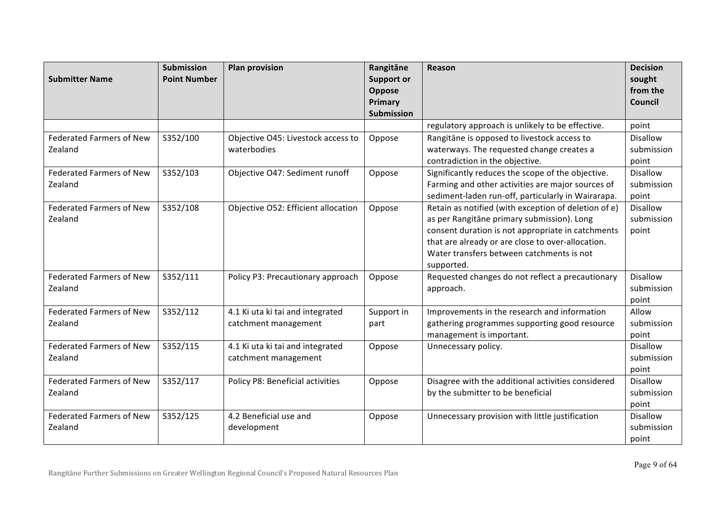| <b>Submitter Name</b>                      | <b>Submission</b><br><b>Point Number</b> | <b>Plan provision</b>                                    | Rangitāne<br><b>Support or</b><br>Oppose | <b>Reason</b>                                                                                                                                                                                                                                                           | <b>Decision</b><br>sought<br>from the  |
|--------------------------------------------|------------------------------------------|----------------------------------------------------------|------------------------------------------|-------------------------------------------------------------------------------------------------------------------------------------------------------------------------------------------------------------------------------------------------------------------------|----------------------------------------|
|                                            |                                          |                                                          | Primary<br><b>Submission</b>             |                                                                                                                                                                                                                                                                         | Council                                |
|                                            |                                          |                                                          |                                          | regulatory approach is unlikely to be effective.                                                                                                                                                                                                                        | point                                  |
| <b>Federated Farmers of New</b><br>Zealand | S352/100                                 | Objective O45: Livestock access to<br>waterbodies        | Oppose                                   | Rangitāne is opposed to livestock access to<br>waterways. The requested change creates a<br>contradiction in the objective.                                                                                                                                             | <b>Disallow</b><br>submission<br>point |
| <b>Federated Farmers of New</b><br>Zealand | S352/103                                 | Objective O47: Sediment runoff                           | Oppose                                   | Significantly reduces the scope of the objective.<br>Farming and other activities are major sources of<br>sediment-laden run-off, particularly in Wairarapa.                                                                                                            | Disallow<br>submission<br>point        |
| <b>Federated Farmers of New</b><br>Zealand | S352/108                                 | Objective O52: Efficient allocation                      | Oppose                                   | Retain as notified (with exception of deletion of e)<br>as per Rangitāne primary submission). Long<br>consent duration is not appropriate in catchments<br>that are already or are close to over-allocation.<br>Water transfers between catchments is not<br>supported. | <b>Disallow</b><br>submission<br>point |
| <b>Federated Farmers of New</b><br>Zealand | S352/111                                 | Policy P3: Precautionary approach                        | Oppose                                   | Requested changes do not reflect a precautionary<br>approach.                                                                                                                                                                                                           | <b>Disallow</b><br>submission<br>point |
| <b>Federated Farmers of New</b><br>Zealand | S352/112                                 | 4.1 Ki uta ki tai and integrated<br>catchment management | Support in<br>part                       | Improvements in the research and information<br>gathering programmes supporting good resource<br>management is important.                                                                                                                                               | Allow<br>submission<br>point           |
| <b>Federated Farmers of New</b><br>Zealand | S352/115                                 | 4.1 Ki uta ki tai and integrated<br>catchment management | Oppose                                   | Unnecessary policy.                                                                                                                                                                                                                                                     | <b>Disallow</b><br>submission<br>point |
| <b>Federated Farmers of New</b><br>Zealand | S352/117                                 | Policy P8: Beneficial activities                         | Oppose                                   | Disagree with the additional activities considered<br>by the submitter to be beneficial                                                                                                                                                                                 | <b>Disallow</b><br>submission<br>point |
| <b>Federated Farmers of New</b><br>Zealand | S352/125                                 | 4.2 Beneficial use and<br>development                    | Oppose                                   | Unnecessary provision with little justification                                                                                                                                                                                                                         | <b>Disallow</b><br>submission<br>point |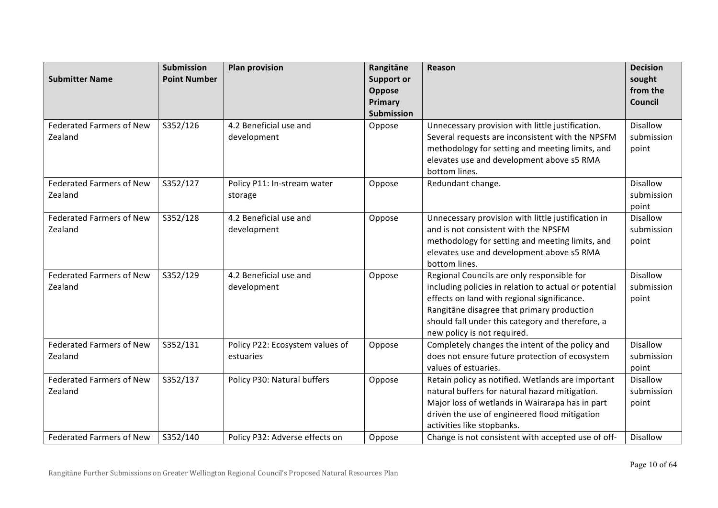| <b>Submitter Name</b>                                                         | <b>Submission</b><br><b>Point Number</b> | <b>Plan provision</b>                                         | Rangitāne<br><b>Support or</b><br>Oppose<br>Primary<br><b>Submission</b> | Reason                                                                                                                                                                                                                                                                                      | <b>Decision</b><br>sought<br>from the<br><b>Council</b>   |
|-------------------------------------------------------------------------------|------------------------------------------|---------------------------------------------------------------|--------------------------------------------------------------------------|---------------------------------------------------------------------------------------------------------------------------------------------------------------------------------------------------------------------------------------------------------------------------------------------|-----------------------------------------------------------|
| <b>Federated Farmers of New</b><br>Zealand                                    | S352/126                                 | 4.2 Beneficial use and<br>development                         | Oppose                                                                   | Unnecessary provision with little justification.<br>Several requests are inconsistent with the NPSFM<br>methodology for setting and meeting limits, and<br>elevates use and development above s5 RMA<br>bottom lines.                                                                       | <b>Disallow</b><br>submission<br>point                    |
| <b>Federated Farmers of New</b><br>Zealand                                    | S352/127                                 | Policy P11: In-stream water<br>storage                        | Oppose                                                                   | Redundant change.                                                                                                                                                                                                                                                                           | <b>Disallow</b><br>submission<br>point                    |
| <b>Federated Farmers of New</b><br>Zealand                                    | S352/128                                 | 4.2 Beneficial use and<br>development                         | Oppose                                                                   | Unnecessary provision with little justification in<br>and is not consistent with the NPSFM<br>methodology for setting and meeting limits, and<br>elevates use and development above s5 RMA<br>bottom lines.                                                                                 | Disallow<br>submission<br>point                           |
| <b>Federated Farmers of New</b><br>Zealand                                    | S352/129                                 | 4.2 Beneficial use and<br>development                         | Oppose                                                                   | Regional Councils are only responsible for<br>including policies in relation to actual or potential<br>effects on land with regional significance.<br>Rangitāne disagree that primary production<br>should fall under this category and therefore, a<br>new policy is not required.         | <b>Disallow</b><br>submission<br>point                    |
| <b>Federated Farmers of New</b><br>Zealand                                    | S352/131                                 | Policy P22: Ecosystem values of<br>estuaries                  | Oppose                                                                   | Completely changes the intent of the policy and<br>does not ensure future protection of ecosystem<br>values of estuaries.                                                                                                                                                                   | <b>Disallow</b><br>submission<br>point                    |
| <b>Federated Farmers of New</b><br>Zealand<br><b>Federated Farmers of New</b> | S352/137<br>S352/140                     | Policy P30: Natural buffers<br>Policy P32: Adverse effects on | Oppose                                                                   | Retain policy as notified. Wetlands are important<br>natural buffers for natural hazard mitigation.<br>Major loss of wetlands in Wairarapa has in part<br>driven the use of engineered flood mitigation<br>activities like stopbanks.<br>Change is not consistent with accepted use of off- | <b>Disallow</b><br>submission<br>point<br><b>Disallow</b> |
|                                                                               |                                          |                                                               | Oppose                                                                   |                                                                                                                                                                                                                                                                                             |                                                           |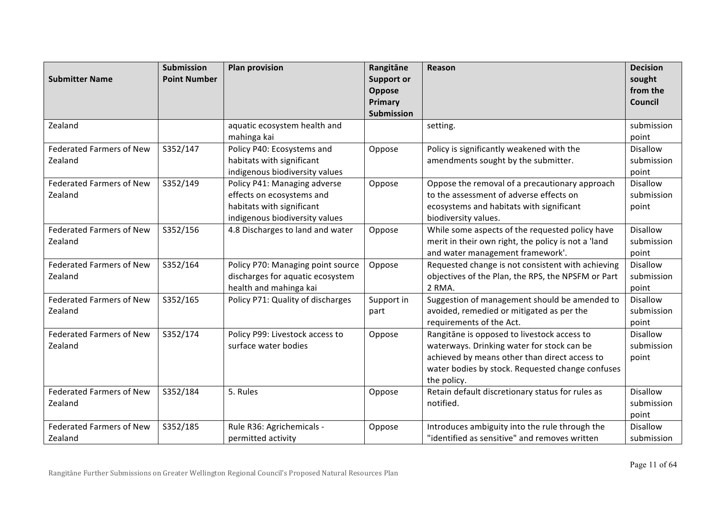| <b>Submitter Name</b>                      | <b>Submission</b><br><b>Point Number</b> | <b>Plan provision</b>                                                                                                    | Rangitāne<br><b>Support or</b><br>Oppose<br>Primary | Reason                                                                                                                                                                                                        | <b>Decision</b><br>sought<br>from the<br><b>Council</b> |
|--------------------------------------------|------------------------------------------|--------------------------------------------------------------------------------------------------------------------------|-----------------------------------------------------|---------------------------------------------------------------------------------------------------------------------------------------------------------------------------------------------------------------|---------------------------------------------------------|
|                                            |                                          |                                                                                                                          | <b>Submission</b>                                   |                                                                                                                                                                                                               |                                                         |
| Zealand                                    |                                          | aquatic ecosystem health and<br>mahinga kai                                                                              |                                                     | setting.                                                                                                                                                                                                      | submission<br>point                                     |
| <b>Federated Farmers of New</b><br>Zealand | S352/147                                 | Policy P40: Ecosystems and<br>habitats with significant<br>indigenous biodiversity values                                | Oppose                                              | Policy is significantly weakened with the<br>amendments sought by the submitter.                                                                                                                              | Disallow<br>submission<br>point                         |
| <b>Federated Farmers of New</b><br>Zealand | S352/149                                 | Policy P41: Managing adverse<br>effects on ecosystems and<br>habitats with significant<br>indigenous biodiversity values | Oppose                                              | Oppose the removal of a precautionary approach<br>to the assessment of adverse effects on<br>ecosystems and habitats with significant<br>biodiversity values.                                                 | <b>Disallow</b><br>submission<br>point                  |
| <b>Federated Farmers of New</b><br>Zealand | S352/156                                 | 4.8 Discharges to land and water                                                                                         | Oppose                                              | While some aspects of the requested policy have<br>merit in their own right, the policy is not a 'land<br>and water management framework'.                                                                    | <b>Disallow</b><br>submission<br>point                  |
| <b>Federated Farmers of New</b><br>Zealand | S352/164                                 | Policy P70: Managing point source<br>discharges for aquatic ecosystem<br>health and mahinga kai                          | Oppose                                              | Requested change is not consistent with achieving<br>objectives of the Plan, the RPS, the NPSFM or Part<br>2 RMA.                                                                                             | Disallow<br>submission<br>point                         |
| <b>Federated Farmers of New</b><br>Zealand | S352/165                                 | Policy P71: Quality of discharges                                                                                        | Support in<br>part                                  | Suggestion of management should be amended to<br>avoided, remedied or mitigated as per the<br>requirements of the Act.                                                                                        | <b>Disallow</b><br>submission<br>point                  |
| <b>Federated Farmers of New</b><br>Zealand | S352/174                                 | Policy P99: Livestock access to<br>surface water bodies                                                                  | Oppose                                              | Rangitāne is opposed to livestock access to<br>waterways. Drinking water for stock can be<br>achieved by means other than direct access to<br>water bodies by stock. Requested change confuses<br>the policy. | <b>Disallow</b><br>submission<br>point                  |
| <b>Federated Farmers of New</b><br>Zealand | S352/184                                 | 5. Rules                                                                                                                 | Oppose                                              | Retain default discretionary status for rules as<br>notified.                                                                                                                                                 | Disallow<br>submission<br>point                         |
| <b>Federated Farmers of New</b><br>Zealand | S352/185                                 | Rule R36: Agrichemicals -<br>permitted activity                                                                          | Oppose                                              | Introduces ambiguity into the rule through the<br>"identified as sensitive" and removes written                                                                                                               | <b>Disallow</b><br>submission                           |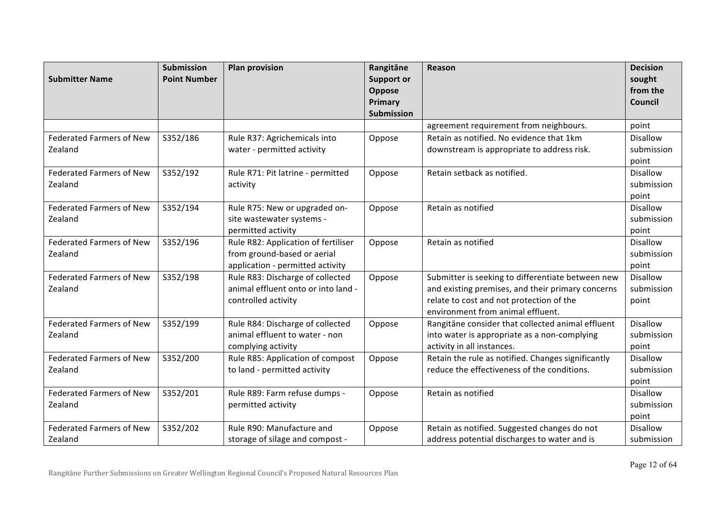| <b>Submitter Name</b>           | <b>Submission</b><br><b>Point Number</b> | <b>Plan provision</b>                                              | Rangitāne<br><b>Support or</b><br>Oppose<br>Primary | Reason                                                                                            | <b>Decision</b><br>sought<br>from the<br><b>Council</b> |
|---------------------------------|------------------------------------------|--------------------------------------------------------------------|-----------------------------------------------------|---------------------------------------------------------------------------------------------------|---------------------------------------------------------|
|                                 |                                          |                                                                    | <b>Submission</b>                                   | agreement requirement from neighbours.                                                            | point                                                   |
| <b>Federated Farmers of New</b> | S352/186                                 | Rule R37: Agrichemicals into                                       | Oppose                                              | Retain as notified. No evidence that 1km                                                          | <b>Disallow</b>                                         |
| Zealand                         |                                          | water - permitted activity                                         |                                                     | downstream is appropriate to address risk.                                                        | submission                                              |
|                                 |                                          |                                                                    |                                                     |                                                                                                   | point                                                   |
| <b>Federated Farmers of New</b> | S352/192                                 | Rule R71: Pit latrine - permitted                                  | Oppose                                              | Retain setback as notified.                                                                       | Disallow                                                |
| Zealand                         |                                          | activity                                                           |                                                     |                                                                                                   | submission                                              |
|                                 |                                          |                                                                    |                                                     |                                                                                                   | point                                                   |
| <b>Federated Farmers of New</b> | S352/194                                 | Rule R75: New or upgraded on-                                      | Oppose                                              | Retain as notified                                                                                | <b>Disallow</b>                                         |
| Zealand                         |                                          | site wastewater systems -                                          |                                                     |                                                                                                   | submission                                              |
|                                 |                                          | permitted activity                                                 |                                                     |                                                                                                   | point                                                   |
| <b>Federated Farmers of New</b> | S352/196                                 | Rule R82: Application of fertiliser                                | Oppose                                              | Retain as notified                                                                                | <b>Disallow</b>                                         |
| Zealand                         |                                          | from ground-based or aerial                                        |                                                     |                                                                                                   | submission                                              |
|                                 |                                          | application - permitted activity                                   |                                                     |                                                                                                   | point                                                   |
| <b>Federated Farmers of New</b> | S352/198                                 | Rule R83: Discharge of collected                                   | Oppose                                              | Submitter is seeking to differentiate between new                                                 | <b>Disallow</b>                                         |
| Zealand                         |                                          | animal effluent onto or into land -                                |                                                     | and existing premises, and their primary concerns                                                 | submission                                              |
|                                 |                                          | controlled activity                                                |                                                     | relate to cost and not protection of the<br>environment from animal effluent.                     | point                                                   |
| <b>Federated Farmers of New</b> | S352/199                                 |                                                                    |                                                     |                                                                                                   | <b>Disallow</b>                                         |
| Zealand                         |                                          | Rule R84: Discharge of collected<br>animal effluent to water - non | Oppose                                              | Rangitāne consider that collected animal effluent<br>into water is appropriate as a non-complying | submission                                              |
|                                 |                                          | complying activity                                                 |                                                     | activity in all instances.                                                                        | point                                                   |
| <b>Federated Farmers of New</b> | S352/200                                 | Rule R85: Application of compost                                   | Oppose                                              | Retain the rule as notified. Changes significantly                                                | Disallow                                                |
| Zealand                         |                                          | to land - permitted activity                                       |                                                     | reduce the effectiveness of the conditions.                                                       | submission                                              |
|                                 |                                          |                                                                    |                                                     |                                                                                                   | point                                                   |
| <b>Federated Farmers of New</b> | S352/201                                 | Rule R89: Farm refuse dumps -                                      | Oppose                                              | Retain as notified                                                                                | <b>Disallow</b>                                         |
| Zealand                         |                                          | permitted activity                                                 |                                                     |                                                                                                   | submission                                              |
|                                 |                                          |                                                                    |                                                     |                                                                                                   | point                                                   |
| <b>Federated Farmers of New</b> | S352/202                                 | Rule R90: Manufacture and                                          | Oppose                                              | Retain as notified. Suggested changes do not                                                      | Disallow                                                |
| Zealand                         |                                          | storage of silage and compost -                                    |                                                     | address potential discharges to water and is                                                      | submission                                              |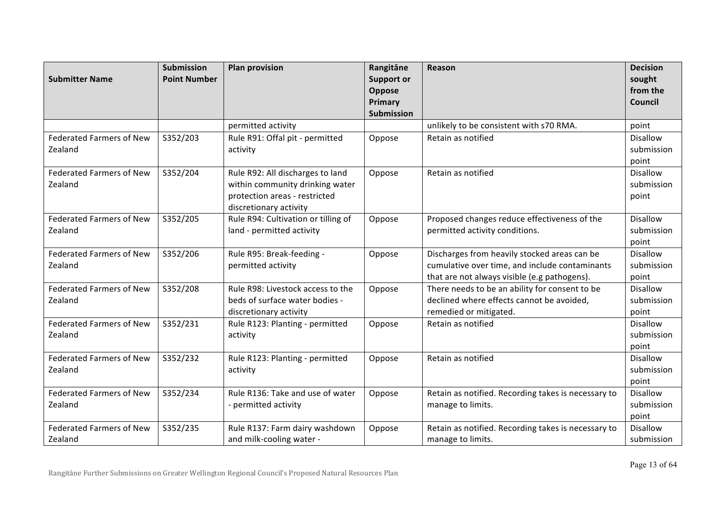| <b>Submitter Name</b>           | <b>Submission</b><br><b>Point Number</b> | <b>Plan provision</b>                       | Rangitāne<br><b>Support or</b> | Reason                                                                                         | <b>Decision</b><br>sought |
|---------------------------------|------------------------------------------|---------------------------------------------|--------------------------------|------------------------------------------------------------------------------------------------|---------------------------|
|                                 |                                          |                                             | Oppose<br>Primary              |                                                                                                | from the<br>Council       |
|                                 |                                          |                                             | <b>Submission</b>              |                                                                                                |                           |
|                                 |                                          | permitted activity                          |                                | unlikely to be consistent with s70 RMA.                                                        | point                     |
| <b>Federated Farmers of New</b> | S352/203                                 | Rule R91: Offal pit - permitted             | Oppose                         | Retain as notified                                                                             | <b>Disallow</b>           |
| Zealand                         |                                          | activity                                    |                                |                                                                                                | submission                |
|                                 |                                          |                                             |                                |                                                                                                | point                     |
| <b>Federated Farmers of New</b> | S352/204                                 | Rule R92: All discharges to land            | Oppose                         | Retain as notified                                                                             | Disallow                  |
| Zealand                         |                                          | within community drinking water             |                                |                                                                                                | submission                |
|                                 |                                          | protection areas - restricted               |                                |                                                                                                | point                     |
|                                 |                                          | discretionary activity                      |                                |                                                                                                |                           |
| <b>Federated Farmers of New</b> | S352/205                                 | Rule R94: Cultivation or tilling of         | Oppose                         | Proposed changes reduce effectiveness of the                                                   | <b>Disallow</b>           |
| Zealand                         |                                          | land - permitted activity                   |                                | permitted activity conditions.                                                                 | submission                |
|                                 |                                          |                                             |                                |                                                                                                | point                     |
| <b>Federated Farmers of New</b> | S352/206                                 | Rule R95: Break-feeding -                   | Oppose                         | Discharges from heavily stocked areas can be                                                   | <b>Disallow</b>           |
| Zealand                         |                                          | permitted activity                          |                                | cumulative over time, and include contaminants                                                 | submission                |
| <b>Federated Farmers of New</b> |                                          | Rule R98: Livestock access to the           |                                | that are not always visible (e.g pathogens).<br>There needs to be an ability for consent to be | point<br><b>Disallow</b>  |
| Zealand                         | S352/208                                 | beds of surface water bodies -              | Oppose                         |                                                                                                |                           |
|                                 |                                          |                                             |                                | declined where effects cannot be avoided,                                                      | submission                |
| <b>Federated Farmers of New</b> | S352/231                                 | discretionary activity                      |                                | remedied or mitigated.<br>Retain as notified                                                   | point<br><b>Disallow</b>  |
| Zealand                         |                                          | Rule R123: Planting - permitted<br>activity | Oppose                         |                                                                                                | submission                |
|                                 |                                          |                                             |                                |                                                                                                | point                     |
| <b>Federated Farmers of New</b> | S352/232                                 | Rule R123: Planting - permitted             | Oppose                         | Retain as notified                                                                             | <b>Disallow</b>           |
| Zealand                         |                                          | activity                                    |                                |                                                                                                | submission                |
|                                 |                                          |                                             |                                |                                                                                                | point                     |
| <b>Federated Farmers of New</b> | S352/234                                 | Rule R136: Take and use of water            | Oppose                         | Retain as notified. Recording takes is necessary to                                            | <b>Disallow</b>           |
| Zealand                         |                                          | - permitted activity                        |                                | manage to limits.                                                                              | submission                |
|                                 |                                          |                                             |                                |                                                                                                | point                     |
| <b>Federated Farmers of New</b> | S352/235                                 | Rule R137: Farm dairy washdown              | Oppose                         | Retain as notified. Recording takes is necessary to                                            | <b>Disallow</b>           |
| Zealand                         |                                          | and milk-cooling water -                    |                                | manage to limits.                                                                              | submission                |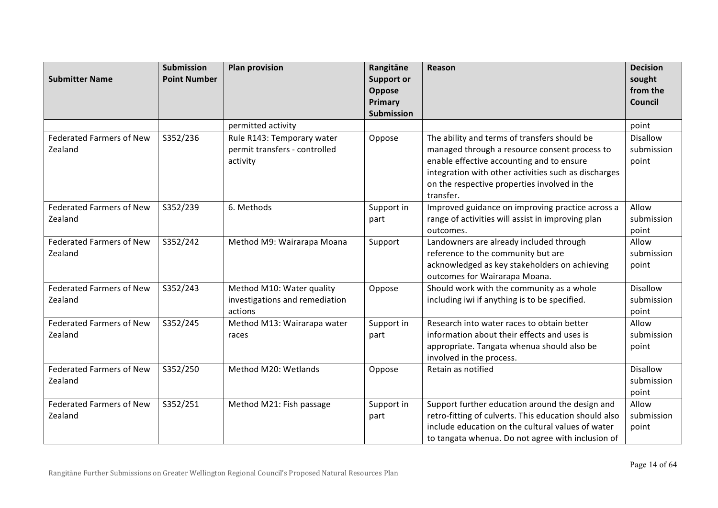| <b>Submitter Name</b>           | <b>Submission</b><br><b>Point Number</b> | <b>Plan provision</b>          | Rangitāne<br><b>Support or</b> | Reason                                                | <b>Decision</b><br>sought |
|---------------------------------|------------------------------------------|--------------------------------|--------------------------------|-------------------------------------------------------|---------------------------|
|                                 |                                          |                                | Oppose                         |                                                       | from the                  |
|                                 |                                          |                                | Primary                        |                                                       | Council                   |
|                                 |                                          |                                | <b>Submission</b>              |                                                       |                           |
|                                 |                                          | permitted activity             |                                |                                                       | point                     |
| <b>Federated Farmers of New</b> | S352/236                                 | Rule R143: Temporary water     | Oppose                         | The ability and terms of transfers should be          | <b>Disallow</b>           |
| Zealand                         |                                          | permit transfers - controlled  |                                | managed through a resource consent process to         | submission                |
|                                 |                                          | activity                       |                                | enable effective accounting and to ensure             | point                     |
|                                 |                                          |                                |                                | integration with other activities such as discharges  |                           |
|                                 |                                          |                                |                                | on the respective properties involved in the          |                           |
|                                 |                                          |                                |                                | transfer.                                             |                           |
| <b>Federated Farmers of New</b> | S352/239                                 | 6. Methods                     | Support in                     | Improved guidance on improving practice across a      | Allow                     |
| Zealand                         |                                          |                                | part                           | range of activities will assist in improving plan     | submission                |
|                                 |                                          |                                |                                | outcomes.                                             | point                     |
| <b>Federated Farmers of New</b> | S352/242                                 | Method M9: Wairarapa Moana     | Support                        | Landowners are already included through               | Allow                     |
| Zealand                         |                                          |                                |                                | reference to the community but are                    | submission                |
|                                 |                                          |                                |                                | acknowledged as key stakeholders on achieving         | point                     |
|                                 |                                          |                                |                                | outcomes for Wairarapa Moana.                         |                           |
| <b>Federated Farmers of New</b> | S352/243                                 | Method M10: Water quality      | Oppose                         | Should work with the community as a whole             | <b>Disallow</b>           |
| Zealand                         |                                          | investigations and remediation |                                | including iwi if anything is to be specified.         | submission                |
|                                 |                                          | actions                        |                                |                                                       | point                     |
| <b>Federated Farmers of New</b> | S352/245                                 | Method M13: Wairarapa water    | Support in                     | Research into water races to obtain better            | Allow                     |
| Zealand                         |                                          | races                          | part                           | information about their effects and uses is           | submission                |
|                                 |                                          |                                |                                | appropriate. Tangata whenua should also be            | point                     |
|                                 |                                          |                                |                                | involved in the process.                              |                           |
| <b>Federated Farmers of New</b> | S352/250                                 | Method M20: Wetlands           | Oppose                         | Retain as notified                                    | <b>Disallow</b>           |
| Zealand                         |                                          |                                |                                |                                                       | submission                |
|                                 |                                          |                                |                                |                                                       | point                     |
| <b>Federated Farmers of New</b> | S352/251                                 | Method M21: Fish passage       | Support in                     | Support further education around the design and       | Allow                     |
| Zealand                         |                                          |                                | part                           | retro-fitting of culverts. This education should also | submission                |
|                                 |                                          |                                |                                | include education on the cultural values of water     | point                     |
|                                 |                                          |                                |                                | to tangata whenua. Do not agree with inclusion of     |                           |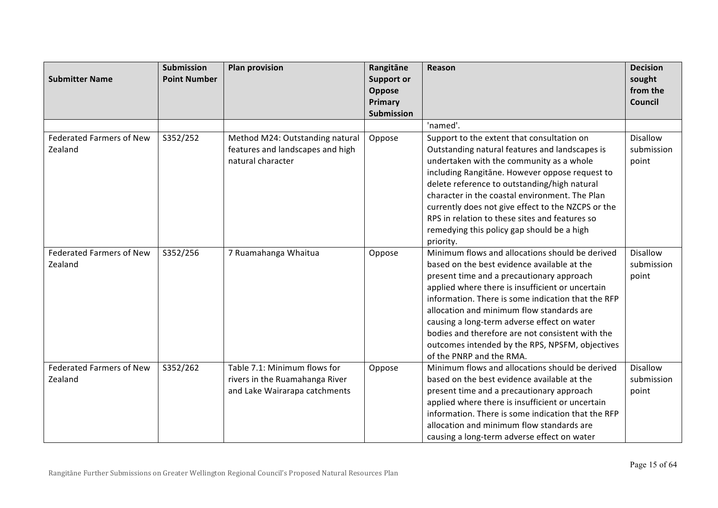| <b>Submitter Name</b>                      | <b>Submission</b><br><b>Point Number</b> | <b>Plan provision</b>                                                                           | Rangitāne<br><b>Support or</b><br>Oppose<br>Primary<br>Submission | Reason                                                                                                                                                                                                                                                                                                                                                                                                                                                                               | <b>Decision</b><br>sought<br>from the<br>Council |
|--------------------------------------------|------------------------------------------|-------------------------------------------------------------------------------------------------|-------------------------------------------------------------------|--------------------------------------------------------------------------------------------------------------------------------------------------------------------------------------------------------------------------------------------------------------------------------------------------------------------------------------------------------------------------------------------------------------------------------------------------------------------------------------|--------------------------------------------------|
|                                            |                                          |                                                                                                 |                                                                   | 'named'.                                                                                                                                                                                                                                                                                                                                                                                                                                                                             |                                                  |
| <b>Federated Farmers of New</b><br>Zealand | S352/252                                 | Method M24: Outstanding natural<br>features and landscapes and high<br>natural character        | Oppose                                                            | Support to the extent that consultation on<br>Outstanding natural features and landscapes is<br>undertaken with the community as a whole<br>including Rangitane. However oppose request to<br>delete reference to outstanding/high natural<br>character in the coastal environment. The Plan<br>currently does not give effect to the NZCPS or the<br>RPS in relation to these sites and features so<br>remedying this policy gap should be a high<br>priority.                      | <b>Disallow</b><br>submission<br>point           |
| <b>Federated Farmers of New</b><br>Zealand | S352/256                                 | 7 Ruamahanga Whaitua                                                                            | Oppose                                                            | Minimum flows and allocations should be derived<br>based on the best evidence available at the<br>present time and a precautionary approach<br>applied where there is insufficient or uncertain<br>information. There is some indication that the RFP<br>allocation and minimum flow standards are<br>causing a long-term adverse effect on water<br>bodies and therefore are not consistent with the<br>outcomes intended by the RPS, NPSFM, objectives<br>of the PNRP and the RMA. | <b>Disallow</b><br>submission<br>point           |
| <b>Federated Farmers of New</b><br>Zealand | S352/262                                 | Table 7.1: Minimum flows for<br>rivers in the Ruamahanga River<br>and Lake Wairarapa catchments | Oppose                                                            | Minimum flows and allocations should be derived<br>based on the best evidence available at the<br>present time and a precautionary approach<br>applied where there is insufficient or uncertain<br>information. There is some indication that the RFP<br>allocation and minimum flow standards are<br>causing a long-term adverse effect on water                                                                                                                                    | Disallow<br>submission<br>point                  |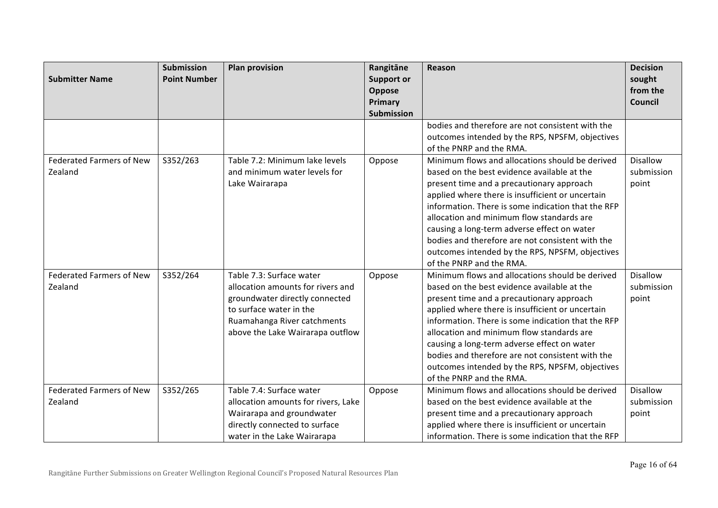| <b>Submitter Name</b>           | <b>Submission</b><br><b>Point Number</b> | <b>Plan provision</b>               | Rangitāne<br><b>Support or</b> | Reason                                             | <b>Decision</b><br>sought<br>from the |
|---------------------------------|------------------------------------------|-------------------------------------|--------------------------------|----------------------------------------------------|---------------------------------------|
|                                 |                                          |                                     | Oppose<br>Primary              |                                                    | <b>Council</b>                        |
|                                 |                                          |                                     | Submission                     |                                                    |                                       |
|                                 |                                          |                                     |                                | bodies and therefore are not consistent with the   |                                       |
|                                 |                                          |                                     |                                | outcomes intended by the RPS, NPSFM, objectives    |                                       |
|                                 |                                          |                                     |                                | of the PNRP and the RMA.                           |                                       |
| <b>Federated Farmers of New</b> | S352/263                                 | Table 7.2: Minimum lake levels      | Oppose                         | Minimum flows and allocations should be derived    | Disallow                              |
| Zealand                         |                                          | and minimum water levels for        |                                | based on the best evidence available at the        | submission                            |
|                                 |                                          | Lake Wairarapa                      |                                | present time and a precautionary approach          | point                                 |
|                                 |                                          |                                     |                                | applied where there is insufficient or uncertain   |                                       |
|                                 |                                          |                                     |                                | information. There is some indication that the RFP |                                       |
|                                 |                                          |                                     |                                | allocation and minimum flow standards are          |                                       |
|                                 |                                          |                                     |                                | causing a long-term adverse effect on water        |                                       |
|                                 |                                          |                                     |                                | bodies and therefore are not consistent with the   |                                       |
|                                 |                                          |                                     |                                | outcomes intended by the RPS, NPSFM, objectives    |                                       |
|                                 |                                          |                                     |                                | of the PNRP and the RMA.                           |                                       |
| <b>Federated Farmers of New</b> | S352/264                                 | Table 7.3: Surface water            | Oppose                         | Minimum flows and allocations should be derived    | <b>Disallow</b>                       |
| Zealand                         |                                          | allocation amounts for rivers and   |                                | based on the best evidence available at the        | submission                            |
|                                 |                                          | groundwater directly connected      |                                | present time and a precautionary approach          | point                                 |
|                                 |                                          | to surface water in the             |                                | applied where there is insufficient or uncertain   |                                       |
|                                 |                                          | Ruamahanga River catchments         |                                | information. There is some indication that the RFP |                                       |
|                                 |                                          | above the Lake Wairarapa outflow    |                                | allocation and minimum flow standards are          |                                       |
|                                 |                                          |                                     |                                | causing a long-term adverse effect on water        |                                       |
|                                 |                                          |                                     |                                | bodies and therefore are not consistent with the   |                                       |
|                                 |                                          |                                     |                                | outcomes intended by the RPS, NPSFM, objectives    |                                       |
|                                 |                                          |                                     |                                | of the PNRP and the RMA.                           |                                       |
| <b>Federated Farmers of New</b> | S352/265                                 | Table 7.4: Surface water            | Oppose                         | Minimum flows and allocations should be derived    | <b>Disallow</b>                       |
| Zealand                         |                                          | allocation amounts for rivers, Lake |                                | based on the best evidence available at the        | submission                            |
|                                 |                                          | Wairarapa and groundwater           |                                | present time and a precautionary approach          | point                                 |
|                                 |                                          | directly connected to surface       |                                | applied where there is insufficient or uncertain   |                                       |
|                                 |                                          | water in the Lake Wairarapa         |                                | information. There is some indication that the RFP |                                       |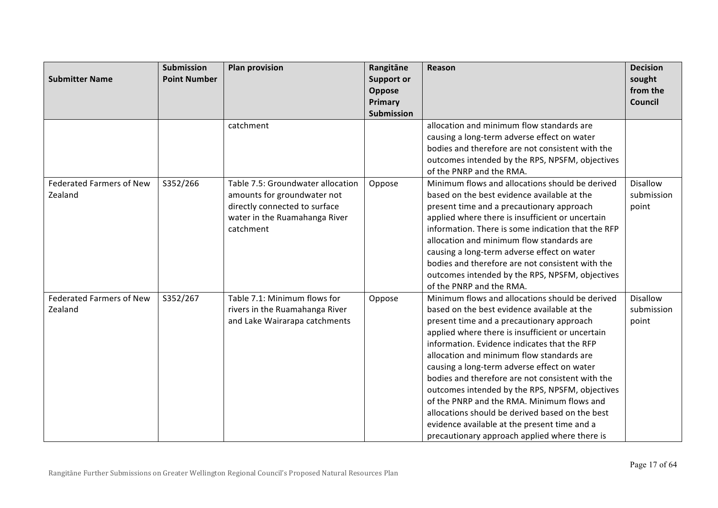| <b>Submitter Name</b>                      | <b>Submission</b><br><b>Point Number</b> | <b>Plan provision</b>                                                                                                                           | Rangitāne<br><b>Support or</b><br>Oppose<br>Primary<br>Submission | Reason                                                                                                                                                                                                                                                                                                                                                                                                                                                                                                                                                                                                                                               | <b>Decision</b><br>sought<br>from the<br><b>Council</b> |
|--------------------------------------------|------------------------------------------|-------------------------------------------------------------------------------------------------------------------------------------------------|-------------------------------------------------------------------|------------------------------------------------------------------------------------------------------------------------------------------------------------------------------------------------------------------------------------------------------------------------------------------------------------------------------------------------------------------------------------------------------------------------------------------------------------------------------------------------------------------------------------------------------------------------------------------------------------------------------------------------------|---------------------------------------------------------|
|                                            |                                          | catchment                                                                                                                                       |                                                                   | allocation and minimum flow standards are<br>causing a long-term adverse effect on water<br>bodies and therefore are not consistent with the<br>outcomes intended by the RPS, NPSFM, objectives<br>of the PNRP and the RMA.                                                                                                                                                                                                                                                                                                                                                                                                                          |                                                         |
| <b>Federated Farmers of New</b><br>Zealand | S352/266                                 | Table 7.5: Groundwater allocation<br>amounts for groundwater not<br>directly connected to surface<br>water in the Ruamahanga River<br>catchment | Oppose                                                            | Minimum flows and allocations should be derived<br>based on the best evidence available at the<br>present time and a precautionary approach<br>applied where there is insufficient or uncertain<br>information. There is some indication that the RFP<br>allocation and minimum flow standards are<br>causing a long-term adverse effect on water<br>bodies and therefore are not consistent with the<br>outcomes intended by the RPS, NPSFM, objectives<br>of the PNRP and the RMA.                                                                                                                                                                 | <b>Disallow</b><br>submission<br>point                  |
| <b>Federated Farmers of New</b><br>Zealand | S352/267                                 | Table 7.1: Minimum flows for<br>rivers in the Ruamahanga River<br>and Lake Wairarapa catchments                                                 | Oppose                                                            | Minimum flows and allocations should be derived<br>based on the best evidence available at the<br>present time and a precautionary approach<br>applied where there is insufficient or uncertain<br>information. Evidence indicates that the RFP<br>allocation and minimum flow standards are<br>causing a long-term adverse effect on water<br>bodies and therefore are not consistent with the<br>outcomes intended by the RPS, NPSFM, objectives<br>of the PNRP and the RMA. Minimum flows and<br>allocations should be derived based on the best<br>evidence available at the present time and a<br>precautionary approach applied where there is | <b>Disallow</b><br>submission<br>point                  |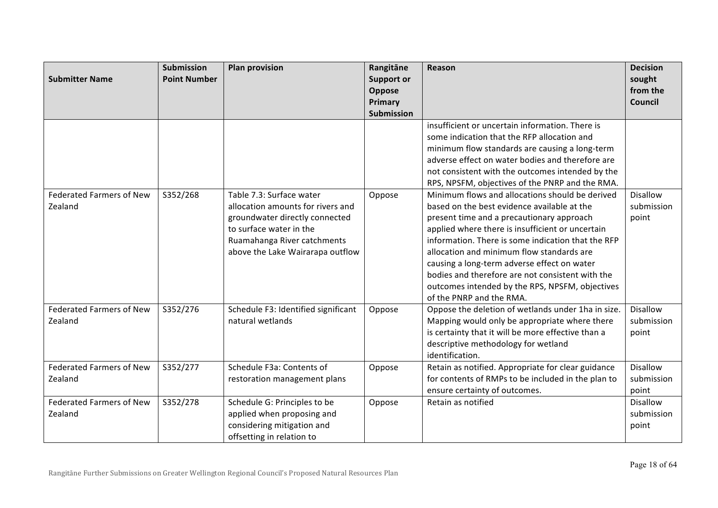| <b>Submitter Name</b>           | <b>Submission</b><br><b>Point Number</b> | <b>Plan provision</b>               | Rangitāne<br><b>Support or</b> | Reason                                             | <b>Decision</b><br>sought |
|---------------------------------|------------------------------------------|-------------------------------------|--------------------------------|----------------------------------------------------|---------------------------|
|                                 |                                          |                                     | Oppose                         |                                                    | from the                  |
|                                 |                                          |                                     | Primary                        |                                                    | Council                   |
|                                 |                                          |                                     | <b>Submission</b>              |                                                    |                           |
|                                 |                                          |                                     |                                | insufficient or uncertain information. There is    |                           |
|                                 |                                          |                                     |                                | some indication that the RFP allocation and        |                           |
|                                 |                                          |                                     |                                | minimum flow standards are causing a long-term     |                           |
|                                 |                                          |                                     |                                | adverse effect on water bodies and therefore are   |                           |
|                                 |                                          |                                     |                                | not consistent with the outcomes intended by the   |                           |
|                                 |                                          |                                     |                                | RPS, NPSFM, objectives of the PNRP and the RMA.    |                           |
| <b>Federated Farmers of New</b> | S352/268                                 | Table 7.3: Surface water            | Oppose                         | Minimum flows and allocations should be derived    | <b>Disallow</b>           |
| Zealand                         |                                          | allocation amounts for rivers and   |                                | based on the best evidence available at the        | submission                |
|                                 |                                          | groundwater directly connected      |                                | present time and a precautionary approach          | point                     |
|                                 |                                          | to surface water in the             |                                | applied where there is insufficient or uncertain   |                           |
|                                 |                                          | Ruamahanga River catchments         |                                | information. There is some indication that the RFP |                           |
|                                 |                                          | above the Lake Wairarapa outflow    |                                | allocation and minimum flow standards are          |                           |
|                                 |                                          |                                     |                                | causing a long-term adverse effect on water        |                           |
|                                 |                                          |                                     |                                | bodies and therefore are not consistent with the   |                           |
|                                 |                                          |                                     |                                | outcomes intended by the RPS, NPSFM, objectives    |                           |
|                                 |                                          |                                     |                                | of the PNRP and the RMA.                           |                           |
| <b>Federated Farmers of New</b> | S352/276                                 | Schedule F3: Identified significant | Oppose                         | Oppose the deletion of wetlands under 1ha in size. | <b>Disallow</b>           |
| Zealand                         |                                          | natural wetlands                    |                                | Mapping would only be appropriate where there      | submission                |
|                                 |                                          |                                     |                                | is certainty that it will be more effective than a | point                     |
|                                 |                                          |                                     |                                | descriptive methodology for wetland                |                           |
|                                 |                                          |                                     |                                | identification.                                    |                           |
| <b>Federated Farmers of New</b> | S352/277                                 | Schedule F3a: Contents of           | Oppose                         | Retain as notified. Appropriate for clear guidance | <b>Disallow</b>           |
| Zealand                         |                                          | restoration management plans        |                                | for contents of RMPs to be included in the plan to | submission                |
|                                 |                                          |                                     |                                | ensure certainty of outcomes.                      | point                     |
| <b>Federated Farmers of New</b> | S352/278                                 | Schedule G: Principles to be        | Oppose                         | Retain as notified                                 | <b>Disallow</b>           |
| Zealand                         |                                          | applied when proposing and          |                                |                                                    | submission                |
|                                 |                                          | considering mitigation and          |                                |                                                    | point                     |
|                                 |                                          | offsetting in relation to           |                                |                                                    |                           |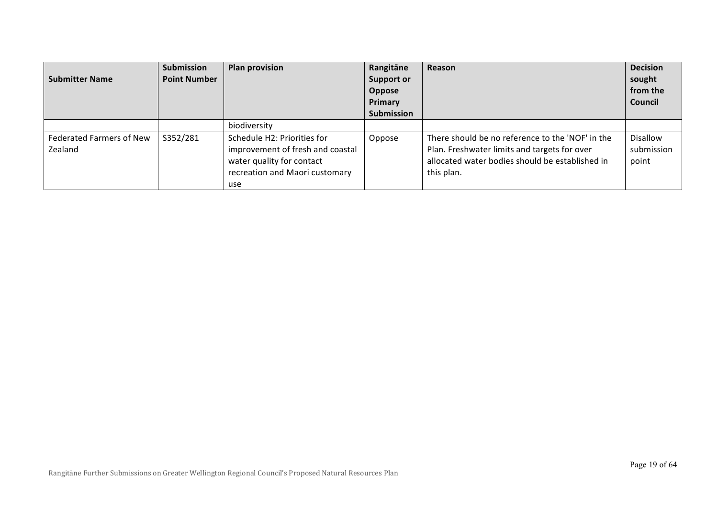| <b>Submitter Name</b>                      | Submission<br><b>Point Number</b> | <b>Plan provision</b>                                                                                                                 | Rangitāne<br><b>Support or</b><br>Oppose<br>Primary<br><b>Submission</b> | Reason                                                                                                                                                            | <b>Decision</b><br>sought<br>from the<br><b>Council</b> |
|--------------------------------------------|-----------------------------------|---------------------------------------------------------------------------------------------------------------------------------------|--------------------------------------------------------------------------|-------------------------------------------------------------------------------------------------------------------------------------------------------------------|---------------------------------------------------------|
|                                            |                                   | biodiversity                                                                                                                          |                                                                          |                                                                                                                                                                   |                                                         |
| <b>Federated Farmers of New</b><br>Zealand | S352/281                          | Schedule H2: Priorities for<br>improvement of fresh and coastal<br>water quality for contact<br>recreation and Maori customary<br>use | Oppose                                                                   | There should be no reference to the 'NOF' in the<br>Plan. Freshwater limits and targets for over<br>allocated water bodies should be established in<br>this plan. | Disallow<br>submission<br>point                         |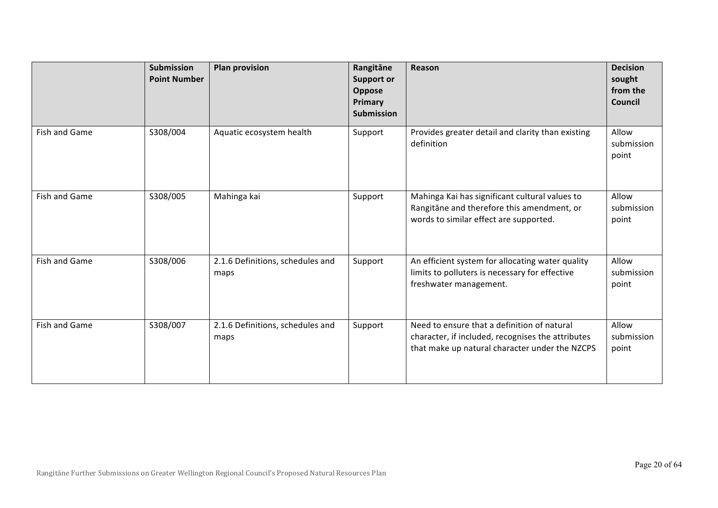|                      | <b>Submission</b><br><b>Point Number</b> | <b>Plan provision</b>                    | Rangitāne<br><b>Support or</b><br>Oppose<br>Primary<br><b>Submission</b> | Reason                                                                                                                                             | <b>Decision</b><br>sought<br>from the<br>Council |
|----------------------|------------------------------------------|------------------------------------------|--------------------------------------------------------------------------|----------------------------------------------------------------------------------------------------------------------------------------------------|--------------------------------------------------|
| Fish and Game        | S308/004                                 | Aquatic ecosystem health                 | Support                                                                  | Provides greater detail and clarity than existing<br>definition                                                                                    | Allow<br>submission<br>point                     |
| Fish and Game        | S308/005                                 | Mahinga kai                              | Support                                                                  | Mahinga Kai has significant cultural values to<br>Rangitāne and therefore this amendment, or<br>words to similar effect are supported.             | Allow<br>submission<br>point                     |
| Fish and Game        | S308/006                                 | 2.1.6 Definitions, schedules and<br>maps | Support                                                                  | An efficient system for allocating water quality<br>limits to polluters is necessary for effective<br>freshwater management.                       | Allow<br>submission<br>point                     |
| <b>Fish and Game</b> | S308/007                                 | 2.1.6 Definitions, schedules and<br>maps | Support                                                                  | Need to ensure that a definition of natural<br>character, if included, recognises the attributes<br>that make up natural character under the NZCPS | Allow<br>submission<br>point                     |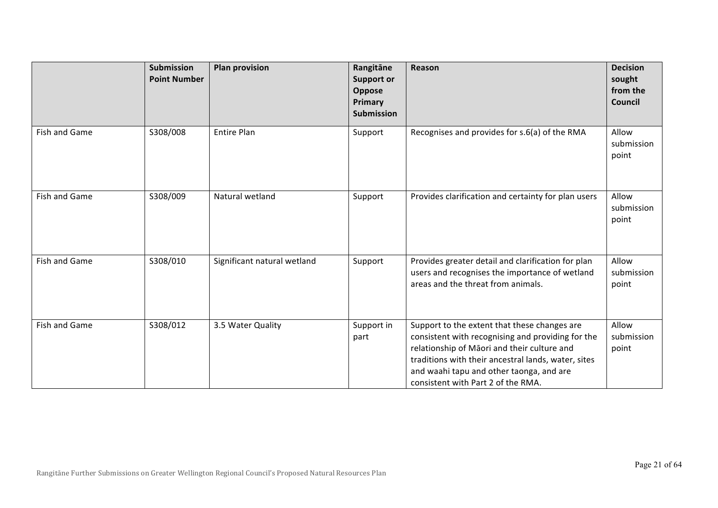|               | <b>Submission</b><br><b>Point Number</b> | <b>Plan provision</b>       | Rangitāne<br><b>Support or</b><br>Oppose<br>Primary<br><b>Submission</b> | Reason                                                                                                                                                                                                                                                                                    | <b>Decision</b><br>sought<br>from the<br>Council |
|---------------|------------------------------------------|-----------------------------|--------------------------------------------------------------------------|-------------------------------------------------------------------------------------------------------------------------------------------------------------------------------------------------------------------------------------------------------------------------------------------|--------------------------------------------------|
| Fish and Game | S308/008                                 | <b>Entire Plan</b>          | Support                                                                  | Recognises and provides for s.6(a) of the RMA                                                                                                                                                                                                                                             | Allow<br>submission<br>point                     |
| Fish and Game | S308/009                                 | Natural wetland             | Support                                                                  | Provides clarification and certainty for plan users                                                                                                                                                                                                                                       | Allow<br>submission<br>point                     |
| Fish and Game | S308/010                                 | Significant natural wetland | Support                                                                  | Provides greater detail and clarification for plan<br>users and recognises the importance of wetland<br>areas and the threat from animals.                                                                                                                                                | Allow<br>submission<br>point                     |
| Fish and Game | S308/012                                 | 3.5 Water Quality           | Support in<br>part                                                       | Support to the extent that these changes are<br>consistent with recognising and providing for the<br>relationship of Māori and their culture and<br>traditions with their ancestral lands, water, sites<br>and waahi tapu and other taonga, and are<br>consistent with Part 2 of the RMA. | Allow<br>submission<br>point                     |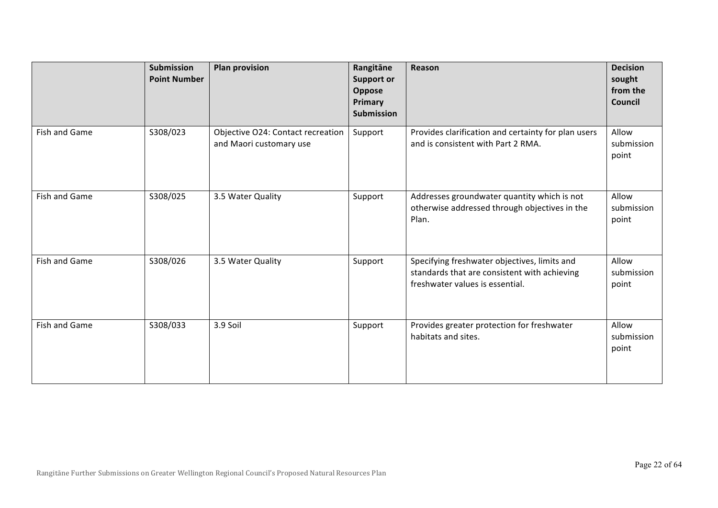|               | <b>Submission</b><br><b>Point Number</b> | <b>Plan provision</b>                                        | Rangitāne<br><b>Support or</b><br>Oppose<br>Primary<br><b>Submission</b> | Reason                                                                                                                          | <b>Decision</b><br>sought<br>from the<br>Council |
|---------------|------------------------------------------|--------------------------------------------------------------|--------------------------------------------------------------------------|---------------------------------------------------------------------------------------------------------------------------------|--------------------------------------------------|
| Fish and Game | S308/023                                 | Objective O24: Contact recreation<br>and Maori customary use | Support                                                                  | Provides clarification and certainty for plan users<br>and is consistent with Part 2 RMA.                                       | Allow<br>submission<br>point                     |
| Fish and Game | S308/025                                 | 3.5 Water Quality                                            | Support                                                                  | Addresses groundwater quantity which is not<br>otherwise addressed through objectives in the<br>Plan.                           | Allow<br>submission<br>point                     |
| Fish and Game | S308/026                                 | 3.5 Water Quality                                            | Support                                                                  | Specifying freshwater objectives, limits and<br>standards that are consistent with achieving<br>freshwater values is essential. | Allow<br>submission<br>point                     |
| Fish and Game | S308/033                                 | 3.9 Soil                                                     | Support                                                                  | Provides greater protection for freshwater<br>habitats and sites.                                                               | Allow<br>submission<br>point                     |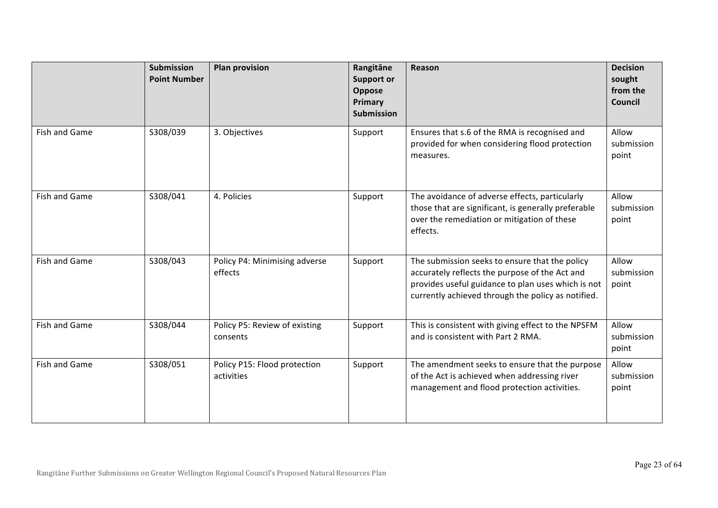|                      | Submission<br><b>Point Number</b> | <b>Plan provision</b>                      | Rangitāne<br><b>Support or</b><br>Oppose<br>Primary<br><b>Submission</b> | Reason                                                                                                                                                                                                       | <b>Decision</b><br>sought<br>from the<br>Council |
|----------------------|-----------------------------------|--------------------------------------------|--------------------------------------------------------------------------|--------------------------------------------------------------------------------------------------------------------------------------------------------------------------------------------------------------|--------------------------------------------------|
| Fish and Game        | S308/039                          | 3. Objectives                              | Support                                                                  | Ensures that s.6 of the RMA is recognised and<br>provided for when considering flood protection<br>measures.                                                                                                 | Allow<br>submission<br>point                     |
| Fish and Game        | S308/041                          | 4. Policies                                | Support                                                                  | The avoidance of adverse effects, particularly<br>those that are significant, is generally preferable<br>over the remediation or mitigation of these<br>effects.                                             | Allow<br>submission<br>point                     |
| Fish and Game        | S308/043                          | Policy P4: Minimising adverse<br>effects   | Support                                                                  | The submission seeks to ensure that the policy<br>accurately reflects the purpose of the Act and<br>provides useful guidance to plan uses which is not<br>currently achieved through the policy as notified. | Allow<br>submission<br>point                     |
| <b>Fish and Game</b> | S308/044                          | Policy P5: Review of existing<br>consents  | Support                                                                  | This is consistent with giving effect to the NPSFM<br>and is consistent with Part 2 RMA.                                                                                                                     | Allow<br>submission<br>point                     |
| Fish and Game        | S308/051                          | Policy P15: Flood protection<br>activities | Support                                                                  | The amendment seeks to ensure that the purpose<br>of the Act is achieved when addressing river<br>management and flood protection activities.                                                                | Allow<br>submission<br>point                     |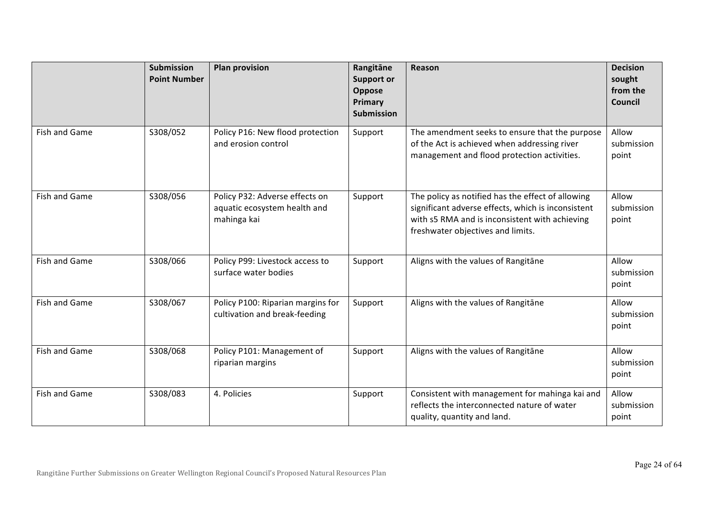|               | <b>Submission</b><br><b>Point Number</b> | <b>Plan provision</b>                                                         | Rangitāne<br><b>Support or</b><br>Oppose<br>Primary<br><b>Submission</b> | Reason                                                                                                                                                                                         | <b>Decision</b><br>sought<br>from the<br>Council |
|---------------|------------------------------------------|-------------------------------------------------------------------------------|--------------------------------------------------------------------------|------------------------------------------------------------------------------------------------------------------------------------------------------------------------------------------------|--------------------------------------------------|
| Fish and Game | S308/052                                 | Policy P16: New flood protection<br>and erosion control                       | Support                                                                  | The amendment seeks to ensure that the purpose<br>of the Act is achieved when addressing river<br>management and flood protection activities.                                                  | Allow<br>submission<br>point                     |
| Fish and Game | S308/056                                 | Policy P32: Adverse effects on<br>aquatic ecosystem health and<br>mahinga kai | Support                                                                  | The policy as notified has the effect of allowing<br>significant adverse effects, which is inconsistent<br>with s5 RMA and is inconsistent with achieving<br>freshwater objectives and limits. | Allow<br>submission<br>point                     |
| Fish and Game | S308/066                                 | Policy P99: Livestock access to<br>surface water bodies                       | Support                                                                  | Aligns with the values of Rangitane                                                                                                                                                            | Allow<br>submission<br>point                     |
| Fish and Game | S308/067                                 | Policy P100: Riparian margins for<br>cultivation and break-feeding            | Support                                                                  | Aligns with the values of Rangitane                                                                                                                                                            | Allow<br>submission<br>point                     |
| Fish and Game | S308/068                                 | Policy P101: Management of<br>riparian margins                                | Support                                                                  | Aligns with the values of Rangitane                                                                                                                                                            | Allow<br>submission<br>point                     |
| Fish and Game | S308/083                                 | 4. Policies                                                                   | Support                                                                  | Consistent with management for mahinga kai and<br>reflects the interconnected nature of water<br>quality, quantity and land.                                                                   | Allow<br>submission<br>point                     |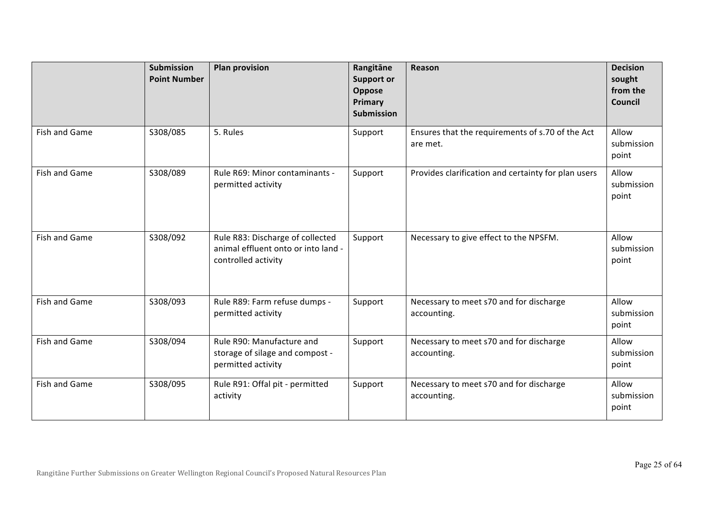|               | <b>Submission</b><br><b>Point Number</b> | <b>Plan provision</b>                                                                          | Rangitāne<br><b>Support or</b><br>Oppose<br>Primary<br><b>Submission</b> | Reason                                                       | <b>Decision</b><br>sought<br>from the<br>Council |
|---------------|------------------------------------------|------------------------------------------------------------------------------------------------|--------------------------------------------------------------------------|--------------------------------------------------------------|--------------------------------------------------|
| Fish and Game | S308/085                                 | 5. Rules                                                                                       | Support                                                                  | Ensures that the requirements of s.70 of the Act<br>are met. | Allow<br>submission<br>point                     |
| Fish and Game | S308/089                                 | Rule R69: Minor contaminants -<br>permitted activity                                           | Support                                                                  | Provides clarification and certainty for plan users          | Allow<br>submission<br>point                     |
| Fish and Game | S308/092                                 | Rule R83: Discharge of collected<br>animal effluent onto or into land -<br>controlled activity | Support                                                                  | Necessary to give effect to the NPSFM.                       | Allow<br>submission<br>point                     |
| Fish and Game | S308/093                                 | Rule R89: Farm refuse dumps -<br>permitted activity                                            | Support                                                                  | Necessary to meet s70 and for discharge<br>accounting.       | Allow<br>submission<br>point                     |
| Fish and Game | S308/094                                 | Rule R90: Manufacture and<br>storage of silage and compost -<br>permitted activity             | Support                                                                  | Necessary to meet s70 and for discharge<br>accounting.       | Allow<br>submission<br>point                     |
| Fish and Game | S308/095                                 | Rule R91: Offal pit - permitted<br>activity                                                    | Support                                                                  | Necessary to meet s70 and for discharge<br>accounting.       | Allow<br>submission<br>point                     |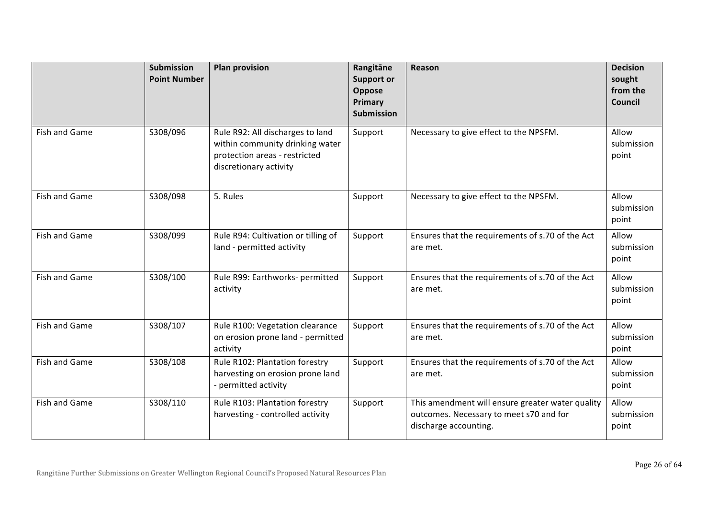|               | Submission<br><b>Point Number</b> | <b>Plan provision</b>                                                                                                          | Rangitāne<br><b>Support or</b><br>Oppose<br>Primary<br><b>Submission</b> | Reason                                                                                                               | <b>Decision</b><br>sought<br>from the<br>Council |
|---------------|-----------------------------------|--------------------------------------------------------------------------------------------------------------------------------|--------------------------------------------------------------------------|----------------------------------------------------------------------------------------------------------------------|--------------------------------------------------|
| Fish and Game | S308/096                          | Rule R92: All discharges to land<br>within community drinking water<br>protection areas - restricted<br>discretionary activity | Support                                                                  | Necessary to give effect to the NPSFM.                                                                               | Allow<br>submission<br>point                     |
| Fish and Game | S308/098                          | 5. Rules                                                                                                                       | Support                                                                  | Necessary to give effect to the NPSFM.                                                                               | Allow<br>submission<br>point                     |
| Fish and Game | S308/099                          | Rule R94: Cultivation or tilling of<br>land - permitted activity                                                               | Support                                                                  | Ensures that the requirements of s.70 of the Act<br>are met.                                                         | Allow<br>submission<br>point                     |
| Fish and Game | S308/100                          | Rule R99: Earthworks- permitted<br>activity                                                                                    | Support                                                                  | Ensures that the requirements of s.70 of the Act<br>are met.                                                         | Allow<br>submission<br>point                     |
| Fish and Game | S308/107                          | Rule R100: Vegetation clearance<br>on erosion prone land - permitted<br>activity                                               | Support                                                                  | Ensures that the requirements of s.70 of the Act<br>are met.                                                         | Allow<br>submission<br>point                     |
| Fish and Game | S308/108                          | Rule R102: Plantation forestry<br>harvesting on erosion prone land<br>- permitted activity                                     | Support                                                                  | Ensures that the requirements of s.70 of the Act<br>are met.                                                         | Allow<br>submission<br>point                     |
| Fish and Game | S308/110                          | Rule R103: Plantation forestry<br>harvesting - controlled activity                                                             | Support                                                                  | This amendment will ensure greater water quality<br>outcomes. Necessary to meet s70 and for<br>discharge accounting. | Allow<br>submission<br>point                     |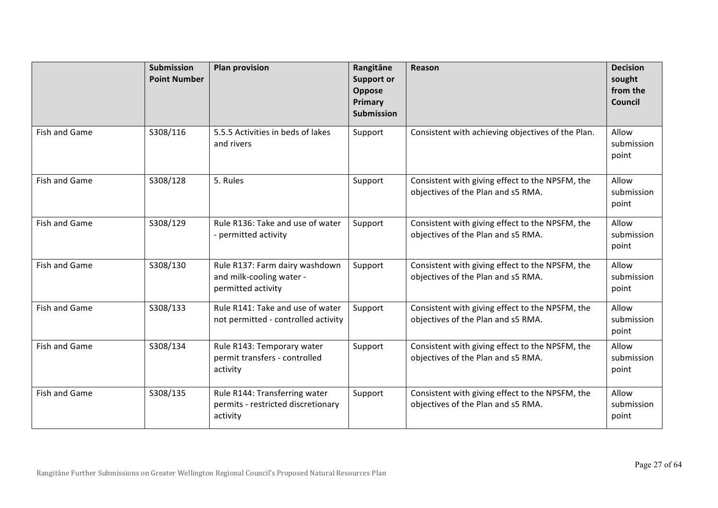|               | <b>Submission</b><br><b>Point Number</b> | <b>Plan provision</b>                                                            | Rangitāne<br><b>Support or</b><br>Oppose<br>Primary<br><b>Submission</b> | Reason                                                                                | <b>Decision</b><br>sought<br>from the<br>Council |
|---------------|------------------------------------------|----------------------------------------------------------------------------------|--------------------------------------------------------------------------|---------------------------------------------------------------------------------------|--------------------------------------------------|
| Fish and Game | S308/116                                 | 5.5.5 Activities in beds of lakes<br>and rivers                                  | Support                                                                  | Consistent with achieving objectives of the Plan.                                     | Allow<br>submission<br>point                     |
| Fish and Game | S308/128                                 | 5. Rules                                                                         | Support                                                                  | Consistent with giving effect to the NPSFM, the<br>objectives of the Plan and s5 RMA. | Allow<br>submission<br>point                     |
| Fish and Game | S308/129                                 | Rule R136: Take and use of water<br>- permitted activity                         | Support                                                                  | Consistent with giving effect to the NPSFM, the<br>objectives of the Plan and s5 RMA. | Allow<br>submission<br>point                     |
| Fish and Game | S308/130                                 | Rule R137: Farm dairy washdown<br>and milk-cooling water -<br>permitted activity | Support                                                                  | Consistent with giving effect to the NPSFM, the<br>objectives of the Plan and s5 RMA. | Allow<br>submission<br>point                     |
| Fish and Game | S308/133                                 | Rule R141: Take and use of water<br>not permitted - controlled activity          | Support                                                                  | Consistent with giving effect to the NPSFM, the<br>objectives of the Plan and s5 RMA. | Allow<br>submission<br>point                     |
| Fish and Game | S308/134                                 | Rule R143: Temporary water<br>permit transfers - controlled<br>activity          | Support                                                                  | Consistent with giving effect to the NPSFM, the<br>objectives of the Plan and s5 RMA. | Allow<br>submission<br>point                     |
| Fish and Game | S308/135                                 | Rule R144: Transferring water<br>permits - restricted discretionary<br>activity  | Support                                                                  | Consistent with giving effect to the NPSFM, the<br>objectives of the Plan and s5 RMA. | Allow<br>submission<br>point                     |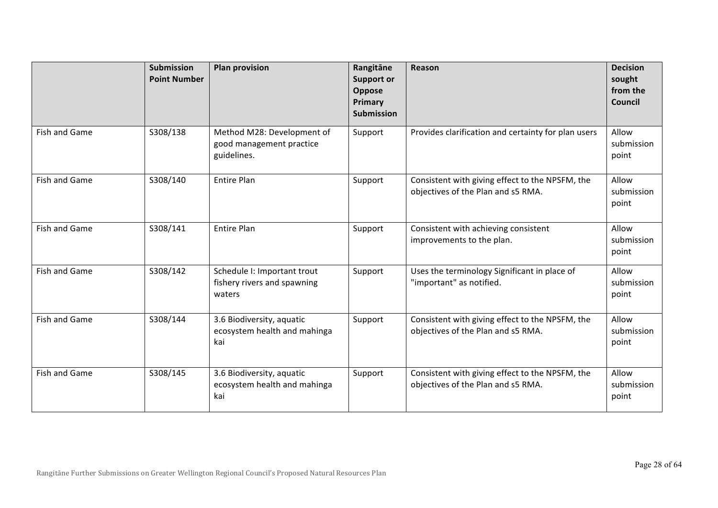|               | <b>Submission</b><br><b>Point Number</b> | <b>Plan provision</b>                                                 | Rangitāne<br><b>Support or</b><br>Oppose<br>Primary<br><b>Submission</b> | Reason                                                                                | <b>Decision</b><br>sought<br>from the<br>Council |
|---------------|------------------------------------------|-----------------------------------------------------------------------|--------------------------------------------------------------------------|---------------------------------------------------------------------------------------|--------------------------------------------------|
| Fish and Game | S308/138                                 | Method M28: Development of<br>good management practice<br>guidelines. | Support                                                                  | Provides clarification and certainty for plan users                                   | Allow<br>submission<br>point                     |
| Fish and Game | S308/140                                 | <b>Entire Plan</b>                                                    | Support                                                                  | Consistent with giving effect to the NPSFM, the<br>objectives of the Plan and s5 RMA. | Allow<br>submission<br>point                     |
| Fish and Game | S308/141                                 | <b>Entire Plan</b>                                                    | Support                                                                  | Consistent with achieving consistent<br>improvements to the plan.                     | Allow<br>submission<br>point                     |
| Fish and Game | S308/142                                 | Schedule I: Important trout<br>fishery rivers and spawning<br>waters  | Support                                                                  | Uses the terminology Significant in place of<br>"important" as notified.              | Allow<br>submission<br>point                     |
| Fish and Game | S308/144                                 | 3.6 Biodiversity, aquatic<br>ecosystem health and mahinga<br>kai      | Support                                                                  | Consistent with giving effect to the NPSFM, the<br>objectives of the Plan and s5 RMA. | Allow<br>submission<br>point                     |
| Fish and Game | S308/145                                 | 3.6 Biodiversity, aquatic<br>ecosystem health and mahinga<br>kai      | Support                                                                  | Consistent with giving effect to the NPSFM, the<br>objectives of the Plan and s5 RMA. | Allow<br>submission<br>point                     |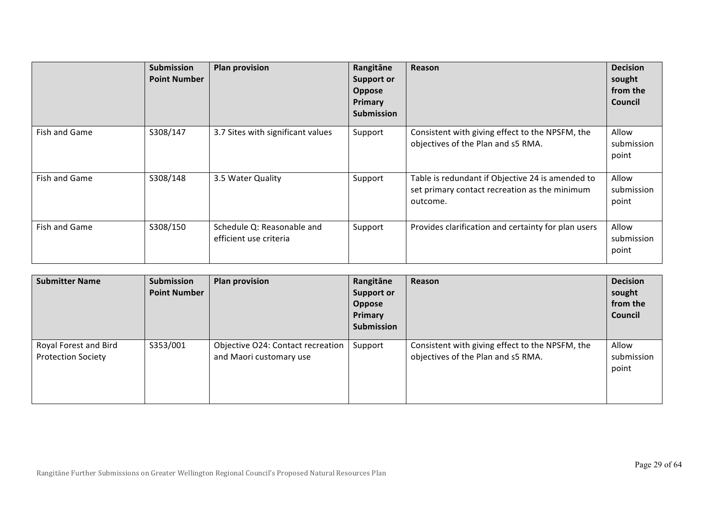|               | <b>Submission</b><br><b>Point Number</b> | <b>Plan provision</b>                                | Rangitāne<br><b>Support or</b><br><b>Oppose</b><br>Primary<br><b>Submission</b> | <b>Reason</b>                                                                                                 | <b>Decision</b><br>sought<br>from the<br>Council |
|---------------|------------------------------------------|------------------------------------------------------|---------------------------------------------------------------------------------|---------------------------------------------------------------------------------------------------------------|--------------------------------------------------|
| Fish and Game | S308/147                                 | 3.7 Sites with significant values                    | Support                                                                         | Consistent with giving effect to the NPSFM, the<br>objectives of the Plan and s5 RMA.                         | Allow<br>submission<br>point                     |
| Fish and Game | S308/148                                 | 3.5 Water Quality                                    | Support                                                                         | Table is redundant if Objective 24 is amended to<br>set primary contact recreation as the minimum<br>outcome. | Allow<br>submission<br>point                     |
| Fish and Game | S308/150                                 | Schedule Q: Reasonable and<br>efficient use criteria | Support                                                                         | Provides clarification and certainty for plan users                                                           | Allow<br>submission<br>point                     |

| <b>Submitter Name</b>                              | Submission<br><b>Point Number</b> | <b>Plan provision</b>                                        | Rangitāne<br><b>Support or</b><br>Oppose<br>Primary<br>Submission | Reason                                                                                | <b>Decision</b><br>sought<br>from the<br>Council |
|----------------------------------------------------|-----------------------------------|--------------------------------------------------------------|-------------------------------------------------------------------|---------------------------------------------------------------------------------------|--------------------------------------------------|
| Royal Forest and Bird<br><b>Protection Society</b> | S353/001                          | Objective O24: Contact recreation<br>and Maori customary use | Support                                                           | Consistent with giving effect to the NPSFM, the<br>objectives of the Plan and s5 RMA. | Allow<br>submission<br>point                     |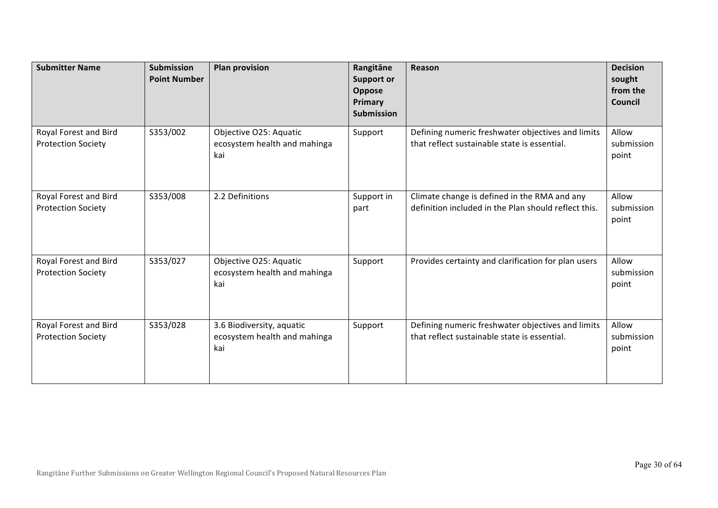| <b>Submitter Name</b>                              | <b>Submission</b><br><b>Point Number</b> | <b>Plan provision</b>                                            | Rangitāne<br><b>Support or</b><br>Oppose<br>Primary<br><b>Submission</b> | Reason                                                                                               | <b>Decision</b><br>sought<br>from the<br>Council |
|----------------------------------------------------|------------------------------------------|------------------------------------------------------------------|--------------------------------------------------------------------------|------------------------------------------------------------------------------------------------------|--------------------------------------------------|
| Royal Forest and Bird<br><b>Protection Society</b> | S353/002                                 | Objective O25: Aquatic<br>ecosystem health and mahinga<br>kai    | Support                                                                  | Defining numeric freshwater objectives and limits<br>that reflect sustainable state is essential.    | Allow<br>submission<br>point                     |
| Royal Forest and Bird<br><b>Protection Society</b> | S353/008                                 | 2.2 Definitions                                                  | Support in<br>part                                                       | Climate change is defined in the RMA and any<br>definition included in the Plan should reflect this. | Allow<br>submission<br>point                     |
| Royal Forest and Bird<br><b>Protection Society</b> | S353/027                                 | Objective O25: Aquatic<br>ecosystem health and mahinga<br>kai    | Support                                                                  | Provides certainty and clarification for plan users                                                  | Allow<br>submission<br>point                     |
| Royal Forest and Bird<br><b>Protection Society</b> | S353/028                                 | 3.6 Biodiversity, aquatic<br>ecosystem health and mahinga<br>kai | Support                                                                  | Defining numeric freshwater objectives and limits<br>that reflect sustainable state is essential.    | Allow<br>submission<br>point                     |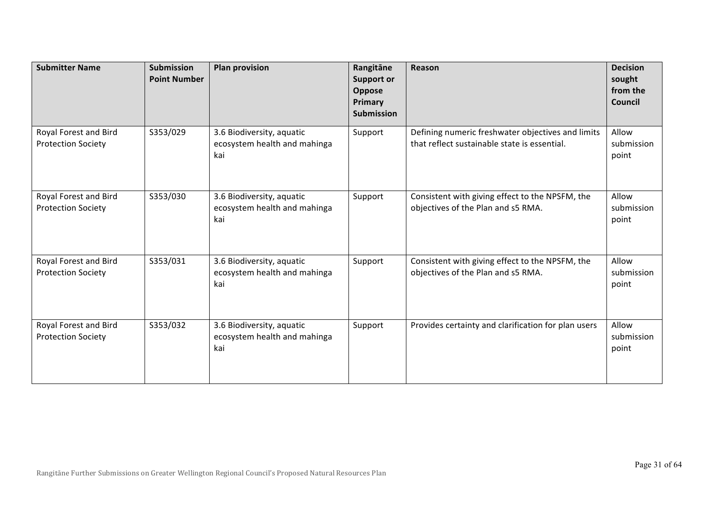| <b>Submitter Name</b>                              | <b>Submission</b><br><b>Point Number</b> | <b>Plan provision</b>                                            | Rangitāne<br><b>Support or</b><br>Oppose<br>Primary<br><b>Submission</b> | Reason                                                                                            | <b>Decision</b><br>sought<br>from the<br>Council |
|----------------------------------------------------|------------------------------------------|------------------------------------------------------------------|--------------------------------------------------------------------------|---------------------------------------------------------------------------------------------------|--------------------------------------------------|
| Royal Forest and Bird<br><b>Protection Society</b> | S353/029                                 | 3.6 Biodiversity, aquatic<br>ecosystem health and mahinga<br>kai | Support                                                                  | Defining numeric freshwater objectives and limits<br>that reflect sustainable state is essential. | Allow<br>submission<br>point                     |
| Royal Forest and Bird<br><b>Protection Society</b> | S353/030                                 | 3.6 Biodiversity, aquatic<br>ecosystem health and mahinga<br>kai | Support                                                                  | Consistent with giving effect to the NPSFM, the<br>objectives of the Plan and s5 RMA.             | Allow<br>submission<br>point                     |
| Royal Forest and Bird<br><b>Protection Society</b> | S353/031                                 | 3.6 Biodiversity, aquatic<br>ecosystem health and mahinga<br>kai | Support                                                                  | Consistent with giving effect to the NPSFM, the<br>objectives of the Plan and s5 RMA.             | Allow<br>submission<br>point                     |
| Royal Forest and Bird<br><b>Protection Society</b> | S353/032                                 | 3.6 Biodiversity, aquatic<br>ecosystem health and mahinga<br>kai | Support                                                                  | Provides certainty and clarification for plan users                                               | Allow<br>submission<br>point                     |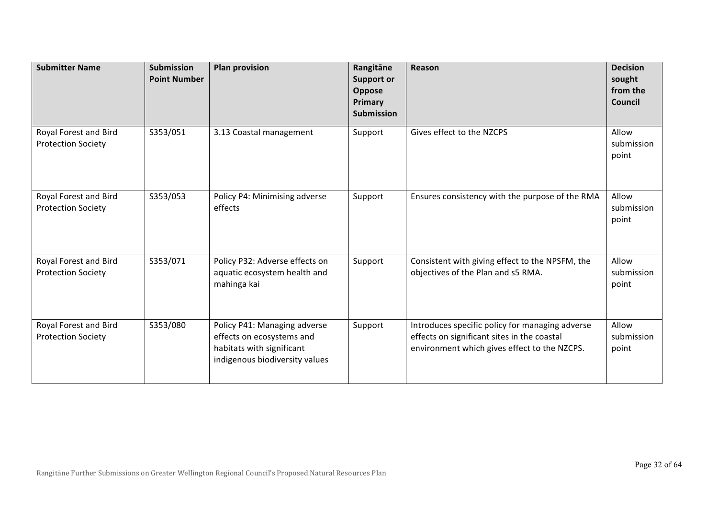| <b>Submitter Name</b>                              | <b>Submission</b><br><b>Point Number</b> | <b>Plan provision</b>                                                                                                    | Rangitāne<br><b>Support or</b><br>Oppose<br>Primary<br><b>Submission</b> | Reason                                                                                                                                         | <b>Decision</b><br>sought<br>from the<br>Council |
|----------------------------------------------------|------------------------------------------|--------------------------------------------------------------------------------------------------------------------------|--------------------------------------------------------------------------|------------------------------------------------------------------------------------------------------------------------------------------------|--------------------------------------------------|
| Royal Forest and Bird<br><b>Protection Society</b> | S353/051                                 | 3.13 Coastal management                                                                                                  | Support                                                                  | Gives effect to the NZCPS                                                                                                                      | Allow<br>submission<br>point                     |
| Royal Forest and Bird<br><b>Protection Society</b> | S353/053                                 | Policy P4: Minimising adverse<br>effects                                                                                 | Support                                                                  | Ensures consistency with the purpose of the RMA                                                                                                | Allow<br>submission<br>point                     |
| Royal Forest and Bird<br><b>Protection Society</b> | S353/071                                 | Policy P32: Adverse effects on<br>aquatic ecosystem health and<br>mahinga kai                                            | Support                                                                  | Consistent with giving effect to the NPSFM, the<br>objectives of the Plan and s5 RMA.                                                          | Allow<br>submission<br>point                     |
| Royal Forest and Bird<br><b>Protection Society</b> | S353/080                                 | Policy P41: Managing adverse<br>effects on ecosystems and<br>habitats with significant<br>indigenous biodiversity values | Support                                                                  | Introduces specific policy for managing adverse<br>effects on significant sites in the coastal<br>environment which gives effect to the NZCPS. | Allow<br>submission<br>point                     |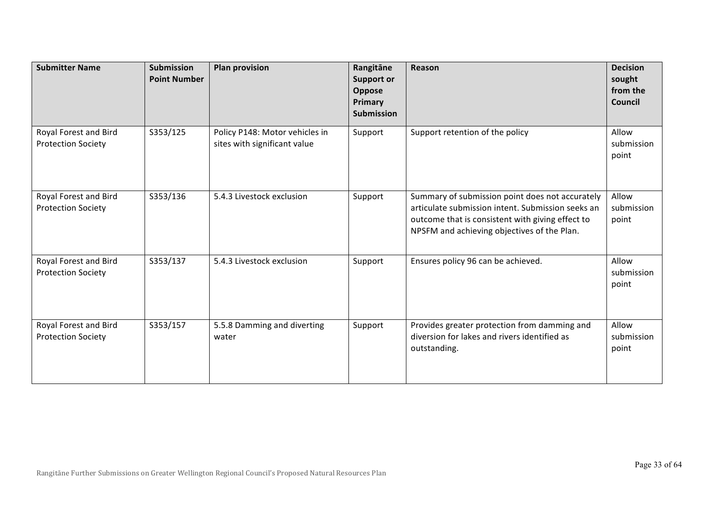| <b>Submitter Name</b>                              | <b>Submission</b><br><b>Point Number</b> | <b>Plan provision</b>                                          | Rangitāne<br><b>Support or</b><br>Oppose<br>Primary<br><b>Submission</b> | Reason                                                                                                                                                                                                  | <b>Decision</b><br>sought<br>from the<br>Council |
|----------------------------------------------------|------------------------------------------|----------------------------------------------------------------|--------------------------------------------------------------------------|---------------------------------------------------------------------------------------------------------------------------------------------------------------------------------------------------------|--------------------------------------------------|
| Royal Forest and Bird<br><b>Protection Society</b> | S353/125                                 | Policy P148: Motor vehicles in<br>sites with significant value | Support                                                                  | Support retention of the policy                                                                                                                                                                         | Allow<br>submission<br>point                     |
| Royal Forest and Bird<br><b>Protection Society</b> | S353/136                                 | 5.4.3 Livestock exclusion                                      | Support                                                                  | Summary of submission point does not accurately<br>articulate submission intent. Submission seeks an<br>outcome that is consistent with giving effect to<br>NPSFM and achieving objectives of the Plan. | Allow<br>submission<br>point                     |
| Royal Forest and Bird<br><b>Protection Society</b> | S353/137                                 | 5.4.3 Livestock exclusion                                      | Support                                                                  | Ensures policy 96 can be achieved.                                                                                                                                                                      | Allow<br>submission<br>point                     |
| Royal Forest and Bird<br><b>Protection Society</b> | S353/157                                 | 5.5.8 Damming and diverting<br>water                           | Support                                                                  | Provides greater protection from damming and<br>diversion for lakes and rivers identified as<br>outstanding.                                                                                            | Allow<br>submission<br>point                     |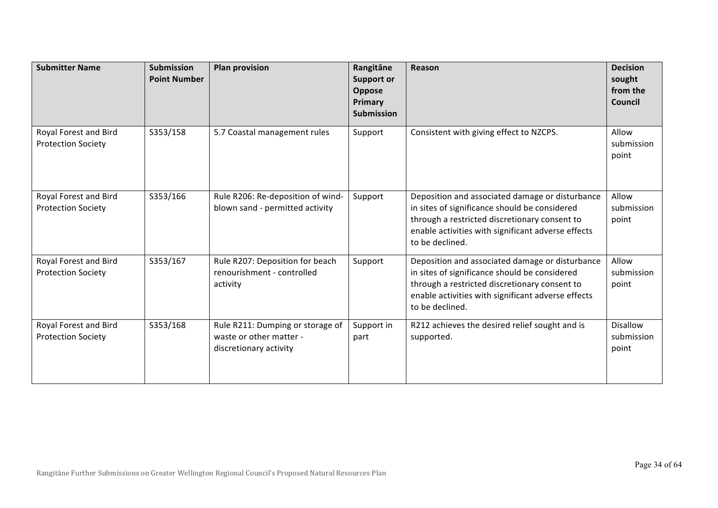| <b>Submitter Name</b>                              | <b>Submission</b><br><b>Point Number</b> | <b>Plan provision</b>                                                                 | Rangitāne<br><b>Support or</b><br>Oppose<br>Primary<br><b>Submission</b> | Reason                                                                                                                                                                                                                     | <b>Decision</b><br>sought<br>from the<br>Council |
|----------------------------------------------------|------------------------------------------|---------------------------------------------------------------------------------------|--------------------------------------------------------------------------|----------------------------------------------------------------------------------------------------------------------------------------------------------------------------------------------------------------------------|--------------------------------------------------|
| Royal Forest and Bird<br><b>Protection Society</b> | S353/158                                 | 5.7 Coastal management rules                                                          | Support                                                                  | Consistent with giving effect to NZCPS.                                                                                                                                                                                    | Allow<br>submission<br>point                     |
| Royal Forest and Bird<br><b>Protection Society</b> | S353/166                                 | Rule R206: Re-deposition of wind-<br>blown sand - permitted activity                  | Support                                                                  | Deposition and associated damage or disturbance<br>in sites of significance should be considered<br>through a restricted discretionary consent to<br>enable activities with significant adverse effects<br>to be declined. | Allow<br>submission<br>point                     |
| Royal Forest and Bird<br><b>Protection Society</b> | S353/167                                 | Rule R207: Deposition for beach<br>renourishment - controlled<br>activity             | Support                                                                  | Deposition and associated damage or disturbance<br>in sites of significance should be considered<br>through a restricted discretionary consent to<br>enable activities with significant adverse effects<br>to be declined. | Allow<br>submission<br>point                     |
| Royal Forest and Bird<br><b>Protection Society</b> | S353/168                                 | Rule R211: Dumping or storage of<br>waste or other matter -<br>discretionary activity | Support in<br>part                                                       | R212 achieves the desired relief sought and is<br>supported.                                                                                                                                                               | Disallow<br>submission<br>point                  |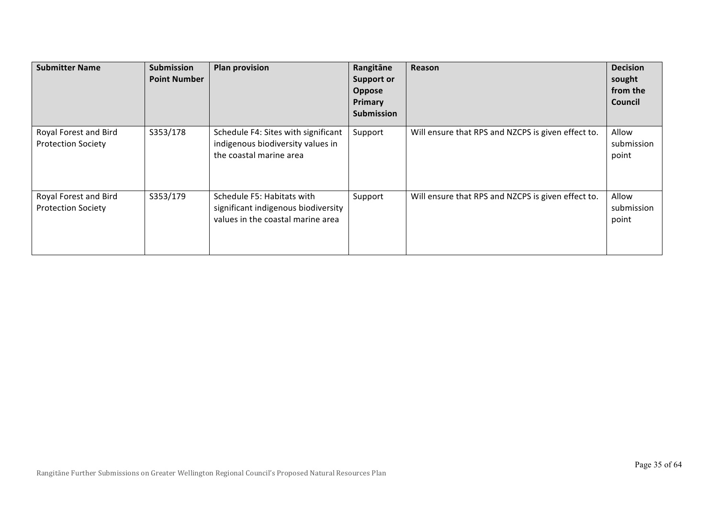| <b>Submitter Name</b>                              | <b>Submission</b><br><b>Point Number</b> | <b>Plan provision</b>                                                                                  | Rangitāne<br><b>Support or</b><br>Oppose<br>Primary<br><b>Submission</b> | Reason                                             | <b>Decision</b><br>sought<br>from the<br>Council |
|----------------------------------------------------|------------------------------------------|--------------------------------------------------------------------------------------------------------|--------------------------------------------------------------------------|----------------------------------------------------|--------------------------------------------------|
| Royal Forest and Bird<br><b>Protection Society</b> | S353/178                                 | Schedule F4: Sites with significant<br>indigenous biodiversity values in<br>the coastal marine area    | Support                                                                  | Will ensure that RPS and NZCPS is given effect to. | Allow<br>submission<br>point                     |
| Royal Forest and Bird<br><b>Protection Society</b> | S353/179                                 | Schedule F5: Habitats with<br>significant indigenous biodiversity<br>values in the coastal marine area | Support                                                                  | Will ensure that RPS and NZCPS is given effect to. | Allow<br>submission<br>point                     |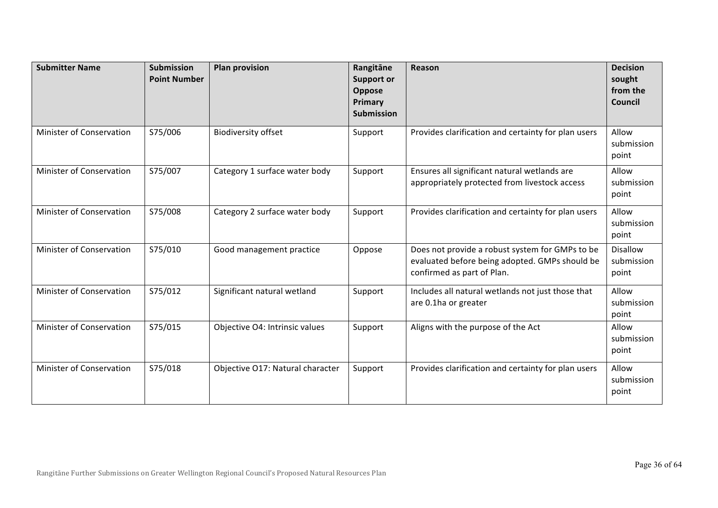| <b>Submitter Name</b>    | Submission<br><b>Point Number</b> | <b>Plan provision</b>            | Rangitāne<br><b>Support or</b><br>Oppose<br>Primary<br><b>Submission</b> | Reason                                                                                                                          | <b>Decision</b><br>sought<br>from the<br>Council |
|--------------------------|-----------------------------------|----------------------------------|--------------------------------------------------------------------------|---------------------------------------------------------------------------------------------------------------------------------|--------------------------------------------------|
| Minister of Conservation | S75/006                           | <b>Biodiversity offset</b>       | Support                                                                  | Provides clarification and certainty for plan users                                                                             | Allow<br>submission<br>point                     |
| Minister of Conservation | S75/007                           | Category 1 surface water body    | Support                                                                  | Ensures all significant natural wetlands are<br>appropriately protected from livestock access                                   | Allow<br>submission<br>point                     |
| Minister of Conservation | S75/008                           | Category 2 surface water body    | Support                                                                  | Provides clarification and certainty for plan users                                                                             | Allow<br>submission<br>point                     |
| Minister of Conservation | S75/010                           | Good management practice         | Oppose                                                                   | Does not provide a robust system for GMPs to be<br>evaluated before being adopted. GMPs should be<br>confirmed as part of Plan. | <b>Disallow</b><br>submission<br>point           |
| Minister of Conservation | S75/012                           | Significant natural wetland      | Support                                                                  | Includes all natural wetlands not just those that<br>are 0.1ha or greater                                                       | Allow<br>submission<br>point                     |
| Minister of Conservation | S75/015                           | Objective O4: Intrinsic values   | Support                                                                  | Aligns with the purpose of the Act                                                                                              | Allow<br>submission<br>point                     |
| Minister of Conservation | S75/018                           | Objective O17: Natural character | Support                                                                  | Provides clarification and certainty for plan users                                                                             | Allow<br>submission<br>point                     |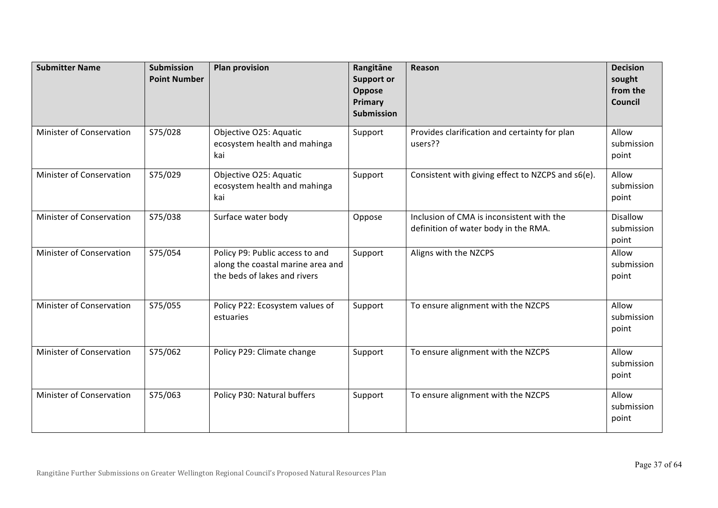| <b>Submitter Name</b>           | <b>Submission</b><br><b>Point Number</b> | <b>Plan provision</b>                                                                                | Rangitāne<br><b>Support or</b><br>Oppose<br>Primary<br><b>Submission</b> | Reason                                                                            | <b>Decision</b><br>sought<br>from the<br>Council |
|---------------------------------|------------------------------------------|------------------------------------------------------------------------------------------------------|--------------------------------------------------------------------------|-----------------------------------------------------------------------------------|--------------------------------------------------|
| Minister of Conservation        | S75/028                                  | Objective O25: Aquatic<br>ecosystem health and mahinga<br>kai                                        | Support                                                                  | Provides clarification and certainty for plan<br>users??                          | Allow<br>submission<br>point                     |
| Minister of Conservation        | S75/029                                  | Objective O25: Aquatic<br>ecosystem health and mahinga<br>kai                                        | Support                                                                  | Consistent with giving effect to NZCPS and s6(e).                                 | Allow<br>submission<br>point                     |
| Minister of Conservation        | S75/038                                  | Surface water body                                                                                   | Oppose                                                                   | Inclusion of CMA is inconsistent with the<br>definition of water body in the RMA. | <b>Disallow</b><br>submission<br>point           |
| <b>Minister of Conservation</b> | S75/054                                  | Policy P9: Public access to and<br>along the coastal marine area and<br>the beds of lakes and rivers | Support                                                                  | Aligns with the NZCPS                                                             | Allow<br>submission<br>point                     |
| Minister of Conservation        | S75/055                                  | Policy P22: Ecosystem values of<br>estuaries                                                         | Support                                                                  | To ensure alignment with the NZCPS                                                | Allow<br>submission<br>point                     |
| <b>Minister of Conservation</b> | S75/062                                  | Policy P29: Climate change                                                                           | Support                                                                  | To ensure alignment with the NZCPS                                                | Allow<br>submission<br>point                     |
| Minister of Conservation        | S75/063                                  | Policy P30: Natural buffers                                                                          | Support                                                                  | To ensure alignment with the NZCPS                                                | Allow<br>submission<br>point                     |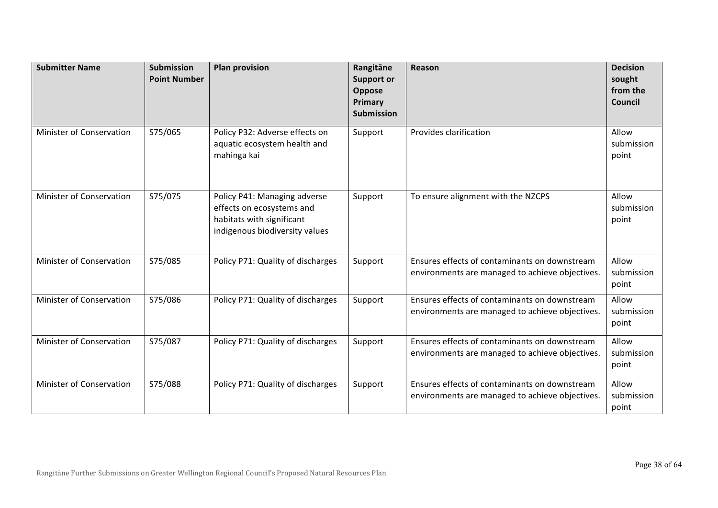| <b>Submitter Name</b>           | <b>Submission</b><br><b>Point Number</b> | <b>Plan provision</b>                                                                                                    | Rangitāne<br><b>Support or</b><br>Oppose<br>Primary<br><b>Submission</b> | Reason                                                                                           | <b>Decision</b><br>sought<br>from the<br>Council |
|---------------------------------|------------------------------------------|--------------------------------------------------------------------------------------------------------------------------|--------------------------------------------------------------------------|--------------------------------------------------------------------------------------------------|--------------------------------------------------|
| Minister of Conservation        | S75/065                                  | Policy P32: Adverse effects on<br>aquatic ecosystem health and<br>mahinga kai                                            | Support                                                                  | Provides clarification                                                                           | Allow<br>submission<br>point                     |
| Minister of Conservation        | S75/075                                  | Policy P41: Managing adverse<br>effects on ecosystems and<br>habitats with significant<br>indigenous biodiversity values | Support                                                                  | To ensure alignment with the NZCPS                                                               | Allow<br>submission<br>point                     |
| Minister of Conservation        | S75/085                                  | Policy P71: Quality of discharges                                                                                        | Support                                                                  | Ensures effects of contaminants on downstream<br>environments are managed to achieve objectives. | Allow<br>submission<br>point                     |
| <b>Minister of Conservation</b> | S75/086                                  | Policy P71: Quality of discharges                                                                                        | Support                                                                  | Ensures effects of contaminants on downstream<br>environments are managed to achieve objectives. | Allow<br>submission<br>point                     |
| Minister of Conservation        | S75/087                                  | Policy P71: Quality of discharges                                                                                        | Support                                                                  | Ensures effects of contaminants on downstream<br>environments are managed to achieve objectives. | Allow<br>submission<br>point                     |
| Minister of Conservation        | S75/088                                  | Policy P71: Quality of discharges                                                                                        | Support                                                                  | Ensures effects of contaminants on downstream<br>environments are managed to achieve objectives. | Allow<br>submission<br>point                     |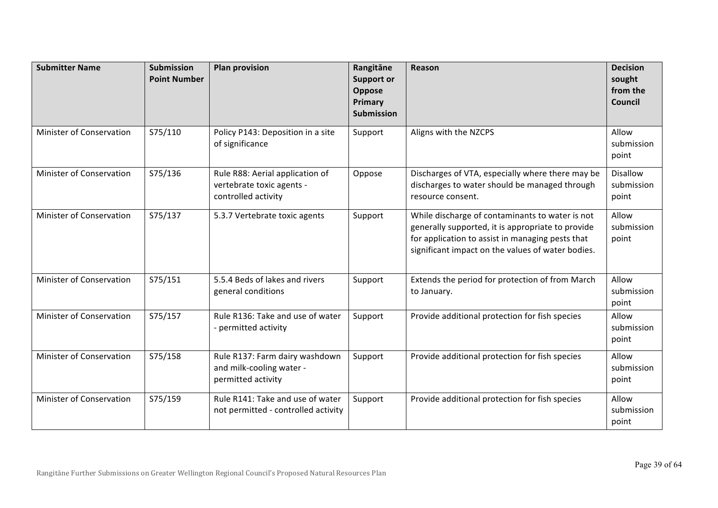| <b>Submitter Name</b>           | <b>Submission</b><br><b>Point Number</b> | <b>Plan provision</b>                                                               | Rangitāne<br><b>Support or</b><br>Oppose<br>Primary<br><b>Submission</b> | Reason                                                                                                                                                                                                        | <b>Decision</b><br>sought<br>from the<br><b>Council</b> |
|---------------------------------|------------------------------------------|-------------------------------------------------------------------------------------|--------------------------------------------------------------------------|---------------------------------------------------------------------------------------------------------------------------------------------------------------------------------------------------------------|---------------------------------------------------------|
| <b>Minister of Conservation</b> | S75/110                                  | Policy P143: Deposition in a site<br>of significance                                | Support                                                                  | Aligns with the NZCPS                                                                                                                                                                                         | Allow<br>submission<br>point                            |
| Minister of Conservation        | S75/136                                  | Rule R88: Aerial application of<br>vertebrate toxic agents -<br>controlled activity | Oppose                                                                   | Discharges of VTA, especially where there may be<br>discharges to water should be managed through<br>resource consent.                                                                                        | <b>Disallow</b><br>submission<br>point                  |
| Minister of Conservation        | S75/137                                  | 5.3.7 Vertebrate toxic agents                                                       | Support                                                                  | While discharge of contaminants to water is not<br>generally supported, it is appropriate to provide<br>for application to assist in managing pests that<br>significant impact on the values of water bodies. | Allow<br>submission<br>point                            |
| Minister of Conservation        | S75/151                                  | 5.5.4 Beds of lakes and rivers<br>general conditions                                | Support                                                                  | Extends the period for protection of from March<br>to January.                                                                                                                                                | Allow<br>submission<br>point                            |
| Minister of Conservation        | S75/157                                  | Rule R136: Take and use of water<br>- permitted activity                            | Support                                                                  | Provide additional protection for fish species                                                                                                                                                                | Allow<br>submission<br>point                            |
| Minister of Conservation        | S75/158                                  | Rule R137: Farm dairy washdown<br>and milk-cooling water -<br>permitted activity    | Support                                                                  | Provide additional protection for fish species                                                                                                                                                                | Allow<br>submission<br>point                            |
| <b>Minister of Conservation</b> | S75/159                                  | Rule R141: Take and use of water<br>not permitted - controlled activity             | Support                                                                  | Provide additional protection for fish species                                                                                                                                                                | Allow<br>submission<br>point                            |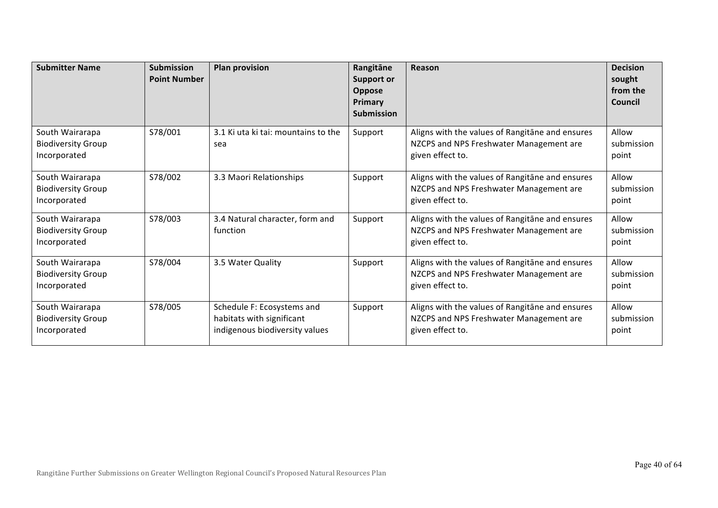| <b>Submitter Name</b>                                        | <b>Submission</b><br><b>Point Number</b> | <b>Plan provision</b>                                                                     | Rangitāne<br><b>Support or</b><br>Oppose<br>Primary<br><b>Submission</b> | Reason                                                                                                         | <b>Decision</b><br>sought<br>from the<br>Council |
|--------------------------------------------------------------|------------------------------------------|-------------------------------------------------------------------------------------------|--------------------------------------------------------------------------|----------------------------------------------------------------------------------------------------------------|--------------------------------------------------|
| South Wairarapa<br><b>Biodiversity Group</b><br>Incorporated | S78/001                                  | 3.1 Ki uta ki tai: mountains to the<br>sea                                                | Support                                                                  | Aligns with the values of Rangitane and ensures<br>NZCPS and NPS Freshwater Management are<br>given effect to. | Allow<br>submission<br>point                     |
| South Wairarapa<br><b>Biodiversity Group</b><br>Incorporated | S78/002                                  | 3.3 Maori Relationships                                                                   | Support                                                                  | Aligns with the values of Rangitane and ensures<br>NZCPS and NPS Freshwater Management are<br>given effect to. | Allow<br>submission<br>point                     |
| South Wairarapa<br><b>Biodiversity Group</b><br>Incorporated | S78/003                                  | 3.4 Natural character, form and<br>function                                               | Support                                                                  | Aligns with the values of Rangitane and ensures<br>NZCPS and NPS Freshwater Management are<br>given effect to. | Allow<br>submission<br>point                     |
| South Wairarapa<br><b>Biodiversity Group</b><br>Incorporated | S78/004                                  | 3.5 Water Quality                                                                         | Support                                                                  | Aligns with the values of Rangitane and ensures<br>NZCPS and NPS Freshwater Management are<br>given effect to. | Allow<br>submission<br>point                     |
| South Wairarapa<br><b>Biodiversity Group</b><br>Incorporated | S78/005                                  | Schedule F: Ecosystems and<br>habitats with significant<br>indigenous biodiversity values | Support                                                                  | Aligns with the values of Rangitane and ensures<br>NZCPS and NPS Freshwater Management are<br>given effect to. | Allow<br>submission<br>point                     |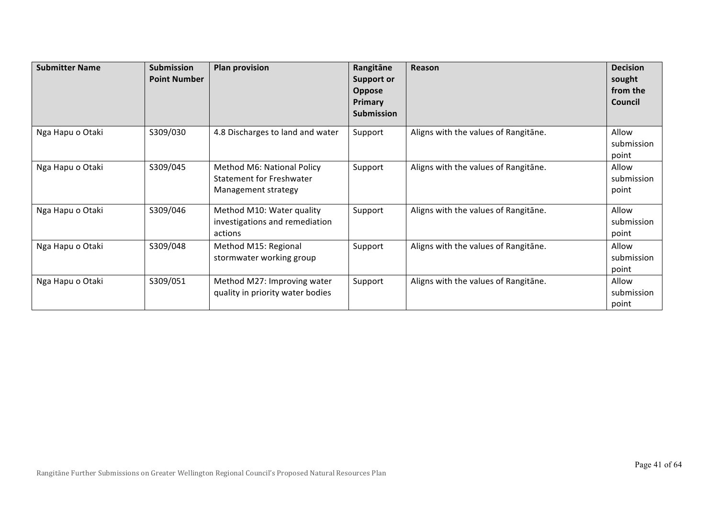| <b>Submitter Name</b> | <b>Submission</b><br><b>Point Number</b> | <b>Plan provision</b>                                                                | Rangitāne<br><b>Support or</b><br>Oppose<br>Primary<br><b>Submission</b> | Reason                               | <b>Decision</b><br>sought<br>from the<br>Council |
|-----------------------|------------------------------------------|--------------------------------------------------------------------------------------|--------------------------------------------------------------------------|--------------------------------------|--------------------------------------------------|
| Nga Hapu o Otaki      | S309/030                                 | 4.8 Discharges to land and water                                                     | Support                                                                  | Aligns with the values of Rangitane. | Allow<br>submission<br>point                     |
| Nga Hapu o Otaki      | S309/045                                 | Method M6: National Policy<br><b>Statement for Freshwater</b><br>Management strategy | Support                                                                  | Aligns with the values of Rangitane. | Allow<br>submission<br>point                     |
| Nga Hapu o Otaki      | S309/046                                 | Method M10: Water quality<br>investigations and remediation<br>actions               | Support                                                                  | Aligns with the values of Rangitane. | Allow<br>submission<br>point                     |
| Nga Hapu o Otaki      | S309/048                                 | Method M15: Regional<br>stormwater working group                                     | Support                                                                  | Aligns with the values of Rangitane. | Allow<br>submission<br>point                     |
| Nga Hapu o Otaki      | S309/051                                 | Method M27: Improving water<br>quality in priority water bodies                      | Support                                                                  | Aligns with the values of Rangitane. | Allow<br>submission<br>point                     |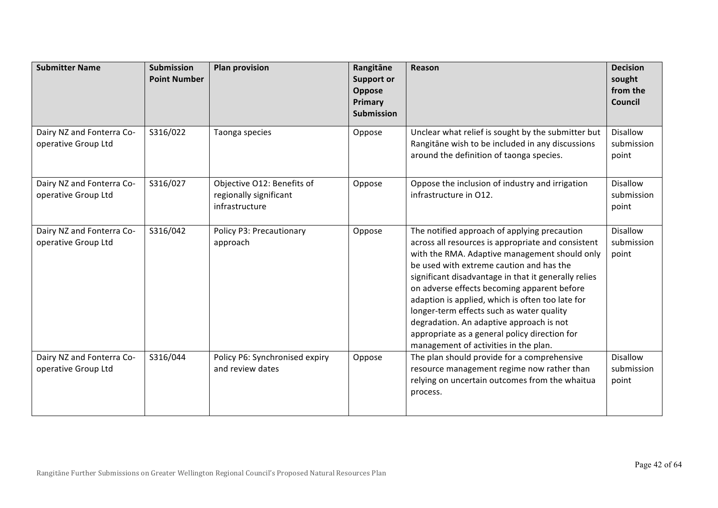| <b>Submitter Name</b>                            | <b>Submission</b><br><b>Point Number</b> | <b>Plan provision</b>                                                  | Rangitāne<br><b>Support or</b><br>Oppose<br>Primary<br><b>Submission</b> | Reason                                                                                                                                                                                                                                                                                                                                                                                                                                                                                                                                        | <b>Decision</b><br>sought<br>from the<br><b>Council</b> |
|--------------------------------------------------|------------------------------------------|------------------------------------------------------------------------|--------------------------------------------------------------------------|-----------------------------------------------------------------------------------------------------------------------------------------------------------------------------------------------------------------------------------------------------------------------------------------------------------------------------------------------------------------------------------------------------------------------------------------------------------------------------------------------------------------------------------------------|---------------------------------------------------------|
| Dairy NZ and Fonterra Co-<br>operative Group Ltd | S316/022                                 | Taonga species                                                         | Oppose                                                                   | Unclear what relief is sought by the submitter but<br>Rangitāne wish to be included in any discussions<br>around the definition of taonga species.                                                                                                                                                                                                                                                                                                                                                                                            | <b>Disallow</b><br>submission<br>point                  |
| Dairy NZ and Fonterra Co-<br>operative Group Ltd | S316/027                                 | Objective O12: Benefits of<br>regionally significant<br>infrastructure | Oppose                                                                   | Oppose the inclusion of industry and irrigation<br>infrastructure in O12.                                                                                                                                                                                                                                                                                                                                                                                                                                                                     | <b>Disallow</b><br>submission<br>point                  |
| Dairy NZ and Fonterra Co-<br>operative Group Ltd | S316/042                                 | Policy P3: Precautionary<br>approach                                   | Oppose                                                                   | The notified approach of applying precaution<br>across all resources is appropriate and consistent<br>with the RMA. Adaptive management should only<br>be used with extreme caution and has the<br>significant disadvantage in that it generally relies<br>on adverse effects becoming apparent before<br>adaption is applied, which is often too late for<br>longer-term effects such as water quality<br>degradation. An adaptive approach is not<br>appropriate as a general policy direction for<br>management of activities in the plan. | <b>Disallow</b><br>submission<br>point                  |
| Dairy NZ and Fonterra Co-<br>operative Group Ltd | S316/044                                 | Policy P6: Synchronised expiry<br>and review dates                     | Oppose                                                                   | The plan should provide for a comprehensive<br>resource management regime now rather than<br>relying on uncertain outcomes from the whaitua<br>process.                                                                                                                                                                                                                                                                                                                                                                                       | <b>Disallow</b><br>submission<br>point                  |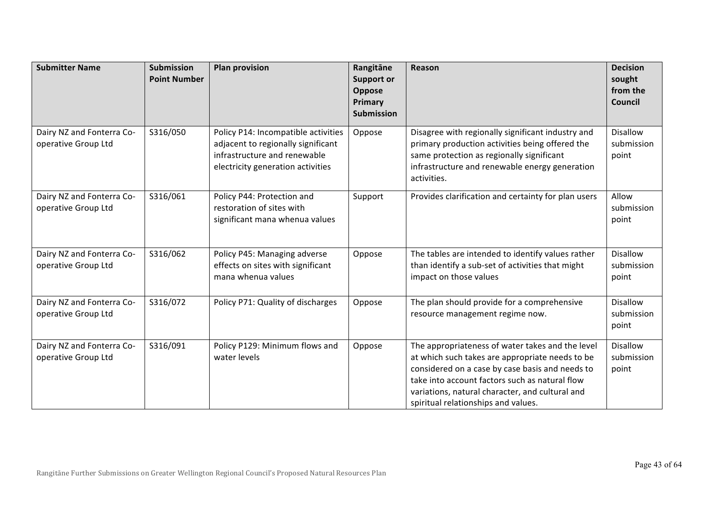| <b>Submitter Name</b>                            | <b>Submission</b><br><b>Point Number</b> | <b>Plan provision</b>                                                                                                                          | Rangitāne<br><b>Support or</b><br>Oppose<br>Primary<br><b>Submission</b> | Reason                                                                                                                                                                                                                                                                                             | <b>Decision</b><br>sought<br>from the<br><b>Council</b> |
|--------------------------------------------------|------------------------------------------|------------------------------------------------------------------------------------------------------------------------------------------------|--------------------------------------------------------------------------|----------------------------------------------------------------------------------------------------------------------------------------------------------------------------------------------------------------------------------------------------------------------------------------------------|---------------------------------------------------------|
| Dairy NZ and Fonterra Co-<br>operative Group Ltd | S316/050                                 | Policy P14: Incompatible activities<br>adjacent to regionally significant<br>infrastructure and renewable<br>electricity generation activities | Oppose                                                                   | Disagree with regionally significant industry and<br>primary production activities being offered the<br>same protection as regionally significant<br>infrastructure and renewable energy generation<br>activities.                                                                                 | <b>Disallow</b><br>submission<br>point                  |
| Dairy NZ and Fonterra Co-<br>operative Group Ltd | S316/061                                 | Policy P44: Protection and<br>restoration of sites with<br>significant mana whenua values                                                      | Support                                                                  | Provides clarification and certainty for plan users                                                                                                                                                                                                                                                | Allow<br>submission<br>point                            |
| Dairy NZ and Fonterra Co-<br>operative Group Ltd | S316/062                                 | Policy P45: Managing adverse<br>effects on sites with significant<br>mana whenua values                                                        | Oppose                                                                   | The tables are intended to identify values rather<br>than identify a sub-set of activities that might<br>impact on those values                                                                                                                                                                    | <b>Disallow</b><br>submission<br>point                  |
| Dairy NZ and Fonterra Co-<br>operative Group Ltd | S316/072                                 | Policy P71: Quality of discharges                                                                                                              | Oppose                                                                   | The plan should provide for a comprehensive<br>resource management regime now.                                                                                                                                                                                                                     | <b>Disallow</b><br>submission<br>point                  |
| Dairy NZ and Fonterra Co-<br>operative Group Ltd | S316/091                                 | Policy P129: Minimum flows and<br>water levels                                                                                                 | Oppose                                                                   | The appropriateness of water takes and the level<br>at which such takes are appropriate needs to be<br>considered on a case by case basis and needs to<br>take into account factors such as natural flow<br>variations, natural character, and cultural and<br>spiritual relationships and values. | <b>Disallow</b><br>submission<br>point                  |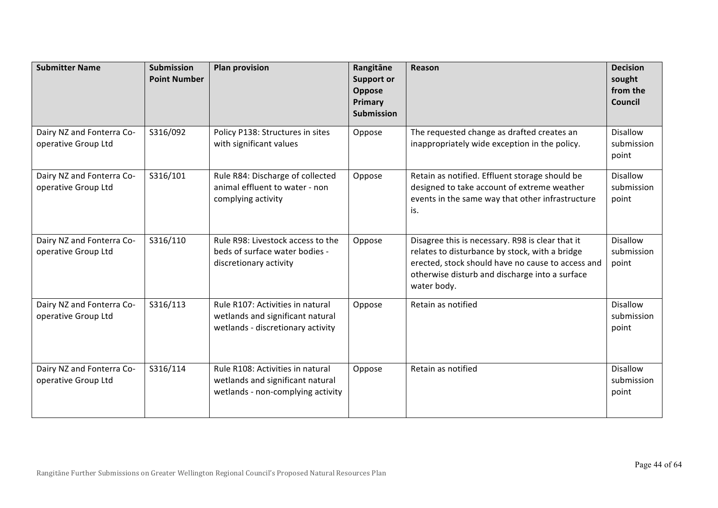| <b>Submitter Name</b>                            | Submission<br><b>Point Number</b> | <b>Plan provision</b>                                                                                     | Rangitāne<br><b>Support or</b><br>Oppose<br>Primary<br><b>Submission</b> | Reason                                                                                                                                                                                                                   | <b>Decision</b><br>sought<br>from the<br>Council |
|--------------------------------------------------|-----------------------------------|-----------------------------------------------------------------------------------------------------------|--------------------------------------------------------------------------|--------------------------------------------------------------------------------------------------------------------------------------------------------------------------------------------------------------------------|--------------------------------------------------|
| Dairy NZ and Fonterra Co-<br>operative Group Ltd | S316/092                          | Policy P138: Structures in sites<br>with significant values                                               | Oppose                                                                   | The requested change as drafted creates an<br>inappropriately wide exception in the policy.                                                                                                                              | <b>Disallow</b><br>submission<br>point           |
| Dairy NZ and Fonterra Co-<br>operative Group Ltd | S316/101                          | Rule R84: Discharge of collected<br>animal effluent to water - non<br>complying activity                  | Oppose                                                                   | Retain as notified. Effluent storage should be<br>designed to take account of extreme weather<br>events in the same way that other infrastructure<br>is.                                                                 | <b>Disallow</b><br>submission<br>point           |
| Dairy NZ and Fonterra Co-<br>operative Group Ltd | S316/110                          | Rule R98: Livestock access to the<br>beds of surface water bodies -<br>discretionary activity             | Oppose                                                                   | Disagree this is necessary. R98 is clear that it<br>relates to disturbance by stock, with a bridge<br>erected, stock should have no cause to access and<br>otherwise disturb and discharge into a surface<br>water body. | <b>Disallow</b><br>submission<br>point           |
| Dairy NZ and Fonterra Co-<br>operative Group Ltd | S316/113                          | Rule R107: Activities in natural<br>wetlands and significant natural<br>wetlands - discretionary activity | Oppose                                                                   | Retain as notified                                                                                                                                                                                                       | <b>Disallow</b><br>submission<br>point           |
| Dairy NZ and Fonterra Co-<br>operative Group Ltd | S316/114                          | Rule R108: Activities in natural<br>wetlands and significant natural<br>wetlands - non-complying activity | Oppose                                                                   | Retain as notified                                                                                                                                                                                                       | <b>Disallow</b><br>submission<br>point           |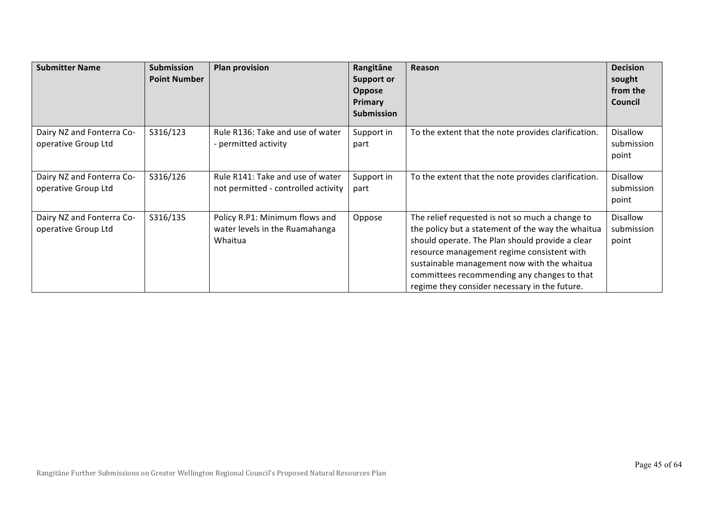| <b>Submitter Name</b>                            | <b>Submission</b><br><b>Point Number</b> | <b>Plan provision</b>                                                       | Rangitāne<br><b>Support or</b><br><b>Oppose</b><br>Primary<br><b>Submission</b> | Reason                                                                                                                                                                                                                                                                                                                                               | <b>Decision</b><br>sought<br>from the<br><b>Council</b> |
|--------------------------------------------------|------------------------------------------|-----------------------------------------------------------------------------|---------------------------------------------------------------------------------|------------------------------------------------------------------------------------------------------------------------------------------------------------------------------------------------------------------------------------------------------------------------------------------------------------------------------------------------------|---------------------------------------------------------|
| Dairy NZ and Fonterra Co-<br>operative Group Ltd | S316/123                                 | Rule R136: Take and use of water<br>- permitted activity                    | Support in<br>part                                                              | To the extent that the note provides clarification.                                                                                                                                                                                                                                                                                                  | <b>Disallow</b><br>submission<br>point                  |
| Dairy NZ and Fonterra Co-<br>operative Group Ltd | S316/126                                 | Rule R141: Take and use of water<br>not permitted - controlled activity     | Support in<br>part                                                              | To the extent that the note provides clarification.                                                                                                                                                                                                                                                                                                  | <b>Disallow</b><br>submission<br>point                  |
| Dairy NZ and Fonterra Co-<br>operative Group Ltd | S316/135                                 | Policy R.P1: Minimum flows and<br>water levels in the Ruamahanga<br>Whaitua | Oppose                                                                          | The relief requested is not so much a change to<br>the policy but a statement of the way the whaitua<br>should operate. The Plan should provide a clear<br>resource management regime consistent with<br>sustainable management now with the whaitua<br>committees recommending any changes to that<br>regime they consider necessary in the future. | Disallow<br>submission<br>point                         |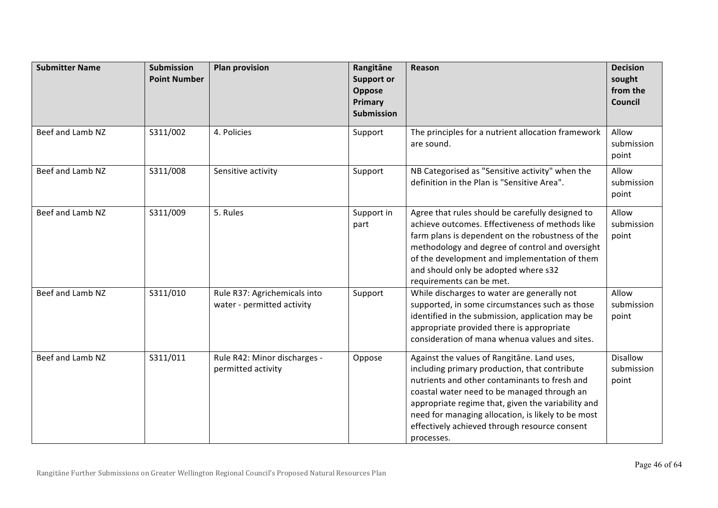| <b>Submitter Name</b> | <b>Submission</b><br><b>Point Number</b> | <b>Plan provision</b>                                      | Rangitāne<br><b>Support or</b><br>Oppose<br>Primary<br><b>Submission</b> | Reason                                                                                                                                                                                                                                                                                                                                                                  | <b>Decision</b><br>sought<br>from the<br><b>Council</b> |
|-----------------------|------------------------------------------|------------------------------------------------------------|--------------------------------------------------------------------------|-------------------------------------------------------------------------------------------------------------------------------------------------------------------------------------------------------------------------------------------------------------------------------------------------------------------------------------------------------------------------|---------------------------------------------------------|
| Beef and Lamb NZ      | S311/002                                 | 4. Policies                                                | Support                                                                  | The principles for a nutrient allocation framework<br>are sound.                                                                                                                                                                                                                                                                                                        | Allow<br>submission<br>point                            |
| Beef and Lamb NZ      | S311/008                                 | Sensitive activity                                         | Support                                                                  | NB Categorised as "Sensitive activity" when the<br>definition in the Plan is "Sensitive Area".                                                                                                                                                                                                                                                                          | Allow<br>submission<br>point                            |
| Beef and Lamb NZ      | S311/009                                 | 5. Rules                                                   | Support in<br>part                                                       | Agree that rules should be carefully designed to<br>achieve outcomes. Effectiveness of methods like<br>farm plans is dependent on the robustness of the<br>methodology and degree of control and oversight<br>of the development and implementation of them<br>and should only be adopted where s32<br>requirements can be met.                                         | Allow<br>submission<br>point                            |
| Beef and Lamb NZ      | S311/010                                 | Rule R37: Agrichemicals into<br>water - permitted activity | Support                                                                  | While discharges to water are generally not<br>supported, in some circumstances such as those<br>identified in the submission, application may be<br>appropriate provided there is appropriate<br>consideration of mana whenua values and sites.                                                                                                                        | Allow<br>submission<br>point                            |
| Beef and Lamb NZ      | S311/011                                 | Rule R42: Minor discharges -<br>permitted activity         | Oppose                                                                   | Against the values of Rangitane. Land uses,<br>including primary production, that contribute<br>nutrients and other contaminants to fresh and<br>coastal water need to be managed through an<br>appropriate regime that, given the variability and<br>need for managing allocation, is likely to be most<br>effectively achieved through resource consent<br>processes. | <b>Disallow</b><br>submission<br>point                  |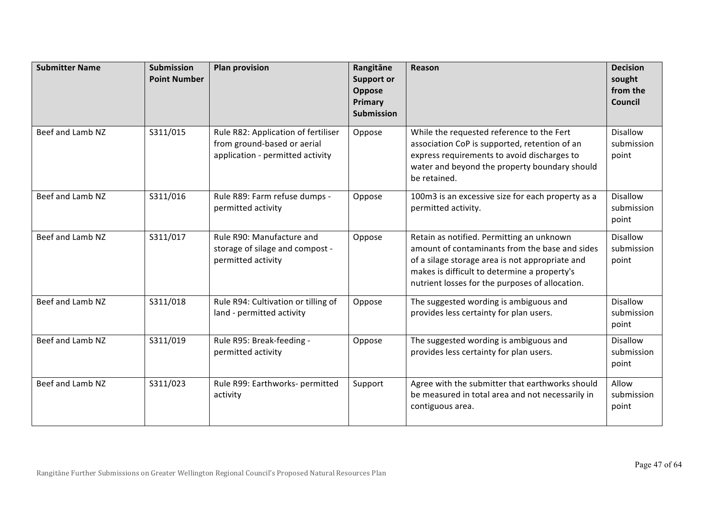| <b>Submitter Name</b> | <b>Submission</b><br><b>Point Number</b> | <b>Plan provision</b>                                                                                  | Rangitāne<br><b>Support or</b><br>Oppose<br>Primary<br><b>Submission</b> | Reason                                                                                                                                                                                                                                            | <b>Decision</b><br>sought<br>from the<br><b>Council</b> |
|-----------------------|------------------------------------------|--------------------------------------------------------------------------------------------------------|--------------------------------------------------------------------------|---------------------------------------------------------------------------------------------------------------------------------------------------------------------------------------------------------------------------------------------------|---------------------------------------------------------|
| Beef and Lamb NZ      | S311/015                                 | Rule R82: Application of fertiliser<br>from ground-based or aerial<br>application - permitted activity | Oppose                                                                   | While the requested reference to the Fert<br>association CoP is supported, retention of an<br>express requirements to avoid discharges to<br>water and beyond the property boundary should<br>be retained.                                        | <b>Disallow</b><br>submission<br>point                  |
| Beef and Lamb NZ      | S311/016                                 | Rule R89: Farm refuse dumps -<br>permitted activity                                                    | Oppose                                                                   | 100m3 is an excessive size for each property as a<br>permitted activity.                                                                                                                                                                          | <b>Disallow</b><br>submission<br>point                  |
| Beef and Lamb NZ      | S311/017                                 | Rule R90: Manufacture and<br>storage of silage and compost -<br>permitted activity                     | Oppose                                                                   | Retain as notified. Permitting an unknown<br>amount of contaminants from the base and sides<br>of a silage storage area is not appropriate and<br>makes is difficult to determine a property's<br>nutrient losses for the purposes of allocation. | <b>Disallow</b><br>submission<br>point                  |
| Beef and Lamb NZ      | S311/018                                 | Rule R94: Cultivation or tilling of<br>land - permitted activity                                       | Oppose                                                                   | The suggested wording is ambiguous and<br>provides less certainty for plan users.                                                                                                                                                                 | <b>Disallow</b><br>submission<br>point                  |
| Beef and Lamb NZ      | S311/019                                 | Rule R95: Break-feeding -<br>permitted activity                                                        | Oppose                                                                   | The suggested wording is ambiguous and<br>provides less certainty for plan users.                                                                                                                                                                 | <b>Disallow</b><br>submission<br>point                  |
| Beef and Lamb NZ      | S311/023                                 | Rule R99: Earthworks- permitted<br>activity                                                            | Support                                                                  | Agree with the submitter that earthworks should<br>be measured in total area and not necessarily in<br>contiguous area.                                                                                                                           | Allow<br>submission<br>point                            |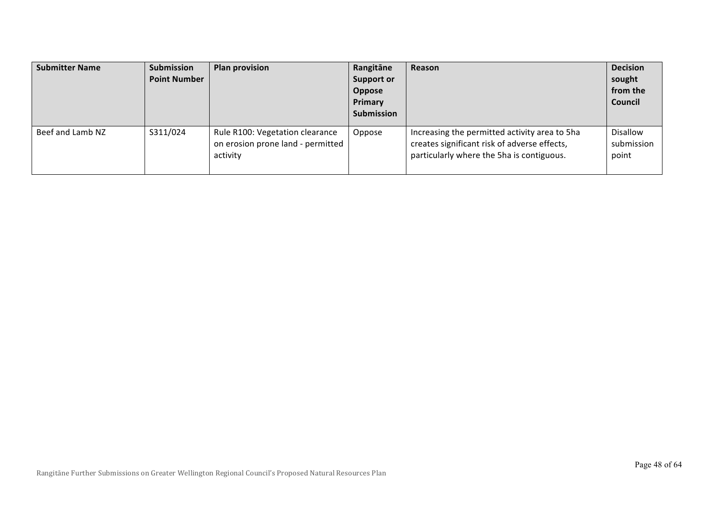| <b>Submitter Name</b> | Submission<br><b>Point Number</b> | <b>Plan provision</b>                                                            | Rangitāne<br><b>Support or</b><br>Oppose<br>Primary<br><b>Submission</b> | Reason                                                                                                                                     | <b>Decision</b><br>sought<br>from the<br>Council |
|-----------------------|-----------------------------------|----------------------------------------------------------------------------------|--------------------------------------------------------------------------|--------------------------------------------------------------------------------------------------------------------------------------------|--------------------------------------------------|
| Beef and Lamb NZ      | S311/024                          | Rule R100: Vegetation clearance<br>on erosion prone land - permitted<br>activity | Oppose                                                                   | Increasing the permitted activity area to 5ha<br>creates significant risk of adverse effects,<br>particularly where the 5ha is contiguous. | Disallow<br>submission<br>point                  |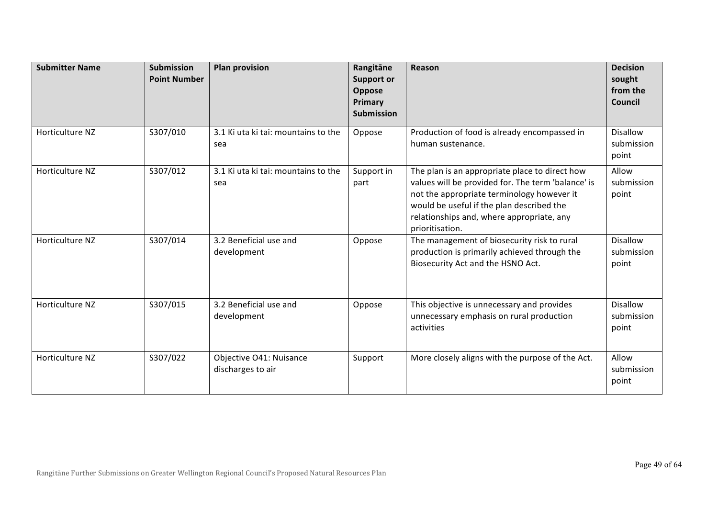| <b>Submitter Name</b> | <b>Submission</b><br><b>Point Number</b> | <b>Plan provision</b>                        | Rangitāne<br><b>Support or</b><br>Oppose<br>Primary<br><b>Submission</b> | Reason                                                                                                                                                                                                                                                          | <b>Decision</b><br>sought<br>from the<br>Council |
|-----------------------|------------------------------------------|----------------------------------------------|--------------------------------------------------------------------------|-----------------------------------------------------------------------------------------------------------------------------------------------------------------------------------------------------------------------------------------------------------------|--------------------------------------------------|
| Horticulture NZ       | S307/010                                 | 3.1 Ki uta ki tai: mountains to the<br>sea   | Oppose                                                                   | Production of food is already encompassed in<br>human sustenance.                                                                                                                                                                                               | <b>Disallow</b><br>submission<br>point           |
| Horticulture NZ       | S307/012                                 | 3.1 Ki uta ki tai: mountains to the<br>sea   | Support in<br>part                                                       | The plan is an appropriate place to direct how<br>values will be provided for. The term 'balance' is<br>not the appropriate terminology however it<br>would be useful if the plan described the<br>relationships and, where appropriate, any<br>prioritisation. | Allow<br>submission<br>point                     |
| Horticulture NZ       | S307/014                                 | 3.2 Beneficial use and<br>development        | Oppose                                                                   | The management of biosecurity risk to rural<br>production is primarily achieved through the<br>Biosecurity Act and the HSNO Act.                                                                                                                                | <b>Disallow</b><br>submission<br>point           |
| Horticulture NZ       | S307/015                                 | 3.2 Beneficial use and<br>development        | Oppose                                                                   | This objective is unnecessary and provides<br>unnecessary emphasis on rural production<br>activities                                                                                                                                                            | <b>Disallow</b><br>submission<br>point           |
| Horticulture NZ       | S307/022                                 | Objective O41: Nuisance<br>discharges to air | Support                                                                  | More closely aligns with the purpose of the Act.                                                                                                                                                                                                                | Allow<br>submission<br>point                     |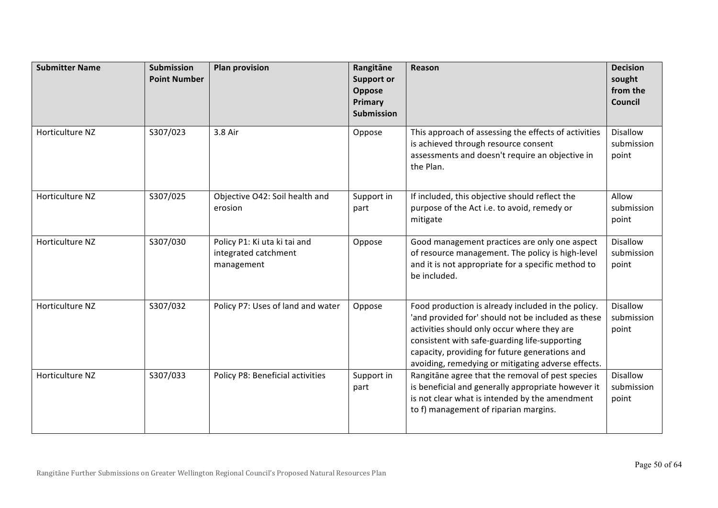| <b>Submitter Name</b> | <b>Submission</b><br><b>Point Number</b> | <b>Plan provision</b>                                              | Rangitāne<br><b>Support or</b><br>Oppose<br>Primary<br><b>Submission</b> | Reason                                                                                                                                                                                                                                                                                                           | <b>Decision</b><br>sought<br>from the<br>Council |
|-----------------------|------------------------------------------|--------------------------------------------------------------------|--------------------------------------------------------------------------|------------------------------------------------------------------------------------------------------------------------------------------------------------------------------------------------------------------------------------------------------------------------------------------------------------------|--------------------------------------------------|
| Horticulture NZ       | S307/023                                 | 3.8 Air                                                            | Oppose                                                                   | This approach of assessing the effects of activities<br>is achieved through resource consent<br>assessments and doesn't require an objective in<br>the Plan.                                                                                                                                                     | <b>Disallow</b><br>submission<br>point           |
| Horticulture NZ       | S307/025                                 | Objective O42: Soil health and<br>erosion                          | Support in<br>part                                                       | If included, this objective should reflect the<br>purpose of the Act i.e. to avoid, remedy or<br>mitigate                                                                                                                                                                                                        | Allow<br>submission<br>point                     |
| Horticulture NZ       | S307/030                                 | Policy P1: Ki uta ki tai and<br>integrated catchment<br>management | Oppose                                                                   | Good management practices are only one aspect<br>of resource management. The policy is high-level<br>and it is not appropriate for a specific method to<br>be included.                                                                                                                                          | <b>Disallow</b><br>submission<br>point           |
| Horticulture NZ       | S307/032                                 | Policy P7: Uses of land and water                                  | Oppose                                                                   | Food production is already included in the policy.<br>'and provided for' should not be included as these<br>activities should only occur where they are<br>consistent with safe-guarding life-supporting<br>capacity, providing for future generations and<br>avoiding, remedying or mitigating adverse effects. | <b>Disallow</b><br>submission<br>point           |
| Horticulture NZ       | S307/033                                 | Policy P8: Beneficial activities                                   | Support in<br>part                                                       | Rangitāne agree that the removal of pest species<br>is beneficial and generally appropriate however it<br>is not clear what is intended by the amendment<br>to f) management of riparian margins.                                                                                                                | Disallow<br>submission<br>point                  |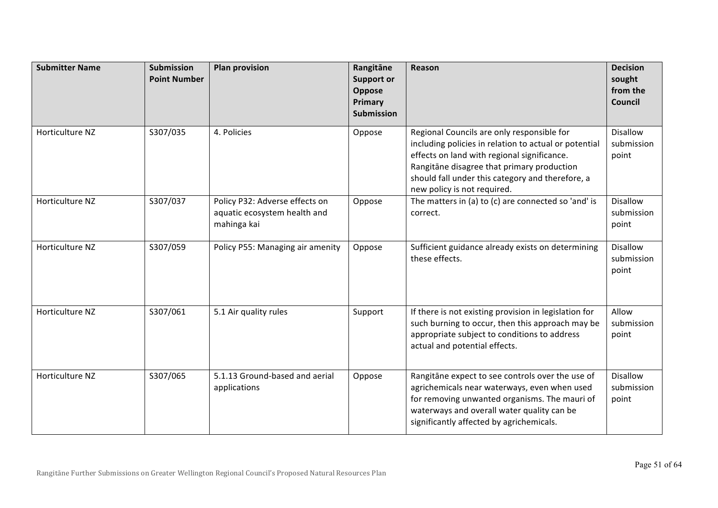| <b>Submitter Name</b> | <b>Submission</b><br><b>Point Number</b> | <b>Plan provision</b>                                                         | Rangitāne<br><b>Support or</b><br>Oppose<br>Primary<br><b>Submission</b> | Reason                                                                                                                                                                                                                                                                              | <b>Decision</b><br>sought<br>from the<br>Council |
|-----------------------|------------------------------------------|-------------------------------------------------------------------------------|--------------------------------------------------------------------------|-------------------------------------------------------------------------------------------------------------------------------------------------------------------------------------------------------------------------------------------------------------------------------------|--------------------------------------------------|
| Horticulture NZ       | S307/035                                 | 4. Policies                                                                   | Oppose                                                                   | Regional Councils are only responsible for<br>including policies in relation to actual or potential<br>effects on land with regional significance.<br>Rangitāne disagree that primary production<br>should fall under this category and therefore, a<br>new policy is not required. | <b>Disallow</b><br>submission<br>point           |
| Horticulture NZ       | S307/037                                 | Policy P32: Adverse effects on<br>aquatic ecosystem health and<br>mahinga kai | Oppose                                                                   | The matters in (a) to (c) are connected so 'and' is<br>correct.                                                                                                                                                                                                                     | <b>Disallow</b><br>submission<br>point           |
| Horticulture NZ       | S307/059                                 | Policy P55: Managing air amenity                                              | Oppose                                                                   | Sufficient guidance already exists on determining<br>these effects.                                                                                                                                                                                                                 | <b>Disallow</b><br>submission<br>point           |
| Horticulture NZ       | S307/061                                 | 5.1 Air quality rules                                                         | Support                                                                  | If there is not existing provision in legislation for<br>such burning to occur, then this approach may be<br>appropriate subject to conditions to address<br>actual and potential effects.                                                                                          | Allow<br>submission<br>point                     |
| Horticulture NZ       | S307/065                                 | 5.1.13 Ground-based and aerial<br>applications                                | Oppose                                                                   | Rangitāne expect to see controls over the use of<br>agrichemicals near waterways, even when used<br>for removing unwanted organisms. The mauri of<br>waterways and overall water quality can be<br>significantly affected by agrichemicals.                                         | <b>Disallow</b><br>submission<br>point           |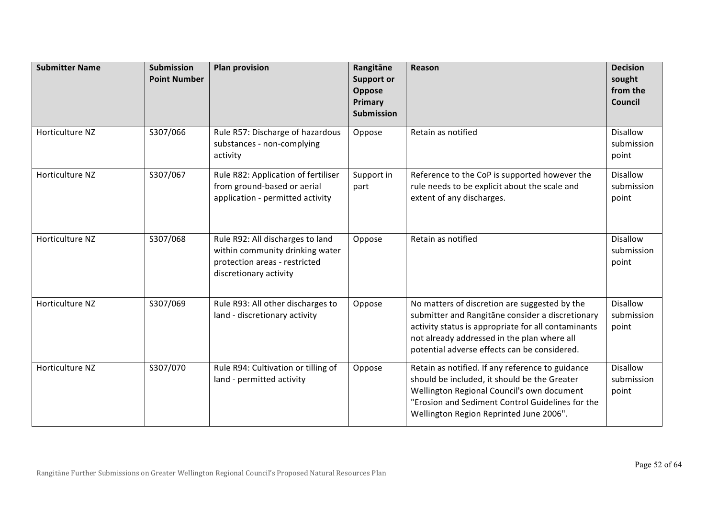| <b>Submitter Name</b> | <b>Submission</b><br><b>Point Number</b> | <b>Plan provision</b>                                                                                                          | Rangitāne<br><b>Support or</b><br>Oppose<br>Primary<br><b>Submission</b> | Reason                                                                                                                                                                                                                                                  | <b>Decision</b><br>sought<br>from the<br>Council |
|-----------------------|------------------------------------------|--------------------------------------------------------------------------------------------------------------------------------|--------------------------------------------------------------------------|---------------------------------------------------------------------------------------------------------------------------------------------------------------------------------------------------------------------------------------------------------|--------------------------------------------------|
| Horticulture NZ       | S307/066                                 | Rule R57: Discharge of hazardous<br>substances - non-complying<br>activity                                                     | Oppose                                                                   | Retain as notified                                                                                                                                                                                                                                      | <b>Disallow</b><br>submission<br>point           |
| Horticulture NZ       | S307/067                                 | Rule R82: Application of fertiliser<br>from ground-based or aerial<br>application - permitted activity                         | Support in<br>part                                                       | Reference to the CoP is supported however the<br>rule needs to be explicit about the scale and<br>extent of any discharges.                                                                                                                             | <b>Disallow</b><br>submission<br>point           |
| Horticulture NZ       | S307/068                                 | Rule R92: All discharges to land<br>within community drinking water<br>protection areas - restricted<br>discretionary activity | Oppose                                                                   | Retain as notified                                                                                                                                                                                                                                      | <b>Disallow</b><br>submission<br>point           |
| Horticulture NZ       | S307/069                                 | Rule R93: All other discharges to<br>land - discretionary activity                                                             | Oppose                                                                   | No matters of discretion are suggested by the<br>submitter and Rangitane consider a discretionary<br>activity status is appropriate for all contaminants<br>not already addressed in the plan where all<br>potential adverse effects can be considered. | <b>Disallow</b><br>submission<br>point           |
| Horticulture NZ       | S307/070                                 | Rule R94: Cultivation or tilling of<br>land - permitted activity                                                               | Oppose                                                                   | Retain as notified. If any reference to guidance<br>should be included, it should be the Greater<br>Wellington Regional Council's own document<br>"Erosion and Sediment Control Guidelines for the<br>Wellington Region Reprinted June 2006".           | <b>Disallow</b><br>submission<br>point           |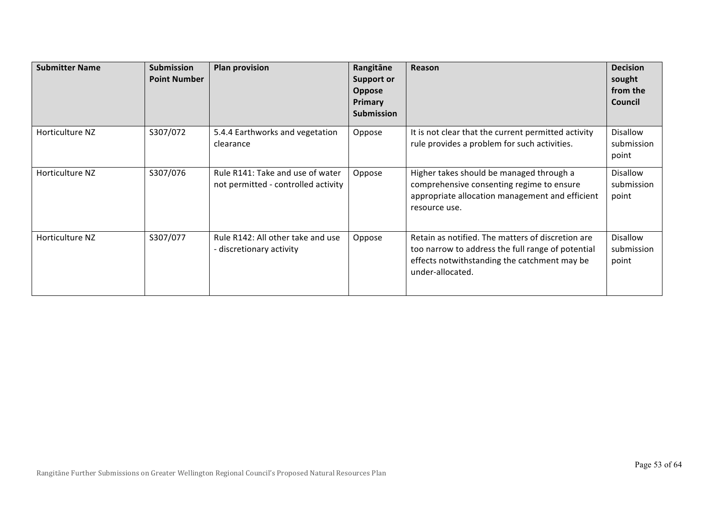| <b>Submitter Name</b> | <b>Submission</b><br><b>Point Number</b> | <b>Plan provision</b>                                                   | Rangitāne<br><b>Support or</b><br><b>Oppose</b><br><b>Primary</b><br><b>Submission</b> | Reason                                                                                                                                                                     | <b>Decision</b><br>sought<br>from the<br>Council |
|-----------------------|------------------------------------------|-------------------------------------------------------------------------|----------------------------------------------------------------------------------------|----------------------------------------------------------------------------------------------------------------------------------------------------------------------------|--------------------------------------------------|
| Horticulture NZ       | S307/072                                 | 5.4.4 Earthworks and vegetation<br>clearance                            | Oppose                                                                                 | It is not clear that the current permitted activity<br>rule provides a problem for such activities.                                                                        | Disallow<br>submission<br>point                  |
| Horticulture NZ       | S307/076                                 | Rule R141: Take and use of water<br>not permitted - controlled activity | Oppose                                                                                 | Higher takes should be managed through a<br>comprehensive consenting regime to ensure<br>appropriate allocation management and efficient<br>resource use.                  | Disallow<br>submission<br>point                  |
| Horticulture NZ       | S307/077                                 | Rule R142: All other take and use<br>- discretionary activity           | Oppose                                                                                 | Retain as notified. The matters of discretion are<br>too narrow to address the full range of potential<br>effects notwithstanding the catchment may be<br>under-allocated. | <b>Disallow</b><br>submission<br>point           |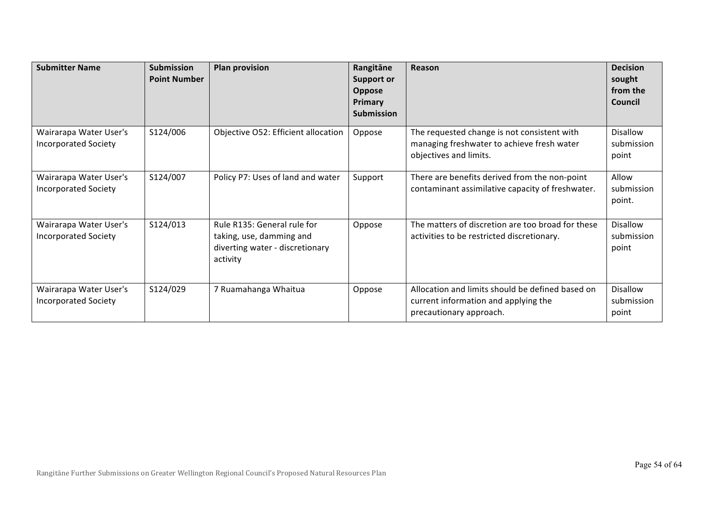| <b>Submitter Name</b>                                 | <b>Submission</b><br><b>Point Number</b> | <b>Plan provision</b>                                                                                  | Rangitāne<br><b>Support or</b><br><b>Oppose</b><br><b>Primary</b><br><b>Submission</b> | Reason                                                                                                              | <b>Decision</b><br>sought<br>from the<br>Council |
|-------------------------------------------------------|------------------------------------------|--------------------------------------------------------------------------------------------------------|----------------------------------------------------------------------------------------|---------------------------------------------------------------------------------------------------------------------|--------------------------------------------------|
| Wairarapa Water User's<br><b>Incorporated Society</b> | S124/006                                 | Objective O52: Efficient allocation                                                                    | Oppose                                                                                 | The requested change is not consistent with<br>managing freshwater to achieve fresh water<br>objectives and limits. | <b>Disallow</b><br>submission<br>point           |
| Wairarapa Water User's<br><b>Incorporated Society</b> | S124/007                                 | Policy P7: Uses of land and water                                                                      | Support                                                                                | There are benefits derived from the non-point<br>contaminant assimilative capacity of freshwater.                   | Allow<br>submission<br>point.                    |
| Wairarapa Water User's<br><b>Incorporated Society</b> | S124/013                                 | Rule R135: General rule for<br>taking, use, damming and<br>diverting water - discretionary<br>activity | Oppose                                                                                 | The matters of discretion are too broad for these<br>activities to be restricted discretionary.                     | <b>Disallow</b><br>submission<br>point           |
| Wairarapa Water User's<br><b>Incorporated Society</b> | S124/029                                 | 7 Ruamahanga Whaitua                                                                                   | Oppose                                                                                 | Allocation and limits should be defined based on<br>current information and applying the<br>precautionary approach. | <b>Disallow</b><br>submission<br>point           |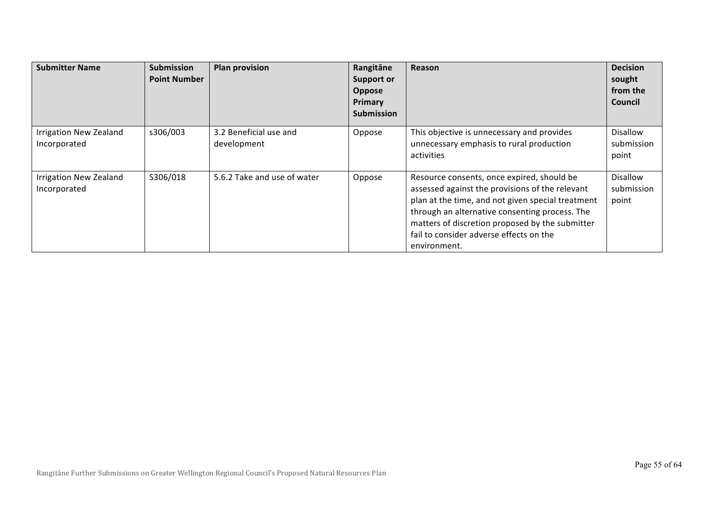| <b>Submitter Name</b>                         | <b>Submission</b><br><b>Point Number</b> | <b>Plan provision</b>                 | Rangitāne<br><b>Support or</b><br>Oppose<br>Primary<br><b>Submission</b> | Reason                                                                                                                                                                                                                                                                                                             | <b>Decision</b><br>sought<br>from the<br><b>Council</b> |
|-----------------------------------------------|------------------------------------------|---------------------------------------|--------------------------------------------------------------------------|--------------------------------------------------------------------------------------------------------------------------------------------------------------------------------------------------------------------------------------------------------------------------------------------------------------------|---------------------------------------------------------|
| <b>Irrigation New Zealand</b><br>Incorporated | s306/003                                 | 3.2 Beneficial use and<br>development | Oppose                                                                   | This objective is unnecessary and provides<br>unnecessary emphasis to rural production<br>activities                                                                                                                                                                                                               | <b>Disallow</b><br>submission<br>point                  |
| <b>Irrigation New Zealand</b><br>Incorporated | S306/018                                 | 5.6.2 Take and use of water           | Oppose                                                                   | Resource consents, once expired, should be<br>assessed against the provisions of the relevant<br>plan at the time, and not given special treatment<br>through an alternative consenting process. The<br>matters of discretion proposed by the submitter<br>fail to consider adverse effects on the<br>environment. | Disallow<br>submission<br>point                         |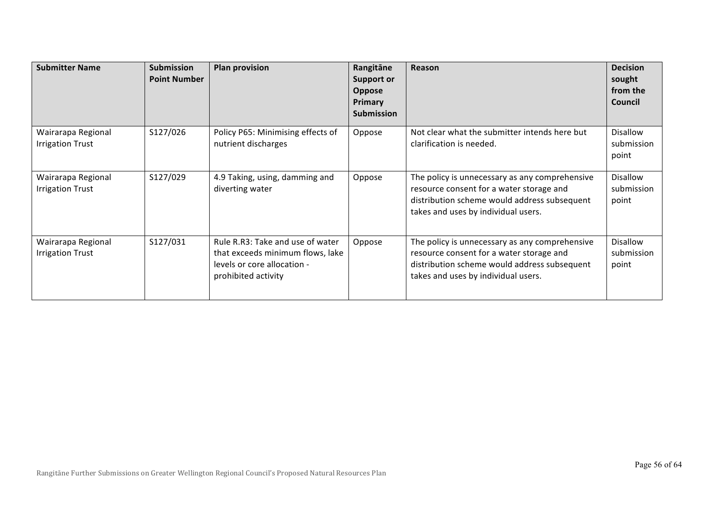| <b>Submitter Name</b>                         | <b>Submission</b><br><b>Point Number</b> | <b>Plan provision</b>                                                                                                      | Rangitāne<br><b>Support or</b><br>Oppose<br>Primary<br><b>Submission</b> | Reason                                                                                                                                                                            | <b>Decision</b><br>sought<br>from the<br><b>Council</b> |
|-----------------------------------------------|------------------------------------------|----------------------------------------------------------------------------------------------------------------------------|--------------------------------------------------------------------------|-----------------------------------------------------------------------------------------------------------------------------------------------------------------------------------|---------------------------------------------------------|
| Wairarapa Regional<br><b>Irrigation Trust</b> | S127/026                                 | Policy P65: Minimising effects of<br>nutrient discharges                                                                   | Oppose                                                                   | Not clear what the submitter intends here but<br>clarification is needed.                                                                                                         | Disallow<br>submission<br>point                         |
| Wairarapa Regional<br><b>Irrigation Trust</b> | S127/029                                 | 4.9 Taking, using, damming and<br>diverting water                                                                          | Oppose                                                                   | The policy is unnecessary as any comprehensive<br>resource consent for a water storage and<br>distribution scheme would address subsequent<br>takes and uses by individual users. | Disallow<br>submission<br>point                         |
| Wairarapa Regional<br><b>Irrigation Trust</b> | S127/031                                 | Rule R.R3: Take and use of water<br>that exceeds minimum flows, lake<br>levels or core allocation -<br>prohibited activity | Oppose                                                                   | The policy is unnecessary as any comprehensive<br>resource consent for a water storage and<br>distribution scheme would address subsequent<br>takes and uses by individual users. | Disallow<br>submission<br>point                         |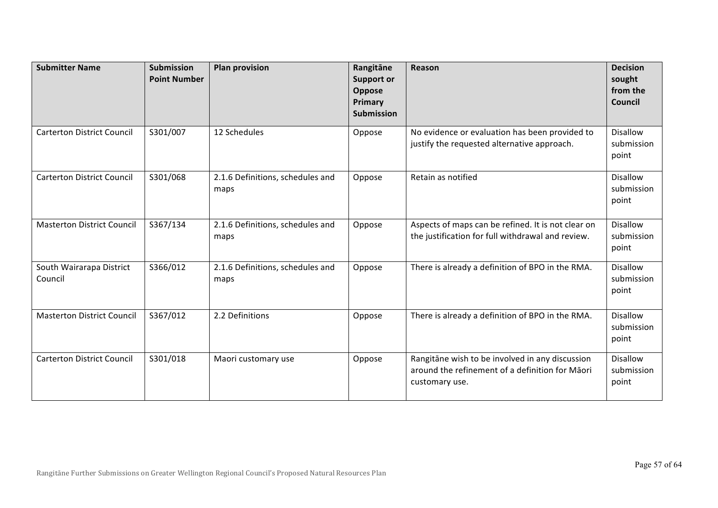| <b>Submitter Name</b>               | <b>Submission</b><br><b>Point Number</b> | <b>Plan provision</b>                    | Rangitāne<br><b>Support or</b><br>Oppose<br>Primary<br><b>Submission</b> | Reason                                                                                                               | <b>Decision</b><br>sought<br>from the<br>Council |
|-------------------------------------|------------------------------------------|------------------------------------------|--------------------------------------------------------------------------|----------------------------------------------------------------------------------------------------------------------|--------------------------------------------------|
| <b>Carterton District Council</b>   | S301/007                                 | 12 Schedules                             | Oppose                                                                   | No evidence or evaluation has been provided to<br>justify the requested alternative approach.                        | <b>Disallow</b><br>submission<br>point           |
| <b>Carterton District Council</b>   | S301/068                                 | 2.1.6 Definitions, schedules and<br>maps | Oppose                                                                   | Retain as notified                                                                                                   | <b>Disallow</b><br>submission<br>point           |
| <b>Masterton District Council</b>   | S367/134                                 | 2.1.6 Definitions, schedules and<br>maps | Oppose                                                                   | Aspects of maps can be refined. It is not clear on<br>the justification for full withdrawal and review.              | <b>Disallow</b><br>submission<br>point           |
| South Wairarapa District<br>Council | S366/012                                 | 2.1.6 Definitions, schedules and<br>maps | Oppose                                                                   | There is already a definition of BPO in the RMA.                                                                     | <b>Disallow</b><br>submission<br>point           |
| <b>Masterton District Council</b>   | S367/012                                 | 2.2 Definitions                          | Oppose                                                                   | There is already a definition of BPO in the RMA.                                                                     | <b>Disallow</b><br>submission<br>point           |
| <b>Carterton District Council</b>   | S301/018                                 | Maori customary use                      | Oppose                                                                   | Rangitāne wish to be involved in any discussion<br>around the refinement of a definition for Māori<br>customary use. | <b>Disallow</b><br>submission<br>point           |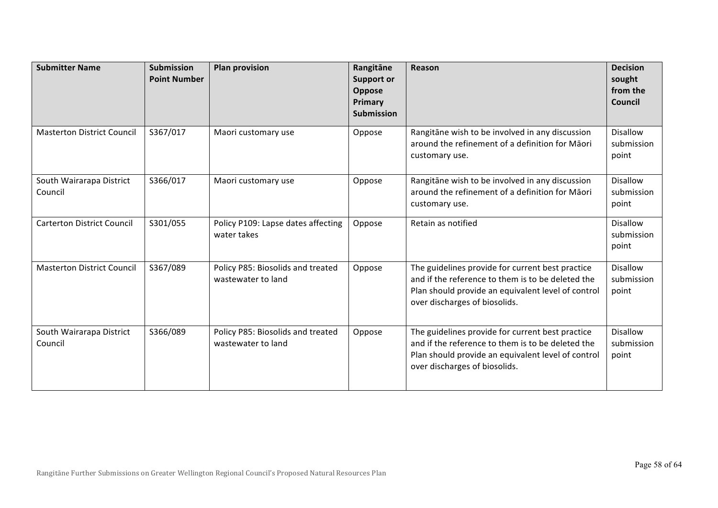| <b>Submitter Name</b>               | <b>Submission</b><br><b>Point Number</b> | <b>Plan provision</b>                                   | Rangitāne<br><b>Support or</b><br>Oppose<br>Primary<br><b>Submission</b> | Reason                                                                                                                                                                                       | <b>Decision</b><br>sought<br>from the<br>Council |
|-------------------------------------|------------------------------------------|---------------------------------------------------------|--------------------------------------------------------------------------|----------------------------------------------------------------------------------------------------------------------------------------------------------------------------------------------|--------------------------------------------------|
| <b>Masterton District Council</b>   | S367/017                                 | Maori customary use                                     | Oppose                                                                   | Rangitāne wish to be involved in any discussion<br>around the refinement of a definition for Māori<br>customary use.                                                                         | <b>Disallow</b><br>submission<br>point           |
| South Wairarapa District<br>Council | S366/017                                 | Maori customary use                                     | Oppose                                                                   | Rangitāne wish to be involved in any discussion<br>around the refinement of a definition for Maori<br>customary use.                                                                         | <b>Disallow</b><br>submission<br>point           |
| <b>Carterton District Council</b>   | S301/055                                 | Policy P109: Lapse dates affecting<br>water takes       | Oppose                                                                   | Retain as notified                                                                                                                                                                           | <b>Disallow</b><br>submission<br>point           |
| <b>Masterton District Council</b>   | S367/089                                 | Policy P85: Biosolids and treated<br>wastewater to land | Oppose                                                                   | The guidelines provide for current best practice<br>and if the reference to them is to be deleted the<br>Plan should provide an equivalent level of control<br>over discharges of biosolids. | <b>Disallow</b><br>submission<br>point           |
| South Wairarapa District<br>Council | S366/089                                 | Policy P85: Biosolids and treated<br>wastewater to land | Oppose                                                                   | The guidelines provide for current best practice<br>and if the reference to them is to be deleted the<br>Plan should provide an equivalent level of control<br>over discharges of biosolids. | <b>Disallow</b><br>submission<br>point           |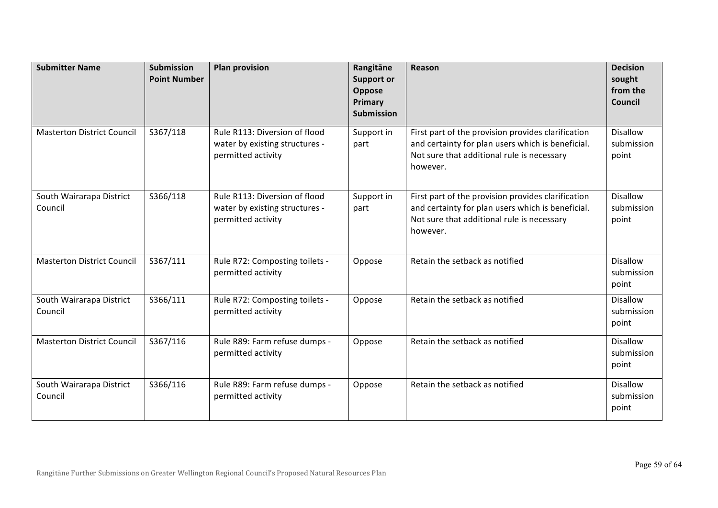| <b>Submitter Name</b>               | <b>Submission</b><br><b>Point Number</b> | <b>Plan provision</b>                                                                 | Rangitāne<br><b>Support or</b><br>Oppose<br>Primary<br><b>Submission</b> | Reason                                                                                                                                                            | <b>Decision</b><br>sought<br>from the<br>Council |
|-------------------------------------|------------------------------------------|---------------------------------------------------------------------------------------|--------------------------------------------------------------------------|-------------------------------------------------------------------------------------------------------------------------------------------------------------------|--------------------------------------------------|
| <b>Masterton District Council</b>   | S367/118                                 | Rule R113: Diversion of flood<br>water by existing structures -<br>permitted activity | Support in<br>part                                                       | First part of the provision provides clarification<br>and certainty for plan users which is beneficial.<br>Not sure that additional rule is necessary<br>however. | <b>Disallow</b><br>submission<br>point           |
| South Wairarapa District<br>Council | S366/118                                 | Rule R113: Diversion of flood<br>water by existing structures -<br>permitted activity | Support in<br>part                                                       | First part of the provision provides clarification<br>and certainty for plan users which is beneficial.<br>Not sure that additional rule is necessary<br>however. | <b>Disallow</b><br>submission<br>point           |
| <b>Masterton District Council</b>   | S367/111                                 | Rule R72: Composting toilets -<br>permitted activity                                  | Oppose                                                                   | Retain the setback as notified                                                                                                                                    | <b>Disallow</b><br>submission<br>point           |
| South Wairarapa District<br>Council | S366/111                                 | Rule R72: Composting toilets -<br>permitted activity                                  | Oppose                                                                   | Retain the setback as notified                                                                                                                                    | <b>Disallow</b><br>submission<br>point           |
| <b>Masterton District Council</b>   | S367/116                                 | Rule R89: Farm refuse dumps -<br>permitted activity                                   | Oppose                                                                   | Retain the setback as notified                                                                                                                                    | <b>Disallow</b><br>submission<br>point           |
| South Wairarapa District<br>Council | S366/116                                 | Rule R89: Farm refuse dumps -<br>permitted activity                                   | Oppose                                                                   | Retain the setback as notified                                                                                                                                    | <b>Disallow</b><br>submission<br>point           |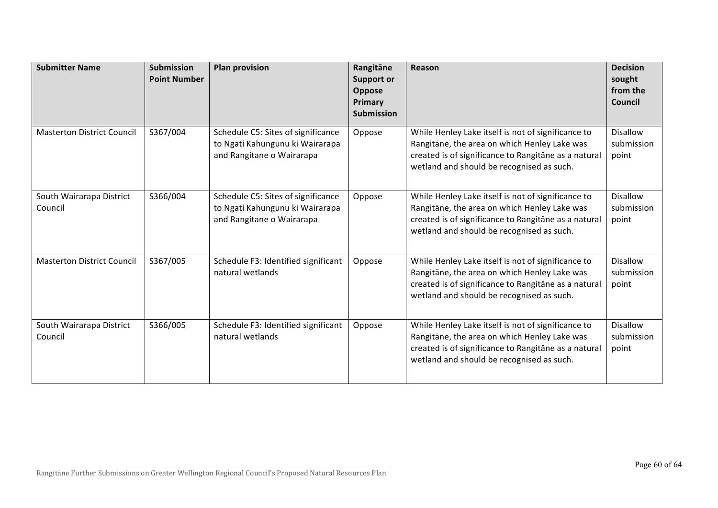| <b>Submitter Name</b>               | <b>Submission</b><br><b>Point Number</b> | <b>Plan provision</b>                                                                              | Rangitāne<br><b>Support or</b><br>Oppose<br>Primary<br><b>Submission</b> | Reason                                                                                                                                                                                                  | <b>Decision</b><br>sought<br>from the<br>Council |
|-------------------------------------|------------------------------------------|----------------------------------------------------------------------------------------------------|--------------------------------------------------------------------------|---------------------------------------------------------------------------------------------------------------------------------------------------------------------------------------------------------|--------------------------------------------------|
| <b>Masterton District Council</b>   | S367/004                                 | Schedule C5: Sites of significance<br>to Ngati Kahungunu ki Wairarapa<br>and Rangitane o Wairarapa | Oppose                                                                   | While Henley Lake itself is not of significance to<br>Rangitāne, the area on which Henley Lake was<br>created is of significance to Rangitane as a natural<br>wetland and should be recognised as such. | <b>Disallow</b><br>submission<br>point           |
| South Wairarapa District<br>Council | S366/004                                 | Schedule C5: Sites of significance<br>to Ngati Kahungunu ki Wairarapa<br>and Rangitane o Wairarapa | Oppose                                                                   | While Henley Lake itself is not of significance to<br>Rangitāne, the area on which Henley Lake was<br>created is of significance to Rangitane as a natural<br>wetland and should be recognised as such. | <b>Disallow</b><br>submission<br>point           |
| <b>Masterton District Council</b>   | S367/005                                 | Schedule F3: Identified significant<br>natural wetlands                                            | Oppose                                                                   | While Henley Lake itself is not of significance to<br>Rangitāne, the area on which Henley Lake was<br>created is of significance to Rangitane as a natural<br>wetland and should be recognised as such. | <b>Disallow</b><br>submission<br>point           |
| South Wairarapa District<br>Council | S366/005                                 | Schedule F3: Identified significant<br>natural wetlands                                            | Oppose                                                                   | While Henley Lake itself is not of significance to<br>Rangitāne, the area on which Henley Lake was<br>created is of significance to Rangitane as a natural<br>wetland and should be recognised as such. | <b>Disallow</b><br>submission<br>point           |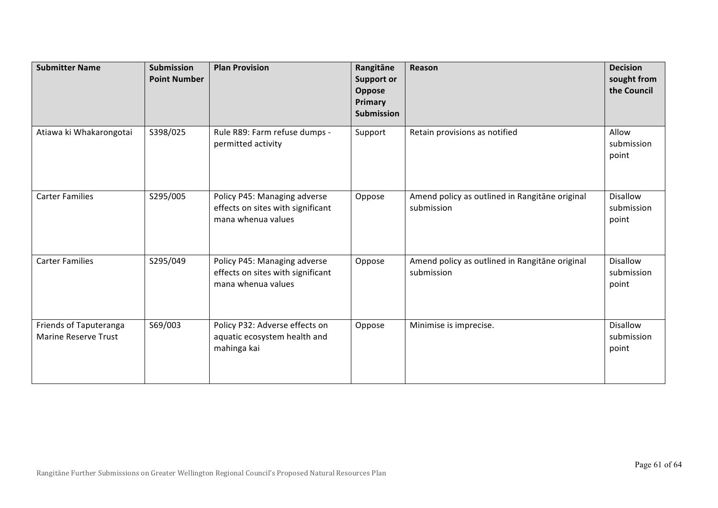| <b>Submitter Name</b>                                 | <b>Submission</b><br><b>Point Number</b> | <b>Plan Provision</b>                                                                   | Rangitāne<br><b>Support or</b><br>Oppose<br>Primary<br><b>Submission</b> | Reason                                                       | <b>Decision</b><br>sought from<br>the Council |
|-------------------------------------------------------|------------------------------------------|-----------------------------------------------------------------------------------------|--------------------------------------------------------------------------|--------------------------------------------------------------|-----------------------------------------------|
| Atiawa ki Whakarongotai                               | S398/025                                 | Rule R89: Farm refuse dumps -<br>permitted activity                                     | Support                                                                  | Retain provisions as notified                                | Allow<br>submission<br>point                  |
| <b>Carter Families</b>                                | S295/005                                 | Policy P45: Managing adverse<br>effects on sites with significant<br>mana whenua values | Oppose                                                                   | Amend policy as outlined in Rangitane original<br>submission | <b>Disallow</b><br>submission<br>point        |
| <b>Carter Families</b>                                | S295/049                                 | Policy P45: Managing adverse<br>effects on sites with significant<br>mana whenua values | Oppose                                                                   | Amend policy as outlined in Rangitane original<br>submission | <b>Disallow</b><br>submission<br>point        |
| Friends of Taputeranga<br><b>Marine Reserve Trust</b> | S69/003                                  | Policy P32: Adverse effects on<br>aquatic ecosystem health and<br>mahinga kai           | Oppose                                                                   | Minimise is imprecise.                                       | <b>Disallow</b><br>submission<br>point        |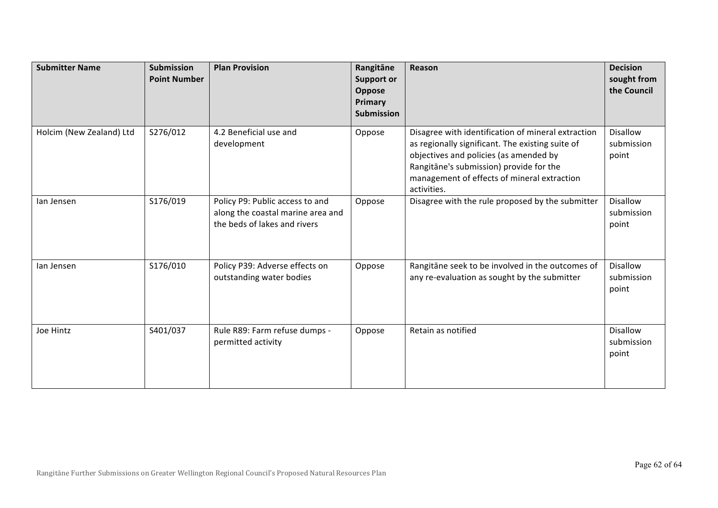| <b>Submitter Name</b>    | <b>Submission</b><br><b>Point Number</b> | <b>Plan Provision</b>                                                                                | Rangitāne<br><b>Support or</b><br>Oppose<br>Primary<br><b>Submission</b> | Reason                                                                                                                                                                                                                                                    | <b>Decision</b><br>sought from<br>the Council |
|--------------------------|------------------------------------------|------------------------------------------------------------------------------------------------------|--------------------------------------------------------------------------|-----------------------------------------------------------------------------------------------------------------------------------------------------------------------------------------------------------------------------------------------------------|-----------------------------------------------|
| Holcim (New Zealand) Ltd | S276/012                                 | 4.2 Beneficial use and<br>development                                                                | Oppose                                                                   | Disagree with identification of mineral extraction<br>as regionally significant. The existing suite of<br>objectives and policies (as amended by<br>Rangitāne's submission) provide for the<br>management of effects of mineral extraction<br>activities. | <b>Disallow</b><br>submission<br>point        |
| lan Jensen               | S176/019                                 | Policy P9: Public access to and<br>along the coastal marine area and<br>the beds of lakes and rivers | Oppose                                                                   | Disagree with the rule proposed by the submitter                                                                                                                                                                                                          | <b>Disallow</b><br>submission<br>point        |
| lan Jensen               | S176/010                                 | Policy P39: Adverse effects on<br>outstanding water bodies                                           | Oppose                                                                   | Rangitāne seek to be involved in the outcomes of<br>any re-evaluation as sought by the submitter                                                                                                                                                          | <b>Disallow</b><br>submission<br>point        |
| Joe Hintz                | S401/037                                 | Rule R89: Farm refuse dumps -<br>permitted activity                                                  | Oppose                                                                   | Retain as notified                                                                                                                                                                                                                                        | <b>Disallow</b><br>submission<br>point        |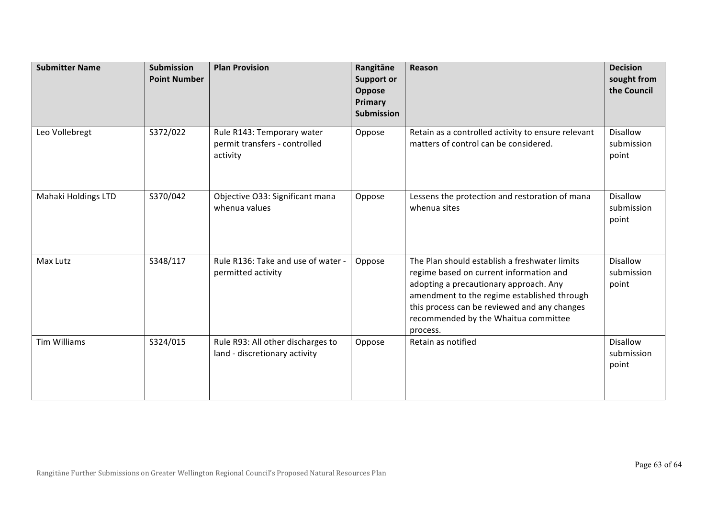| <b>Submitter Name</b> | <b>Submission</b><br><b>Point Number</b> | <b>Plan Provision</b>                                                   | Rangitāne<br><b>Support or</b><br>Oppose<br>Primary<br>Submission | Reason                                                                                                                                                                                                                                                                                | <b>Decision</b><br>sought from<br>the Council |
|-----------------------|------------------------------------------|-------------------------------------------------------------------------|-------------------------------------------------------------------|---------------------------------------------------------------------------------------------------------------------------------------------------------------------------------------------------------------------------------------------------------------------------------------|-----------------------------------------------|
| Leo Vollebregt        | S372/022                                 | Rule R143: Temporary water<br>permit transfers - controlled<br>activity | Oppose                                                            | Retain as a controlled activity to ensure relevant<br>matters of control can be considered.                                                                                                                                                                                           | <b>Disallow</b><br>submission<br>point        |
| Mahaki Holdings LTD   | S370/042                                 | Objective O33: Significant mana<br>whenua values                        | Oppose                                                            | Lessens the protection and restoration of mana<br>whenua sites                                                                                                                                                                                                                        | <b>Disallow</b><br>submission<br>point        |
| Max Lutz              | S348/117                                 | Rule R136: Take and use of water -<br>permitted activity                | Oppose                                                            | The Plan should establish a freshwater limits<br>regime based on current information and<br>adopting a precautionary approach. Any<br>amendment to the regime established through<br>this process can be reviewed and any changes<br>recommended by the Whaitua committee<br>process. | <b>Disallow</b><br>submission<br>point        |
| <b>Tim Williams</b>   | S324/015                                 | Rule R93: All other discharges to<br>land - discretionary activity      | Oppose                                                            | Retain as notified                                                                                                                                                                                                                                                                    | <b>Disallow</b><br>submission<br>point        |